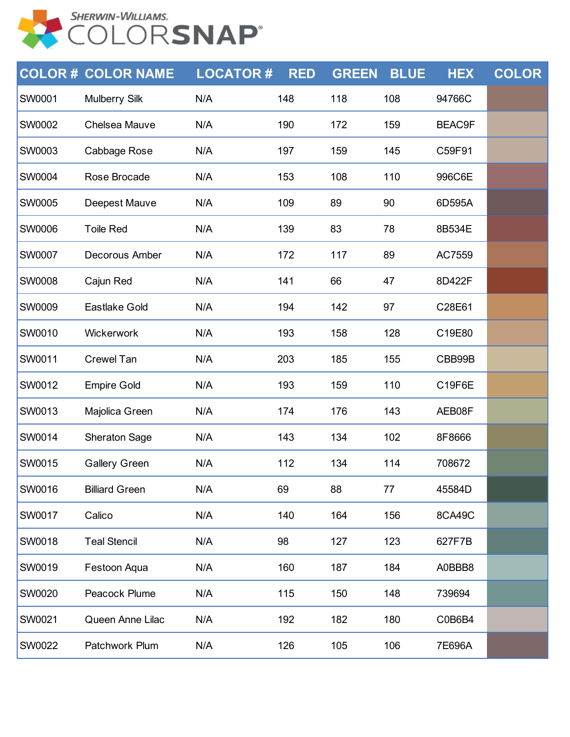

|               | <b>COLOR # COLOR NAME</b> | <b>LOCATOR#</b> | <b>RED</b> | <b>GREEN</b> | <b>BLUE</b> | <b>HEX</b>    | <b>COLOR</b> |
|---------------|---------------------------|-----------------|------------|--------------|-------------|---------------|--------------|
| SW0001        | <b>Mulberry Silk</b>      | N/A             | 148        | 118          | 108         | 94766C        |              |
| <b>SW0002</b> | Chelsea Mauve             | N/A             | 190        | 172          | 159         | <b>BEAC9F</b> |              |
| <b>SW0003</b> | Cabbage Rose              | N/A             | 197        | 159          | 145         | C59F91        |              |
| SW0004        | Rose Brocade              | N/A             | 153        | 108          | 110         | 996C6E        |              |
| <b>SW0005</b> | Deepest Mauve             | N/A             | 109        | 89           | 90          | 6D595A        |              |
| <b>SW0006</b> | <b>Toile Red</b>          | N/A             | 139        | 83           | 78          | 8B534E        |              |
| SW0007        | Decorous Amber            | N/A             | 172        | 117          | 89          | AC7559        |              |
| <b>SW0008</b> | Cajun Red                 | N/A             | 141        | 66           | 47          | 8D422F        |              |
| <b>SW0009</b> | Eastlake Gold             | N/A             | 194        | 142          | 97          | C28E61        |              |
| SW0010        | Wickerwork                | N/A             | 193        | 158          | 128         | C19E80        |              |
| <b>SW0011</b> | Crewel Tan                | N/A             | 203        | 185          | 155         | CBB99B        |              |
| <b>SW0012</b> | <b>Empire Gold</b>        | N/A             | 193        | 159          | 110         | C19F6E        |              |
| SW0013        | Majolica Green            | N/A             | 174        | 176          | 143         | AEB08F        |              |
| <b>SW0014</b> | <b>Sheraton Sage</b>      | N/A             | 143        | 134          | 102         | 8F8666        |              |
| SW0015        | <b>Gallery Green</b>      | N/A             | 112        | 134          | 114         | 708672        |              |
| SW0016        | <b>Billiard Green</b>     | N/A             | 69         | 88           | 77          | 45584D        |              |
| <b>SW0017</b> | Calico                    | N/A             | 140        | 164          | 156         | 8CA49C        |              |
| SW0018        | <b>Teal Stencil</b>       | N/A             | 98         | 127          | 123         | 627F7B        |              |
| SW0019        | Festoon Aqua              | N/A             | 160        | 187          | 184         | A0BBB8        |              |
| SW0020        | Peacock Plume             | N/A             | 115        | 150          | 148         | 739694        |              |
| SW0021        | Queen Anne Lilac          | N/A             | 192        | 182          | 180         | C0B6B4        |              |
| SW0022        | Patchwork Plum            | N/A             | 126        | 105          | 106         | 7E696A        |              |
|               |                           |                 |            |              |             |               |              |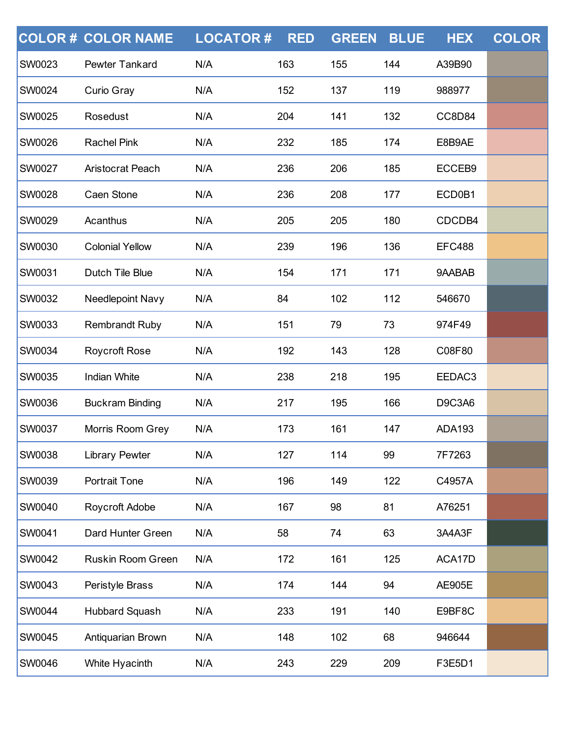|               | <b>COLOR # COLOR NAME</b> | <b>LOCATOR#</b> | <b>RED</b> | <b>GREEN</b> | <b>BLUE</b> | <b>HEX</b>    | <b>COLOR</b> |
|---------------|---------------------------|-----------------|------------|--------------|-------------|---------------|--------------|
| SW0023        | Pewter Tankard            | N/A             | 163        | 155          | 144         | A39B90        |              |
| <b>SW0024</b> | <b>Curio Gray</b>         | N/A             | 152        | 137          | 119         | 988977        |              |
| <b>SW0025</b> | Rosedust                  | N/A             | 204        | 141          | 132         | CC8D84        |              |
| SW0026        | <b>Rachel Pink</b>        | N/A             | 232        | 185          | 174         | E8B9AE        |              |
| <b>SW0027</b> | <b>Aristocrat Peach</b>   | N/A             | 236        | 206          | 185         | ECCEB9        |              |
| <b>SW0028</b> | Caen Stone                | N/A             | 236        | 208          | 177         | ECD0B1        |              |
| SW0029        | Acanthus                  | N/A             | 205        | 205          | 180         | CDCDB4        |              |
| <b>SW0030</b> | <b>Colonial Yellow</b>    | N/A             | 239        | 196          | 136         | <b>EFC488</b> |              |
| <b>SW0031</b> | Dutch Tile Blue           | N/A             | 154        | 171          | 171         | 9AABAB        |              |
| SW0032        | Needlepoint Navy          | N/A             | 84         | 102          | 112         | 546670        |              |
| <b>SW0033</b> | <b>Rembrandt Ruby</b>     | N/A             | 151        | 79           | 73          | 974F49        |              |
| SW0034        | <b>Roycroft Rose</b>      | N/A             | 192        | 143          | 128         | C08F80        |              |
| SW0035        | <b>Indian White</b>       | N/A             | 238        | 218          | 195         | EEDAC3        |              |
| <b>SW0036</b> | <b>Buckram Binding</b>    | N/A             | 217        | 195          | 166         | <b>D9C3A6</b> |              |
| <b>SW0037</b> | Morris Room Grey          | N/A             | 173        | 161          | 147         | <b>ADA193</b> |              |
| SW0038        | <b>Library Pewter</b>     | N/A             | 127        | 114          | 99          | 7F7263        |              |
| <b>SW0039</b> | <b>Portrait Tone</b>      | N/A             | 196        | 149          | 122         | C4957A        |              |
| <b>SW0040</b> | Roycroft Adobe            | N/A             | 167        | 98           | 81          | A76251        |              |
| SW0041        | Dard Hunter Green         | N/A             | 58         | 74           | 63          | 3A4A3F        |              |
| <b>SW0042</b> | Ruskin Room Green         | N/A             | 172        | 161          | 125         | ACA17D        |              |
| <b>SW0043</b> | Peristyle Brass           | N/A             | 174        | 144          | 94          | <b>AE905E</b> |              |
| SW0044        | <b>Hubbard Squash</b>     | N/A             | 233        | 191          | 140         | E9BF8C        |              |
| <b>SW0045</b> | Antiquarian Brown         | N/A             | 148        | 102          | 68          | 946644        |              |
| SW0046        | White Hyacinth            | N/A             | 243        | 229          | 209         | F3E5D1        |              |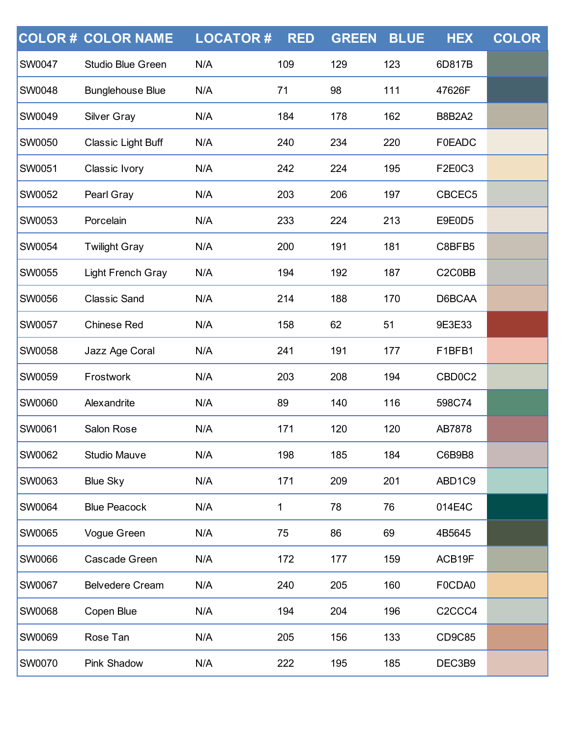|               | <b>COLOR # COLOR NAME</b> | <b>LOCATOR#</b> | <b>RED</b> | <b>GREEN</b> | <b>BLUE</b> | <b>HEX</b>                      | <b>COLOR</b> |
|---------------|---------------------------|-----------------|------------|--------------|-------------|---------------------------------|--------------|
| <b>SW0047</b> | <b>Studio Blue Green</b>  | N/A             | 109        | 129          | 123         | 6D817B                          |              |
| <b>SW0048</b> | <b>Bunglehouse Blue</b>   | N/A             | 71         | 98           | 111         | 47626F                          |              |
| <b>SW0049</b> | <b>Silver Gray</b>        | N/A             | 184        | 178          | 162         | <b>B8B2A2</b>                   |              |
| <b>SW0050</b> | <b>Classic Light Buff</b> | N/A             | 240        | 234          | 220         | <b>F0EADC</b>                   |              |
| <b>SW0051</b> | Classic Ivory             | N/A             | 242        | 224          | 195         | F2E0C3                          |              |
| <b>SW0052</b> | Pearl Gray                | N/A             | 203        | 206          | 197         | CBCEC5                          |              |
| <b>SW0053</b> | Porcelain                 | N/A             | 233        | 224          | 213         | E9E0D5                          |              |
| <b>SW0054</b> | <b>Twilight Gray</b>      | N/A             | 200        | 191          | 181         | C8BFB5                          |              |
| <b>SW0055</b> | <b>Light French Gray</b>  | N/A             | 194        | 192          | 187         | C2C0BB                          |              |
| <b>SW0056</b> | <b>Classic Sand</b>       | N/A             | 214        | 188          | 170         | D6BCAA                          |              |
| <b>SW0057</b> | <b>Chinese Red</b>        | N/A             | 158        | 62           | 51          | 9E3E33                          |              |
| <b>SW0058</b> | Jazz Age Coral            | N/A             | 241        | 191          | 177         | F1BFB1                          |              |
| <b>SW0059</b> | Frostwork                 | N/A             | 203        | 208          | 194         | CBD0C2                          |              |
| <b>SW0060</b> | Alexandrite               | N/A             | 89         | 140          | 116         | 598C74                          |              |
| <b>SW0061</b> | <b>Salon Rose</b>         | N/A             | 171        | 120          | 120         | AB7878                          |              |
| <b>SW0062</b> | <b>Studio Mauve</b>       | N/A             | 198        | 185          | 184         | C6B9B8                          |              |
| <b>SW0063</b> | <b>Blue Sky</b>           | N/A             | 171        | 209          | 201         | ABD1C9                          |              |
| <b>SW0064</b> | <b>Blue Peacock</b>       | N/A             | 1          | 78           | 76          | 014E4C                          |              |
| <b>SW0065</b> | Vogue Green               | N/A             | 75         | 86           | 69          | 4B5645                          |              |
| <b>SW0066</b> | Cascade Green             | N/A             | 172        | 177          | 159         | ACB19F                          |              |
| <b>SW0067</b> | <b>Belvedere Cream</b>    | N/A             | 240        | 205          | 160         | F0CDA0                          |              |
| <b>SW0068</b> | Copen Blue                | N/A             | 194        | 204          | 196         | C <sub>2</sub> CC <sub>C4</sub> |              |
| <b>SW0069</b> | Rose Tan                  | N/A             | 205        | 156          | 133         | CD9C85                          |              |
| SW0070        | Pink Shadow               | N/A             | 222        | 195          | 185         | DEC3B9                          |              |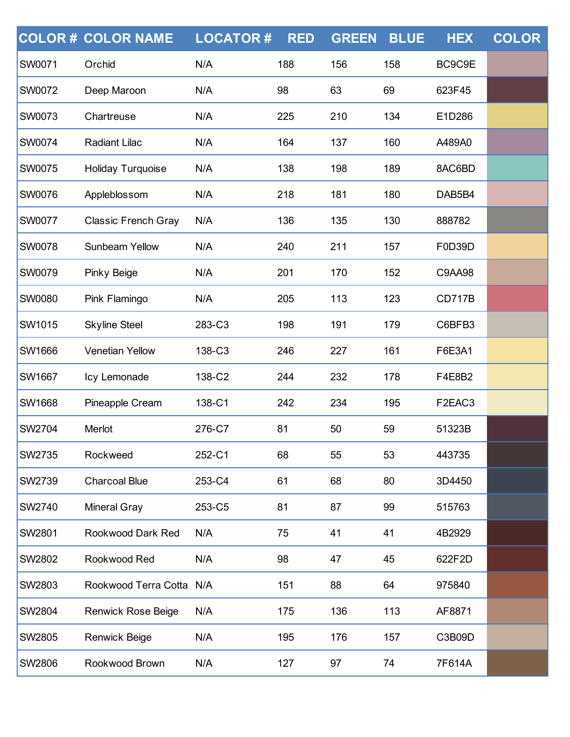|               | <b>COLOR # COLOR NAME</b>  | <b>LOCATOR#</b> | <b>RED</b> | <b>GREEN</b> | <b>BLUE</b> | <b>HEX</b>    | <b>COLOR</b> |
|---------------|----------------------------|-----------------|------------|--------------|-------------|---------------|--------------|
| <b>SW0071</b> | Orchid                     | N/A             | 188        | 156          | 158         | BC9C9E        |              |
| <b>SW0072</b> | Deep Maroon                | N/A             | 98         | 63           | 69          | 623F45        |              |
| <b>SW0073</b> | Chartreuse                 | N/A             | 225        | 210          | 134         | E1D286        |              |
| <b>SW0074</b> | Radiant Lilac              | N/A             | 164        | 137          | 160         | A489A0        |              |
| <b>SW0075</b> | Holiday Turquoise          | N/A             | 138        | 198          | 189         | 8AC6BD        |              |
| <b>SW0076</b> | Appleblossom               | N/A             | 218        | 181          | 180         | DAB5B4        |              |
| <b>SW0077</b> | <b>Classic French Gray</b> | N/A             | 136        | 135          | 130         | 888782        |              |
| <b>SW0078</b> | <b>Sunbeam Yellow</b>      | N/A             | 240        | 211          | 157         | F0D39D        |              |
| SW0079        | Pinky Beige                | N/A             | 201        | 170          | 152         | <b>C9AA98</b> |              |
| <b>SW0080</b> | Pink Flamingo              | N/A             | 205        | 113          | 123         | <b>CD717B</b> |              |
| <b>SW1015</b> | <b>Skyline Steel</b>       | 283-C3          | 198        | 191          | 179         | C6BFB3        |              |
| <b>SW1666</b> | <b>Venetian Yellow</b>     | 138-C3          | 246        | 227          | 161         | F6E3A1        |              |
| <b>SW1667</b> | Icy Lemonade               | 138-C2          | 244        | 232          | 178         | F4E8B2        |              |
| <b>SW1668</b> | Pineapple Cream            | 138-C1          | 242        | 234          | 195         | F2EAC3        |              |
| <b>SW2704</b> | Merlot                     | 276-C7          | 81         | 50           | 59          | 51323B        |              |
| <b>SW2735</b> | Rockweed                   | 252-C1          | 68         | 55           | 53          | 443735        |              |
| <b>SW2739</b> | <b>Charcoal Blue</b>       | 253-C4          | 61         | 68           | 80          | 3D4450        |              |
| <b>SW2740</b> | <b>Mineral Gray</b>        | 253-C5          | 81         | 87           | 99          | 515763        |              |
| <b>SW2801</b> | Rookwood Dark Red          | N/A             | 75         | 41           | 41          | 4B2929        |              |
| <b>SW2802</b> | Rookwood Red               | N/A             | 98         | 47           | 45          | 622F2D        |              |
| <b>SW2803</b> | Rookwood Terra Cotta N/A   |                 | 151        | 88           | 64          | 975840        |              |
| <b>SW2804</b> | <b>Renwick Rose Beige</b>  | N/A             | 175        | 136          | 113         | AF8871        |              |
| <b>SW2805</b> | Renwick Beige              | N/A             | 195        | 176          | 157         | C3B09D        |              |
| SW2806        | Rookwood Brown             | N/A             | 127        | 97           | 74          | 7F614A        |              |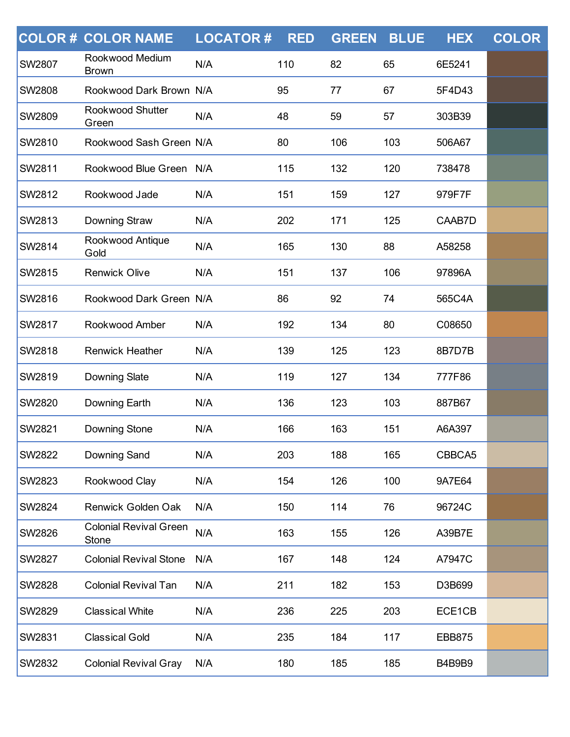|               | <b>COLOR # COLOR NAME</b>              | <b>LOCATOR#</b> | <b>RED</b> | <b>GREEN</b> | <b>BLUE</b> | <b>HEX</b>    | <b>COLOR</b> |
|---------------|----------------------------------------|-----------------|------------|--------------|-------------|---------------|--------------|
| <b>SW2807</b> | Rookwood Medium<br><b>Brown</b>        | N/A             | 110        | 82           | 65          | 6E5241        |              |
| <b>SW2808</b> | Rookwood Dark Brown N/A                |                 | 95         | 77           | 67          | 5F4D43        |              |
| SW2809        | Rookwood Shutter<br>Green              | N/A             | 48         | 59           | 57          | 303B39        |              |
| <b>SW2810</b> | Rookwood Sash Green N/A                |                 | 80         | 106          | 103         | 506A67        |              |
| <b>SW2811</b> | Rookwood Blue Green N/A                |                 | 115        | 132          | 120         | 738478        |              |
| <b>SW2812</b> | Rookwood Jade                          | N/A             | 151        | 159          | 127         | 979F7F        |              |
| <b>SW2813</b> | Downing Straw                          | N/A             | 202        | 171          | 125         | CAAB7D        |              |
| SW2814        | Rookwood Antique<br>Gold               | N/A             | 165        | 130          | 88          | A58258        |              |
| <b>SW2815</b> | <b>Renwick Olive</b>                   | N/A             | 151        | 137          | 106         | 97896A        |              |
| <b>SW2816</b> | Rookwood Dark Green N/A                |                 | 86         | 92           | 74          | 565C4A        |              |
| <b>SW2817</b> | Rookwood Amber                         | N/A             | 192        | 134          | 80          | C08650        |              |
| <b>SW2818</b> | <b>Renwick Heather</b>                 | N/A             | 139        | 125          | 123         | 8B7D7B        |              |
| <b>SW2819</b> | <b>Downing Slate</b>                   | N/A             | 119        | 127          | 134         | 777F86        |              |
| SW2820        | Downing Earth                          | N/A             | 136        | 123          | 103         | 887B67        |              |
| <b>SW2821</b> | <b>Downing Stone</b>                   | N/A             | 166        | 163          | 151         | A6A397        |              |
| <b>SW2822</b> | Downing Sand                           | N/A             | 203        | 188          | 165         | CBBCA5        |              |
| <b>SW2823</b> | Rookwood Clay                          | N/A             | 154        | 126          | 100         | 9A7E64        |              |
| <b>SW2824</b> | <b>Renwick Golden Oak</b>              | N/A             | 150        | 114          | 76          | 96724C        |              |
| <b>SW2826</b> | <b>Colonial Revival Green</b><br>Stone | N/A             | 163        | 155          | 126         | A39B7E        |              |
| <b>SW2827</b> | <b>Colonial Revival Stone</b>          | N/A             | 167        | 148          | 124         | A7947C        |              |
| <b>SW2828</b> | <b>Colonial Revival Tan</b>            | N/A             | 211        | 182          | 153         | D3B699        |              |
| <b>SW2829</b> | <b>Classical White</b>                 | N/A             | 236        | 225          | 203         | ECE1CB        |              |
| <b>SW2831</b> | <b>Classical Gold</b>                  | N/A             | 235        | 184          | 117         | <b>EBB875</b> |              |
| SW2832        | <b>Colonial Revival Gray</b>           | N/A             | 180        | 185          | 185         | <b>B4B9B9</b> |              |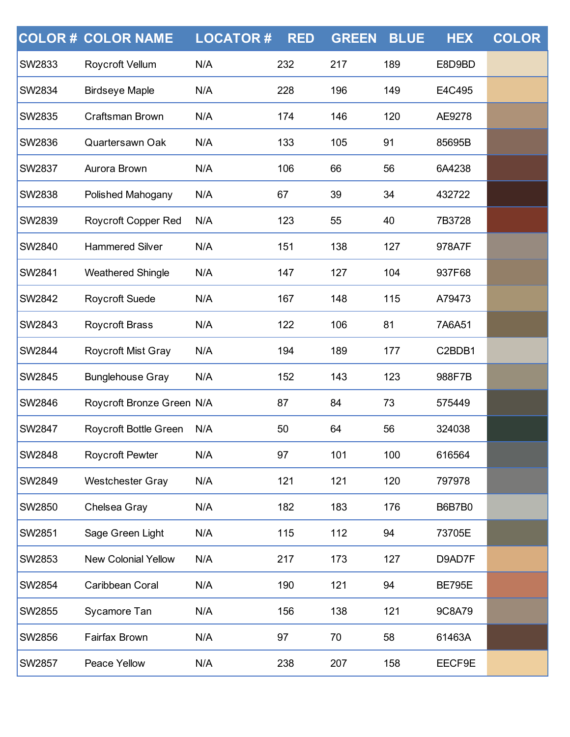|               | <b>COLOR # COLOR NAME</b>  | <b>LOCATOR#</b> | <b>RED</b> | <b>GREEN</b> | <b>BLUE</b> | <b>HEX</b>    | <b>COLOR</b> |
|---------------|----------------------------|-----------------|------------|--------------|-------------|---------------|--------------|
| <b>SW2833</b> | Roycroft Vellum            | N/A             | 232        | 217          | 189         | E8D9BD        |              |
| <b>SW2834</b> | <b>Birdseye Maple</b>      | N/A             | 228        | 196          | 149         | E4C495        |              |
| SW2835        | Craftsman Brown            | N/A             | 174        | 146          | 120         | AE9278        |              |
| <b>SW2836</b> | Quartersawn Oak            | N/A             | 133        | 105          | 91          | 85695B        |              |
| <b>SW2837</b> | Aurora Brown               | N/A             | 106        | 66           | 56          | 6A4238        |              |
| SW2838        | Polished Mahogany          | N/A             | 67         | 39           | 34          | 432722        |              |
| <b>SW2839</b> | <b>Roycroft Copper Red</b> | N/A             | 123        | 55           | 40          | 7B3728        |              |
| <b>SW2840</b> | <b>Hammered Silver</b>     | N/A             | 151        | 138          | 127         | 978A7F        |              |
| SW2841        | <b>Weathered Shingle</b>   | N/A             | 147        | 127          | 104         | 937F68        |              |
| <b>SW2842</b> | Roycroft Suede             | N/A             | 167        | 148          | 115         | A79473        |              |
| <b>SW2843</b> | <b>Roycroft Brass</b>      | N/A             | 122        | 106          | 81          | 7A6A51        |              |
| SW2844        | Roycroft Mist Gray         | N/A             | 194        | 189          | 177         | C2BDB1        |              |
| <b>SW2845</b> | <b>Bunglehouse Gray</b>    | N/A             | 152        | 143          | 123         | 988F7B        |              |
| SW2846        | Roycroft Bronze Green N/A  |                 | 87         | 84           | 73          | 575449        |              |
| SW2847        | Roycroft Bottle Green      | N/A             | 50         | 64           | 56          | 324038        |              |
| <b>SW2848</b> | <b>Roycroft Pewter</b>     | N/A             | 97         | 101          | 100         | 616564        |              |
| <b>SW2849</b> | <b>Westchester Gray</b>    | N/A             | 121        | 121          | 120         | 797978        |              |
| <b>SW2850</b> | Chelsea Gray               | N/A             | 182        | 183          | 176         | <b>B6B7B0</b> |              |
| <b>SW2851</b> | Sage Green Light           | N/A             | 115        | 112          | 94          | 73705E        |              |
| <b>SW2853</b> | <b>New Colonial Yellow</b> | N/A             | 217        | 173          | 127         | D9AD7F        |              |
| <b>SW2854</b> | Caribbean Coral            | N/A             | 190        | 121          | 94          | <b>BE795E</b> |              |
| <b>SW2855</b> | Sycamore Tan               | N/A             | 156        | 138          | 121         | 9C8A79        |              |
| <b>SW2856</b> | Fairfax Brown              | N/A             | 97         | 70           | 58          | 61463A        |              |
| SW2857        | Peace Yellow               | N/A             | 238        | 207          | 158         | EECF9E        |              |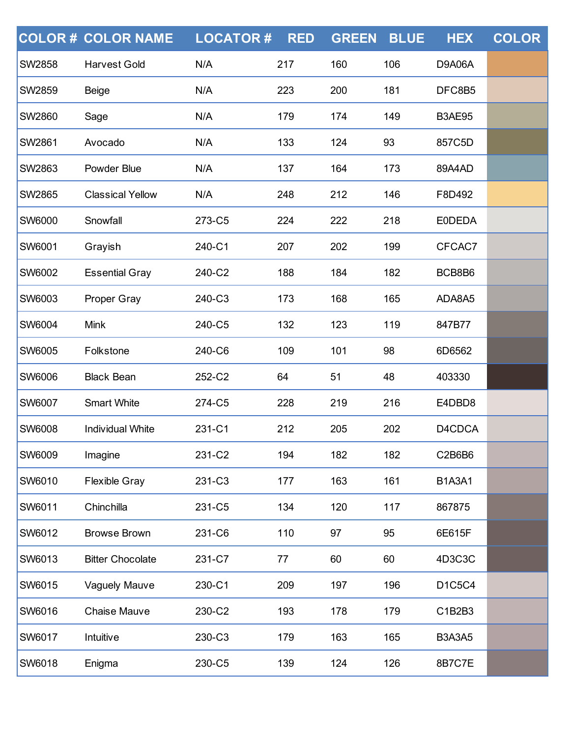|               | <b>COLOR # COLOR NAME</b> | <b>LOCATOR#</b> | <b>RED</b> | <b>GREEN</b> | <b>BLUE</b> | <b>HEX</b>    | <b>COLOR</b> |
|---------------|---------------------------|-----------------|------------|--------------|-------------|---------------|--------------|
| <b>SW2858</b> | <b>Harvest Gold</b>       | N/A             | 217        | 160          | 106         | <b>D9A06A</b> |              |
| <b>SW2859</b> | <b>Beige</b>              | N/A             | 223        | 200          | 181         | DFC8B5        |              |
| <b>SW2860</b> | Sage                      | N/A             | 179        | 174          | 149         | <b>B3AE95</b> |              |
| <b>SW2861</b> | Avocado                   | N/A             | 133        | 124          | 93          | 857C5D        |              |
| <b>SW2863</b> | Powder Blue               | N/A             | 137        | 164          | 173         | 89A4AD        |              |
| <b>SW2865</b> | <b>Classical Yellow</b>   | N/A             | 248        | 212          | 146         | F8D492        |              |
| SW6000        | Snowfall                  | 273-C5          | 224        | 222          | 218         | <b>EODEDA</b> |              |
| <b>SW6001</b> | Grayish                   | 240-C1          | 207        | 202          | 199         | CFCAC7        |              |
| <b>SW6002</b> | <b>Essential Gray</b>     | 240-C2          | 188        | 184          | 182         | BCB8B6        |              |
| SW6003        | <b>Proper Gray</b>        | 240-C3          | 173        | 168          | 165         | ADA8A5        |              |
| <b>SW6004</b> | <b>Mink</b>               | 240-C5          | 132        | 123          | 119         | 847B77        |              |
| <b>SW6005</b> | Folkstone                 | 240-C6          | 109        | 101          | 98          | 6D6562        |              |
| SW6006        | <b>Black Bean</b>         | 252-C2          | 64         | 51           | 48          | 403330        |              |
| <b>SW6007</b> | <b>Smart White</b>        | 274-C5          | 228        | 219          | 216         | E4DBD8        |              |
| <b>SW6008</b> | <b>Individual White</b>   | 231-C1          | 212        | 205          | 202         | D4CDCA        |              |
| SW6009        | Imagine                   | 231-C2          | 194        | 182          | 182         | C2B6B6        |              |
| <b>SW6010</b> | <b>Flexible Gray</b>      | 231-C3          | 177        | 163          | 161         | <b>B1A3A1</b> |              |
| <b>SW6011</b> | Chinchilla                | 231-C5          | 134        | 120          | 117         | 867875        |              |
| SW6012        | <b>Browse Brown</b>       | 231-C6          | 110        | 97           | 95          | 6E615F        |              |
| <b>SW6013</b> | <b>Bitter Chocolate</b>   | 231-C7          | 77         | 60           | 60          | 4D3C3C        |              |
| <b>SW6015</b> | Vaguely Mauve             | 230-C1          | 209        | 197          | 196         | D1C5C4        |              |
| SW6016        | Chaise Mauve              | 230-C2          | 193        | 178          | 179         | C1B2B3        |              |
| <b>SW6017</b> | Intuitive                 | 230-C3          | 179        | 163          | 165         | <b>B3A3A5</b> |              |
| SW6018        | Enigma                    | 230-C5          | 139        | 124          | 126         | 8B7C7E        |              |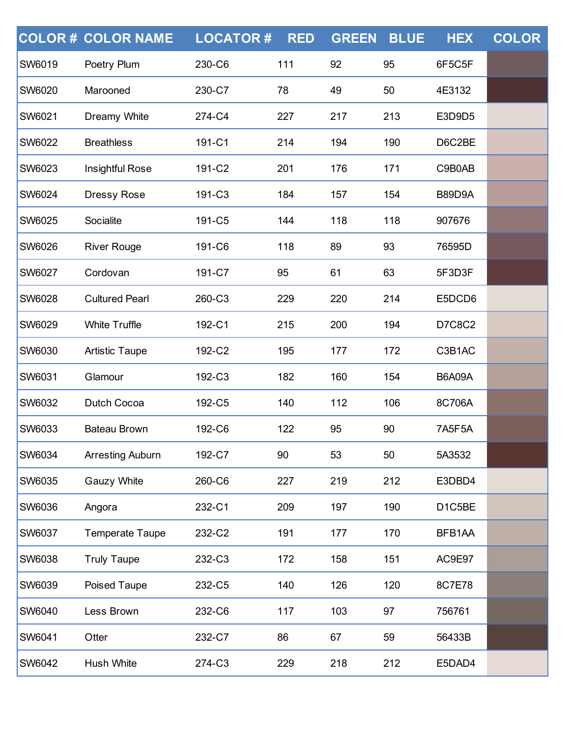|               | <b>COLOR # COLOR NAME</b> | <b>LOCATOR#</b> | <b>RED</b> | <b>GREEN</b> | <b>BLUE</b> | <b>HEX</b>    | <b>COLOR</b> |
|---------------|---------------------------|-----------------|------------|--------------|-------------|---------------|--------------|
| <b>SW6019</b> | Poetry Plum               | 230-C6          | 111        | 92           | 95          | 6F5C5F        |              |
| <b>SW6020</b> | Marooned                  | 230-C7          | 78         | 49           | 50          | 4E3132        |              |
| <b>SW6021</b> | Dreamy White              | 274-C4          | 227        | 217          | 213         | E3D9D5        |              |
| <b>SW6022</b> | <b>Breathless</b>         | 191-C1          | 214        | 194          | 190         | D6C2BE        |              |
| <b>SW6023</b> | Insightful Rose           | 191-C2          | 201        | 176          | 171         | C9B0AB        |              |
| SW6024        | <b>Dressy Rose</b>        | 191-C3          | 184        | 157          | 154         | B89D9A        |              |
| SW6025        | Socialite                 | 191-C5          | 144        | 118          | 118         | 907676        |              |
| SW6026        | <b>River Rouge</b>        | 191-C6          | 118        | 89           | 93          | 76595D        |              |
| <b>SW6027</b> | Cordovan                  | 191-C7          | 95         | 61           | 63          | 5F3D3F        |              |
| SW6028        | <b>Cultured Pearl</b>     | 260-C3          | 229        | 220          | 214         | E5DCD6        |              |
| SW6029        | <b>White Truffle</b>      | 192-C1          | 215        | 200          | 194         | D7C8C2        |              |
| SW6030        | <b>Artistic Taupe</b>     | 192-C2          | 195        | 177          | 172         | C3B1AC        |              |
| SW6031        | Glamour                   | 192-C3          | 182        | 160          | 154         | <b>B6A09A</b> |              |
| SW6032        | Dutch Cocoa               | 192-C5          | 140        | 112          | 106         | 8C706A        |              |
| SW6033        | <b>Bateau Brown</b>       | 192-C6          | 122        | 95           | 90          | 7A5F5A        |              |
| <b>SW6034</b> | Arresting Auburn          | 192-C7          | 90         | 53           | 50          | 5A3532        |              |
| <b>SW6035</b> | Gauzy White               | 260-C6          | 227        | 219          | 212         | E3DBD4        |              |
| <b>SW6036</b> | Angora                    | 232-C1          | 209        | 197          | 190         | D1C5BE        |              |
| SW6037        | <b>Temperate Taupe</b>    | 232-C2          | 191        | 177          | 170         | BFB1AA        |              |
| <b>SW6038</b> | <b>Truly Taupe</b>        | 232-C3          | 172        | 158          | 151         | AC9E97        |              |
| <b>SW6039</b> | Poised Taupe              | 232-C5          | 140        | 126          | 120         | 8C7E78        |              |
| SW6040        | Less Brown                | 232-C6          | 117        | 103          | 97          | 756761        |              |
| SW6041        | Otter                     | 232-C7          | 86         | 67           | 59          | 56433B        |              |
| SW6042        | Hush White                | 274-C3          | 229        | 218          | 212         | E5DAD4        |              |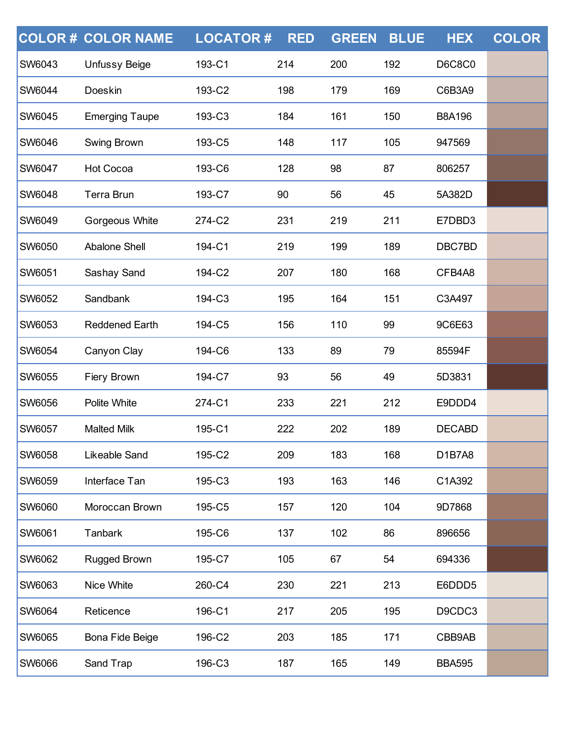|               | <b>COLOR # COLOR NAME</b> | <b>LOCATOR#</b> | <b>RED</b> | <b>GREEN</b> | <b>BLUE</b> | <b>HEX</b>    | <b>COLOR</b> |
|---------------|---------------------------|-----------------|------------|--------------|-------------|---------------|--------------|
| SW6043        | <b>Unfussy Beige</b>      | 193-C1          | 214        | 200          | 192         | <b>D6C8C0</b> |              |
| <b>SW6044</b> | Doeskin                   | 193-C2          | 198        | 179          | 169         | C6B3A9        |              |
| SW6045        | <b>Emerging Taupe</b>     | 193-C3          | 184        | 161          | 150         | <b>B8A196</b> |              |
| <b>SW6046</b> | Swing Brown               | 193-C5          | 148        | 117          | 105         | 947569        |              |
| <b>SW6047</b> | <b>Hot Cocoa</b>          | 193-C6          | 128        | 98           | 87          | 806257        |              |
| <b>SW6048</b> | Terra Brun                | 193-C7          | 90         | 56           | 45          | 5A382D        |              |
| SW6049        | Gorgeous White            | 274-C2          | 231        | 219          | 211         | E7DBD3        |              |
| SW6050        | <b>Abalone Shell</b>      | 194-C1          | 219        | 199          | 189         | DBC7BD        |              |
| SW6051        | Sashay Sand               | 194-C2          | 207        | 180          | 168         | CFB4A8        |              |
| SW6052        | Sandbank                  | 194-C3          | 195        | 164          | 151         | C3A497        |              |
| SW6053        | <b>Reddened Earth</b>     | 194-C5          | 156        | 110          | 99          | 9C6E63        |              |
| SW6054        | Canyon Clay               | 194-C6          | 133        | 89           | 79          | 85594F        |              |
| SW6055        | Fiery Brown               | 194-C7          | 93         | 56           | 49          | 5D3831        |              |
| SW6056        | Polite White              | 274-C1          | 233        | 221          | 212         | E9DDD4        |              |
| SW6057        | <b>Malted Milk</b>        | 195-C1          | 222        | 202          | 189         | <b>DECABD</b> |              |
| <b>SW6058</b> | Likeable Sand             | 195-C2          | 209        | 183          | 168         | D1B7A8        |              |
| <b>SW6059</b> | Interface Tan             | 195-C3          | 193        | 163          | 146         | C1A392        |              |
| <b>SW6060</b> | Moroccan Brown            | 195-C5          | 157        | 120          | 104         | 9D7868        |              |
| SW6061        | Tanbark                   | 195-C6          | 137        | 102          | 86          | 896656        |              |
| <b>SW6062</b> | Rugged Brown              | 195-C7          | 105        | 67           | 54          | 694336        |              |
| <b>SW6063</b> | Nice White                | 260-C4          | 230        | 221          | 213         | E6DDD5        |              |
| SW6064        | Reticence                 | 196-C1          | 217        | 205          | 195         | D9CDC3        |              |
| SW6065        | Bona Fide Beige           | 196-C2          | 203        | 185          | 171         | CBB9AB        |              |
| SW6066        | Sand Trap                 | 196-C3          | 187        | 165          | 149         | <b>BBA595</b> |              |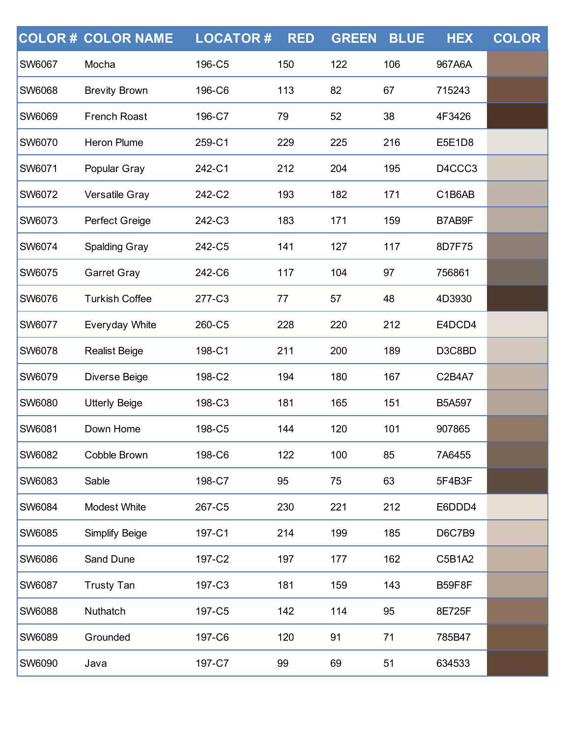|               | <b>COLOR # COLOR NAME</b> | <b>LOCATOR#</b> | <b>RED</b> | <b>GREEN</b> | <b>BLUE</b> | <b>HEX</b>    | <b>COLOR</b> |
|---------------|---------------------------|-----------------|------------|--------------|-------------|---------------|--------------|
| <b>SW6067</b> | Mocha                     | 196-C5          | 150        | 122          | 106         | 967A6A        |              |
| <b>SW6068</b> | <b>Brevity Brown</b>      | 196-C6          | 113        | 82           | 67          | 715243        |              |
| <b>SW6069</b> | <b>French Roast</b>       | 196-C7          | 79         | 52           | 38          | 4F3426        |              |
| <b>SW6070</b> | Heron Plume               | 259-C1          | 229        | 225          | 216         | E5E1D8        |              |
| <b>SW6071</b> | Popular Gray              | 242-C1          | 212        | 204          | 195         | D4CCC3        |              |
| <b>SW6072</b> | Versatile Gray            | 242-C2          | 193        | 182          | 171         | C1B6AB        |              |
| <b>SW6073</b> | Perfect Greige            | 242-C3          | 183        | 171          | 159         | B7AB9F        |              |
| <b>SW6074</b> | <b>Spalding Gray</b>      | 242-C5          | 141        | 127          | 117         | 8D7F75        |              |
| <b>SW6075</b> | <b>Garret Gray</b>        | 242-C6          | 117        | 104          | 97          | 756861        |              |
| <b>SW6076</b> | <b>Turkish Coffee</b>     | 277-C3          | 77         | 57           | 48          | 4D3930        |              |
| <b>SW6077</b> | Everyday White            | 260-C5          | 228        | 220          | 212         | E4DCD4        |              |
| <b>SW6078</b> | <b>Realist Beige</b>      | 198-C1          | 211        | 200          | 189         | D3C8BD        |              |
| <b>SW6079</b> | Diverse Beige             | 198-C2          | 194        | 180          | 167         | C2B4A7        |              |
| <b>SW6080</b> | <b>Utterly Beige</b>      | 198-C3          | 181        | 165          | 151         | <b>B5A597</b> |              |
| <b>SW6081</b> | Down Home                 | 198-C5          | 144        | 120          | 101         | 907865        |              |
| <b>SW6082</b> | Cobble Brown              | 198-C6          | 122        | 100          | 85          | 7A6455        |              |
| SW6083        | Sable                     | 198-C7          | 95         | 75           | 63          | 5F4B3F        |              |
| <b>SW6084</b> | Modest White              | 267-C5          | 230        | 221          | 212         | E6DDD4        |              |
| <b>SW6085</b> | Simplify Beige            | 197-C1          | 214        | 199          | 185         | <b>D6C7B9</b> |              |
| <b>SW6086</b> | Sand Dune                 | 197-C2          | 197        | 177          | 162         | C5B1A2        |              |
| <b>SW6087</b> | <b>Trusty Tan</b>         | 197-C3          | 181        | 159          | 143         | <b>B59F8F</b> |              |
| <b>SW6088</b> | Nuthatch                  | 197-C5          | 142        | 114          | 95          | 8E725F        |              |
| <b>SW6089</b> | Grounded                  | 197-C6          | 120        | 91           | 71          | 785B47        |              |
| <b>SW6090</b> | Java                      | 197-C7          | 99         | 69           | 51          | 634533        |              |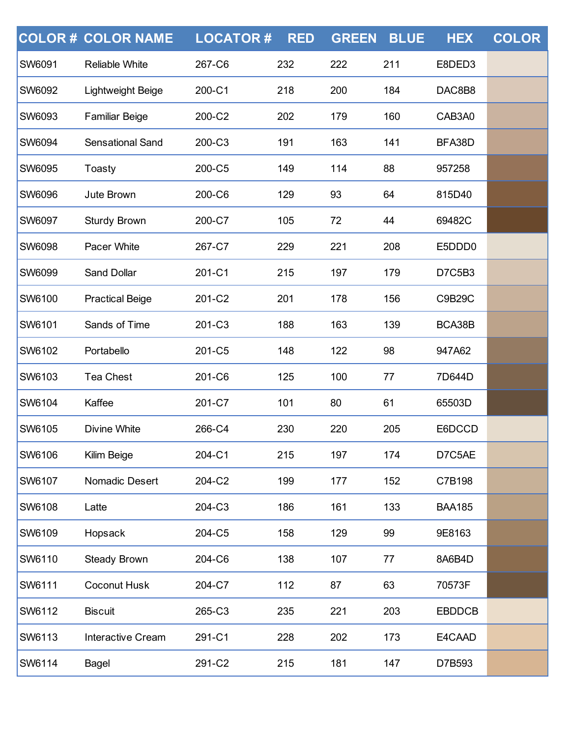|               | <b>COLOR# COLOR NAME</b> | <b>LOCATOR#</b> | <b>RED</b> | <b>GREEN</b> | <b>BLUE</b> | <b>HEX</b>    | <b>COLOR</b> |
|---------------|--------------------------|-----------------|------------|--------------|-------------|---------------|--------------|
| <b>SW6091</b> | <b>Reliable White</b>    | 267-C6          | 232        | 222          | 211         | E8DED3        |              |
| <b>SW6092</b> | Lightweight Beige        | 200-C1          | 218        | 200          | 184         | DAC8B8        |              |
| <b>SW6093</b> | <b>Familiar Beige</b>    | 200-C2          | 202        | 179          | 160         | CAB3A0        |              |
| <b>SW6094</b> | <b>Sensational Sand</b>  | 200-C3          | 191        | 163          | 141         | BFA38D        |              |
| <b>SW6095</b> | Toasty                   | 200-C5          | 149        | 114          | 88          | 957258        |              |
| <b>SW6096</b> | Jute Brown               | 200-C6          | 129        | 93           | 64          | 815D40        |              |
| <b>SW6097</b> | Sturdy Brown             | 200-C7          | 105        | 72           | 44          | 69482C        |              |
| <b>SW6098</b> | Pacer White              | 267-C7          | 229        | 221          | 208         | E5DDD0        |              |
| <b>SW6099</b> | <b>Sand Dollar</b>       | 201-C1          | 215        | 197          | 179         | D7C5B3        |              |
| <b>SW6100</b> | <b>Practical Beige</b>   | 201-C2          | 201        | 178          | 156         | C9B29C        |              |
| <b>SW6101</b> | Sands of Time            | 201-C3          | 188        | 163          | 139         | BCA38B        |              |
| <b>SW6102</b> | Portabello               | 201-C5          | 148        | 122          | 98          | 947A62        |              |
| <b>SW6103</b> | <b>Tea Chest</b>         | 201-C6          | 125        | 100          | 77          | 7D644D        |              |
| <b>SW6104</b> | Kaffee                   | 201-C7          | 101        | 80           | 61          | 65503D        |              |
| <b>SW6105</b> | <b>Divine White</b>      | 266-C4          | 230        | 220          | 205         | E6DCCD        |              |
| <b>SW6106</b> | Kilim Beige              | 204-C1          | 215        | 197          | 174         | D7C5AE        |              |
| <b>SW6107</b> | Nomadic Desert           | 204-C2          | 199        | 177          | 152         | C7B198        |              |
| <b>SW6108</b> | Latte                    | 204-C3          | 186        | 161          | 133         | <b>BAA185</b> |              |
| <b>SW6109</b> | Hopsack                  | 204-C5          | 158        | 129          | 99          | 9E8163        |              |
| SW6110        | <b>Steady Brown</b>      | 204-C6          | 138        | 107          | 77          | 8A6B4D        |              |
| <b>SW6111</b> | <b>Coconut Husk</b>      | 204-C7          | 112        | 87           | 63          | 70573F        |              |
| <b>SW6112</b> | <b>Biscuit</b>           | 265-C3          | 235        | 221          | 203         | <b>EBDDCB</b> |              |
| SW6113        | <b>Interactive Cream</b> | 291-C1          | 228        | 202          | 173         | E4CAAD        |              |
| <b>SW6114</b> | Bagel                    | 291-C2          | 215        | 181          | 147         | D7B593        |              |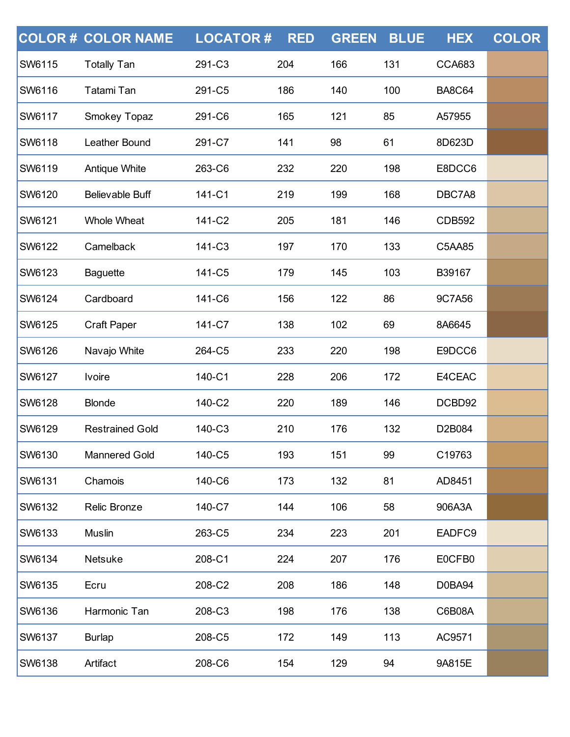|               | <b>COLOR # COLOR NAME</b> | <b>LOCATOR#</b> | <b>RED</b> | <b>GREEN</b> | <b>BLUE</b> | <b>HEX</b>    | <b>COLOR</b> |
|---------------|---------------------------|-----------------|------------|--------------|-------------|---------------|--------------|
| SW6115        | <b>Totally Tan</b>        | 291-C3          | 204        | 166          | 131         | <b>CCA683</b> |              |
| <b>SW6116</b> | Tatami Tan                | 291-C5          | 186        | 140          | 100         | <b>BA8C64</b> |              |
| <b>SW6117</b> | Smokey Topaz              | 291-C6          | 165        | 121          | 85          | A57955        |              |
| SW6118        | Leather Bound             | 291-C7          | 141        | 98           | 61          | 8D623D        |              |
| <b>SW6119</b> | Antique White             | 263-C6          | 232        | 220          | 198         | E8DCC6        |              |
| <b>SW6120</b> | <b>Believable Buff</b>    | 141-C1          | 219        | 199          | 168         | DBC7A8        |              |
| SW6121        | <b>Whole Wheat</b>        | 141-C2          | 205        | 181          | 146         | <b>CDB592</b> |              |
| <b>SW6122</b> | Camelback                 | 141-C3          | 197        | 170          | 133         | C5AA85        |              |
| <b>SW6123</b> | <b>Baguette</b>           | 141-C5          | 179        | 145          | 103         | B39167        |              |
| SW6124        | Cardboard                 | 141-C6          | 156        | 122          | 86          | 9C7A56        |              |
| <b>SW6125</b> | <b>Craft Paper</b>        | 141-C7          | 138        | 102          | 69          | 8A6645        |              |
| <b>SW6126</b> | Navajo White              | 264-C5          | 233        | 220          | 198         | E9DCC6        |              |
| SW6127        | <b>Ivoire</b>             | 140-C1          | 228        | 206          | 172         | E4CEAC        |              |
| <b>SW6128</b> | <b>Blonde</b>             | 140-C2          | 220        | 189          | 146         | DCBD92        |              |
| <b>SW6129</b> | <b>Restrained Gold</b>    | 140-C3          | 210        | 176          | 132         | D2B084        |              |
| <b>SW6130</b> | <b>Mannered Gold</b>      | 140-C5          | 193        | 151          | 99          | C19763        |              |
| <b>SW6131</b> | Chamois                   | 140-C6          | 173        | 132          | 81          | AD8451        |              |
| <b>SW6132</b> | Relic Bronze              | 140-C7          | 144        | 106          | 58          | 906A3A        |              |
| <b>SW6133</b> | Muslin                    | 263-C5          | 234        | 223          | 201         | EADFC9        |              |
| <b>SW6134</b> | Netsuke                   | 208-C1          | 224        | 207          | 176         | E0CFB0        |              |
| <b>SW6135</b> | Ecru                      | 208-C2          | 208        | 186          | 148         | D0BA94        |              |
| SW6136        | Harmonic Tan              | 208-C3          | 198        | 176          | 138         | C6B08A        |              |
| <b>SW6137</b> | <b>Burlap</b>             | 208-C5          | 172        | 149          | 113         | AC9571        |              |
| <b>SW6138</b> | Artifact                  | 208-C6          | 154        | 129          | 94          | 9A815E        |              |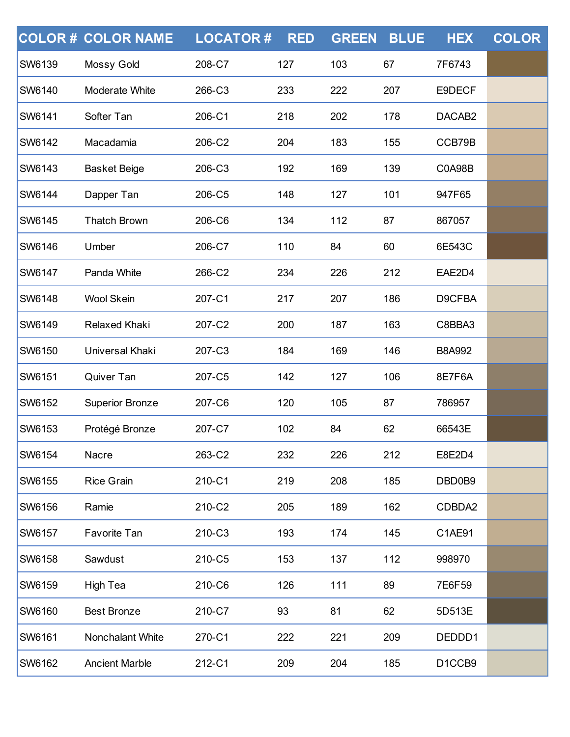|               | <b>COLOR # COLOR NAME</b> | <b>LOCATOR#</b> | <b>RED</b> | <b>GREEN</b> | <b>BLUE</b> | <b>HEX</b>                      | <b>COLOR</b> |
|---------------|---------------------------|-----------------|------------|--------------|-------------|---------------------------------|--------------|
| <b>SW6139</b> | Mossy Gold                | 208-C7          | 127        | 103          | 67          | 7F6743                          |              |
| <b>SW6140</b> | Moderate White            | 266-C3          | 233        | 222          | 207         | E9DECF                          |              |
| <b>SW6141</b> | Softer Tan                | 206-C1          | 218        | 202          | 178         | DACAB2                          |              |
| <b>SW6142</b> | Macadamia                 | 206-C2          | 204        | 183          | 155         | CCB79B                          |              |
| <b>SW6143</b> | <b>Basket Beige</b>       | 206-C3          | 192        | 169          | 139         | <b>C0A98B</b>                   |              |
| <b>SW6144</b> | Dapper Tan                | 206-C5          | 148        | 127          | 101         | 947F65                          |              |
| <b>SW6145</b> | <b>Thatch Brown</b>       | 206-C6          | 134        | 112          | 87          | 867057                          |              |
| <b>SW6146</b> | Umber                     | 206-C7          | 110        | 84           | 60          | 6E543C                          |              |
| <b>SW6147</b> | Panda White               | 266-C2          | 234        | 226          | 212         | EAE2D4                          |              |
| <b>SW6148</b> | <b>Wool Skein</b>         | 207-C1          | 217        | 207          | 186         | D9CFBA                          |              |
| <b>SW6149</b> | Relaxed Khaki             | 207-C2          | 200        | 187          | 163         | C8BBA3                          |              |
| <b>SW6150</b> | Universal Khaki           | 207-C3          | 184        | 169          | 146         | <b>B8A992</b>                   |              |
| <b>SW6151</b> | Quiver Tan                | 207-C5          | 142        | 127          | 106         | 8E7F6A                          |              |
| <b>SW6152</b> | <b>Superior Bronze</b>    | 207-C6          | 120        | 105          | 87          | 786957                          |              |
| <b>SW6153</b> | Protégé Bronze            | 207-C7          | 102        | 84           | 62          | 66543E                          |              |
| <b>SW6154</b> | Nacre                     | 263-C2          | 232        | 226          | 212         | E8E2D4                          |              |
| <b>SW6155</b> | <b>Rice Grain</b>         | 210-C1          | 219        | 208          | 185         | DBD0B9                          |              |
| <b>SW6156</b> | Ramie                     | 210-C2          | 205        | 189          | 162         | CDBDA2                          |              |
| <b>SW6157</b> | Favorite Tan              | 210-C3          | 193        | 174          | 145         | C1AE91                          |              |
| <b>SW6158</b> | Sawdust                   | 210-C5          | 153        | 137          | 112         | 998970                          |              |
| <b>SW6159</b> | High Tea                  | 210-C6          | 126        | 111          | 89          | 7E6F59                          |              |
| <b>SW6160</b> | <b>Best Bronze</b>        | 210-C7          | 93         | 81           | 62          | 5D513E                          |              |
| <b>SW6161</b> | Nonchalant White          | 270-C1          | 222        | 221          | 209         | DEDDD1                          |              |
| <b>SW6162</b> | <b>Ancient Marble</b>     | 212-C1          | 209        | 204          | 185         | D <sub>1</sub> CCB <sub>9</sub> |              |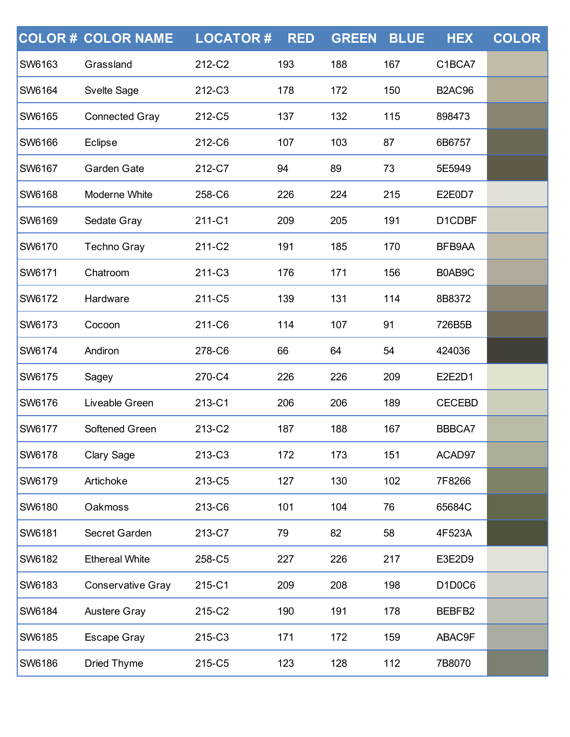|               | <b>COLOR # COLOR NAME</b> | <b>LOCATOR#</b> | <b>RED</b> | <b>GREEN</b> | <b>BLUE</b> | <b>HEX</b>                                   | <b>COLOR</b> |
|---------------|---------------------------|-----------------|------------|--------------|-------------|----------------------------------------------|--------------|
| SW6163        | Grassland                 | 212-C2          | 193        | 188          | 167         | C1BCA7                                       |              |
| <b>SW6164</b> | <b>Svelte Sage</b>        | 212-C3          | 178        | 172          | 150         | <b>B2AC96</b>                                |              |
| <b>SW6165</b> | <b>Connected Gray</b>     | 212-C5          | 137        | 132          | 115         | 898473                                       |              |
| <b>SW6166</b> | Eclipse                   | 212-C6          | 107        | 103          | 87          | 6B6757                                       |              |
| <b>SW6167</b> | Garden Gate               | 212-C7          | 94         | 89           | 73          | 5E5949                                       |              |
| <b>SW6168</b> | Moderne White             | 258-C6          | 226        | 224          | 215         | E2E0D7                                       |              |
| SW6169        | Sedate Gray               | 211-C1          | 209        | 205          | 191         | D1CDBF                                       |              |
| <b>SW6170</b> | <b>Techno Gray</b>        | 211-C2          | 191        | 185          | 170         | BFB9AA                                       |              |
| <b>SW6171</b> | Chatroom                  | 211-C3          | 176        | 171          | 156         | B0AB9C                                       |              |
| SW6172        | Hardware                  | 211-C5          | 139        | 131          | 114         | 8B8372                                       |              |
| <b>SW6173</b> | Cocoon                    | 211-C6          | 114        | 107          | 91          | 726B5B                                       |              |
| <b>SW6174</b> | Andiron                   | 278-C6          | 66         | 64           | 54          | 424036                                       |              |
| SW6175        | Sagey                     | 270-C4          | 226        | 226          | 209         | E2E2D1                                       |              |
| <b>SW6176</b> | Liveable Green            | 213-C1          | 206        | 206          | 189         | <b>CECEBD</b>                                |              |
| <b>SW6177</b> | Softened Green            | 213-C2          | 187        | 188          | 167         | BBBCA7                                       |              |
| SW6178        | Clary Sage                | 213-C3          | 172        | 173          | 151         | ACAD97                                       |              |
| <b>SW6179</b> | Artichoke                 | 213-C5          | 127        | 130          | 102         | 7F8266                                       |              |
| <b>SW6180</b> | Oakmoss                   | 213-C6          | 101        | 104          | 76          | 65684C                                       |              |
| SW6181        | Secret Garden             | 213-C7          | 79         | 82           | 58          | 4F523A                                       |              |
| <b>SW6182</b> | <b>Ethereal White</b>     | 258-C5          | 227        | 226          | 217         | E3E2D9                                       |              |
| <b>SW6183</b> | <b>Conservative Gray</b>  | 215-C1          | 209        | 208          | 198         | D <sub>1</sub> D <sub>0</sub> C <sub>6</sub> |              |
| SW6184        | <b>Austere Gray</b>       | 215-C2          | 190        | 191          | 178         | BEBFB2                                       |              |
| <b>SW6185</b> | <b>Escape Gray</b>        | 215-C3          | 171        | 172          | 159         | ABAC9F                                       |              |
| SW6186        | <b>Dried Thyme</b>        | 215-C5          | 123        | 128          | 112         | 7B8070                                       |              |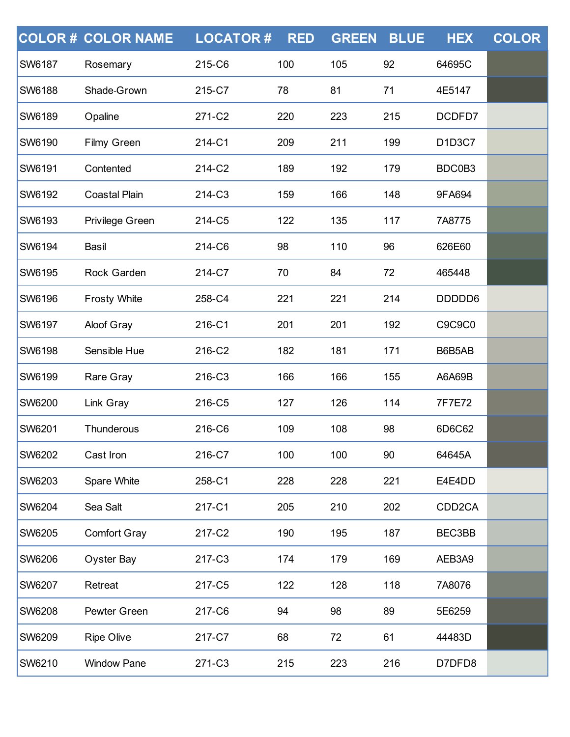|               | <b>COLOR # COLOR NAME</b> | <b>LOCATOR#</b> | <b>RED</b> | <b>GREEN</b> | <b>BLUE</b> | <b>HEX</b>          | <b>COLOR</b> |
|---------------|---------------------------|-----------------|------------|--------------|-------------|---------------------|--------------|
| <b>SW6187</b> | Rosemary                  | 215-C6          | 100        | 105          | 92          | 64695C              |              |
| <b>SW6188</b> | Shade-Grown               | 215-C7          | 78         | 81           | 71          | 4E5147              |              |
| <b>SW6189</b> | Opaline                   | 271-C2          | 220        | 223          | 215         | DCDFD7              |              |
| <b>SW6190</b> | <b>Filmy Green</b>        | 214-C1          | 209        | 211          | 199         | D1D3C7              |              |
| <b>SW6191</b> | Contented                 | 214-C2          | 189        | 192          | 179         | BDC0B3              |              |
| <b>SW6192</b> | <b>Coastal Plain</b>      | 214-C3          | 159        | 166          | 148         | 9FA694              |              |
| <b>SW6193</b> | Privilege Green           | 214-C5          | 122        | 135          | 117         | 7A8775              |              |
| <b>SW6194</b> | Basil                     | 214-C6          | 98         | 110          | 96          | 626E60              |              |
| <b>SW6195</b> | Rock Garden               | 214-C7          | 70         | 84           | 72          | 465448              |              |
| <b>SW6196</b> | <b>Frosty White</b>       | 258-C4          | 221        | 221          | 214         | DDDDD6              |              |
| <b>SW6197</b> | <b>Aloof Gray</b>         | 216-C1          | 201        | 201          | 192         | C9C9C0              |              |
| <b>SW6198</b> | Sensible Hue              | 216-C2          | 182        | 181          | 171         | B6B5AB              |              |
| <b>SW6199</b> | Rare Gray                 | 216-C3          | 166        | 166          | 155         | A6A69B              |              |
| <b>SW6200</b> | Link Gray                 | 216-C5          | 127        | 126          | 114         | 7F7E72              |              |
| <b>SW6201</b> | Thunderous                | 216-C6          | 109        | 108          | 98          | 6D6C62              |              |
| <b>SW6202</b> | Cast Iron                 | 216-C7          | 100        | 100          | 90          | 64645A              |              |
| <b>SW6203</b> | Spare White               | 258-C1          | 228        | 228          | 221         | E4E4DD              |              |
| <b>SW6204</b> | Sea Salt                  | 217-C1          | 205        | 210          | 202         | CDD <sub>2</sub> CA |              |
| <b>SW6205</b> | <b>Comfort Gray</b>       | 217-C2          | 190        | 195          | 187         | BEC3BB              |              |
| <b>SW6206</b> | Oyster Bay                | 217-C3          | 174        | 179          | 169         | AEB3A9              |              |
| <b>SW6207</b> | Retreat                   | 217-C5          | 122        | 128          | 118         | 7A8076              |              |
| <b>SW6208</b> | Pewter Green              | 217-C6          | 94         | 98           | 89          | 5E6259              |              |
| <b>SW6209</b> | <b>Ripe Olive</b>         | 217-C7          | 68         | 72           | 61          | 44483D              |              |
| <b>SW6210</b> | <b>Window Pane</b>        | 271-C3          | 215        | 223          | 216         | D7DFD8              |              |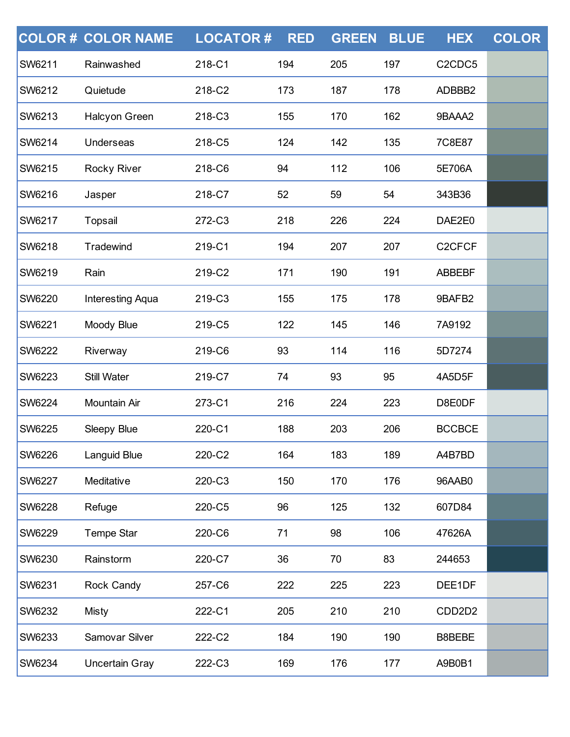|               | <b>COLOR# COLOR NAME</b> | <b>LOCATOR#</b> | <b>RED</b> | <b>GREEN</b> | <b>BLUE</b> | <b>HEX</b>                                   | <b>COLOR</b> |
|---------------|--------------------------|-----------------|------------|--------------|-------------|----------------------------------------------|--------------|
| <b>SW6211</b> | Rainwashed               | 218-C1          | 194        | 205          | 197         | C <sub>2</sub> C <sub>D</sub> C <sub>5</sub> |              |
| <b>SW6212</b> | Quietude                 | 218-C2          | 173        | 187          | 178         | ADBBB2                                       |              |
| <b>SW6213</b> | Halcyon Green            | 218-C3          | 155        | 170          | 162         | 9BAAA2                                       |              |
| <b>SW6214</b> | Underseas                | 218-C5          | 124        | 142          | 135         | 7C8E87                                       |              |
| <b>SW6215</b> | <b>Rocky River</b>       | 218-C6          | 94         | 112          | 106         | 5E706A                                       |              |
| <b>SW6216</b> | Jasper                   | 218-C7          | 52         | 59           | 54          | 343B36                                       |              |
| <b>SW6217</b> | Topsail                  | 272-C3          | 218        | 226          | 224         | DAE2E0                                       |              |
| <b>SW6218</b> | Tradewind                | 219-C1          | 194        | 207          | 207         | C <sub>2</sub> CFCF                          |              |
| <b>SW6219</b> | Rain                     | 219-C2          | 171        | 190          | 191         | <b>ABBEBF</b>                                |              |
| <b>SW6220</b> | Interesting Aqua         | 219-C3          | 155        | 175          | 178         | 9BAFB2                                       |              |
| <b>SW6221</b> | Moody Blue               | 219-C5          | 122        | 145          | 146         | 7A9192                                       |              |
| <b>SW6222</b> | Riverway                 | 219-C6          | 93         | 114          | 116         | 5D7274                                       |              |
| <b>SW6223</b> | <b>Still Water</b>       | 219-C7          | 74         | 93           | 95          | 4A5D5F                                       |              |
| <b>SW6224</b> | Mountain Air             | 273-C1          | 216        | 224          | 223         | D8E0DF                                       |              |
| <b>SW6225</b> | Sleepy Blue              | 220-C1          | 188        | 203          | 206         | <b>BCCBCE</b>                                |              |
| <b>SW6226</b> | Languid Blue             | 220-C2          | 164        | 183          | 189         | A4B7BD                                       |              |
| <b>SW6227</b> | Meditative               | 220-C3          | 150        | 170          | 176         | 96AAB0                                       |              |
| <b>SW6228</b> | Refuge                   | 220-C5          | 96         | 125          | 132         | 607D84                                       |              |
| <b>SW6229</b> | Tempe Star               | 220-C6          | 71         | 98           | 106         | 47626A                                       |              |
| <b>SW6230</b> | Rainstorm                | 220-C7          | 36         | 70           | 83          | 244653                                       |              |
| <b>SW6231</b> | Rock Candy               | 257-C6          | 222        | 225          | 223         | DEE1DF                                       |              |
| <b>SW6232</b> | <b>Misty</b>             | 222-C1          | 205        | 210          | 210         | CDD <sub>2</sub> D <sub>2</sub>              |              |
| <b>SW6233</b> | Samovar Silver           | 222-C2          | 184        | 190          | 190         | B8BEBE                                       |              |
| SW6234        | <b>Uncertain Gray</b>    | 222-C3          | 169        | 176          | 177         | A9B0B1                                       |              |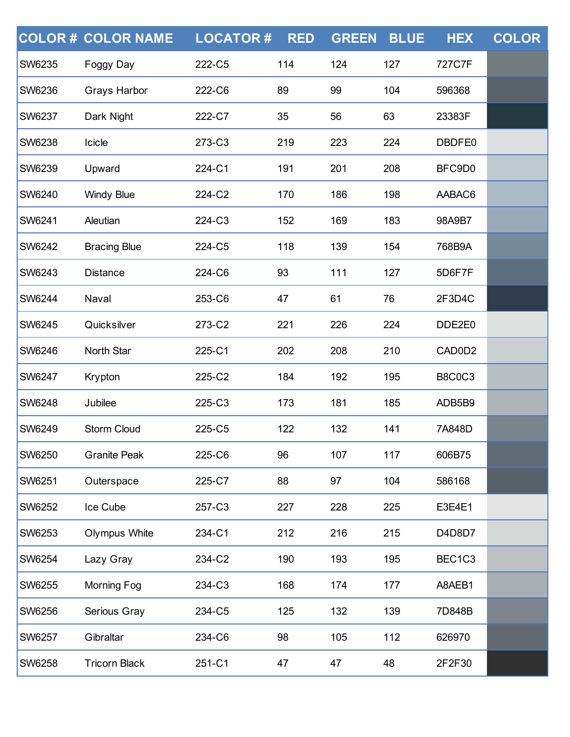|               | <b>COLOR# COLOR NAME</b> | <b>LOCATOR#</b> | <b>RED</b> | <b>GREEN</b> | <b>BLUE</b> | <b>HEX</b>    | <b>COLOR</b> |
|---------------|--------------------------|-----------------|------------|--------------|-------------|---------------|--------------|
| <b>SW6235</b> | Foggy Day                | 222-C5          | 114        | 124          | 127         | 727C7F        |              |
| <b>SW6236</b> | <b>Grays Harbor</b>      | 222-C6          | 89         | 99           | 104         | 596368        |              |
| <b>SW6237</b> | Dark Night               | 222-C7          | 35         | 56           | 63          | 23383F        |              |
| <b>SW6238</b> | Icicle                   | 273-C3          | 219        | 223          | 224         | DBDFE0        |              |
| <b>SW6239</b> | Upward                   | 224-C1          | 191        | 201          | 208         | BFC9D0        |              |
| <b>SW6240</b> | <b>Windy Blue</b>        | 224-C2          | 170        | 186          | 198         | AABAC6        |              |
| <b>SW6241</b> | Aleutian                 | 224-C3          | 152        | 169          | 183         | 98A9B7        |              |
| <b>SW6242</b> | <b>Bracing Blue</b>      | 224-C5          | 118        | 139          | 154         | 768B9A        |              |
| <b>SW6243</b> | <b>Distance</b>          | 224-C6          | 93         | 111          | 127         | 5D6F7F        |              |
| <b>SW6244</b> | Naval                    | 253-C6          | 47         | 61           | 76          | 2F3D4C        |              |
| <b>SW6245</b> | Quicksilver              | 273-C2          | 221        | 226          | 224         | DDE2E0        |              |
| <b>SW6246</b> | North Star               | 225-C1          | 202        | 208          | 210         | CAD0D2        |              |
| <b>SW6247</b> | Krypton                  | 225-C2          | 184        | 192          | 195         | <b>B8C0C3</b> |              |
| <b>SW6248</b> | Jubilee                  | 225-C3          | 173        | 181          | 185         | ADB5B9        |              |
| <b>SW6249</b> | Storm Cloud              | 225-C5          | 122        | 132          | 141         | 7A848D        |              |
| <b>SW6250</b> | <b>Granite Peak</b>      | 225-C6          | 96         | 107          | 117         | 606B75        |              |
| <b>SW6251</b> | Outerspace               | 225-C7          | 88         | 97           | 104         | 586168        |              |
| <b>SW6252</b> | Ice Cube                 | 257-C3          | 227        | 228          | 225         | E3E4E1        |              |
| <b>SW6253</b> | Olympus White            | 234-C1          | 212        | 216          | 215         | D4D8D7        |              |
| <b>SW6254</b> | Lazy Gray                | 234-C2          | 190        | 193          | 195         | BEC1C3        |              |
| <b>SW6255</b> | Morning Fog              | 234-C3          | 168        | 174          | 177         | A8AEB1        |              |
| <b>SW6256</b> | Serious Gray             | 234-C5          | 125        | 132          | 139         | 7D848B        |              |
| <b>SW6257</b> | Gibraltar                | 234-C6          | 98         | 105          | 112         | 626970        |              |
| SW6258        | <b>Tricorn Black</b>     | 251-C1          | 47         | 47           | 48          | 2F2F30        |              |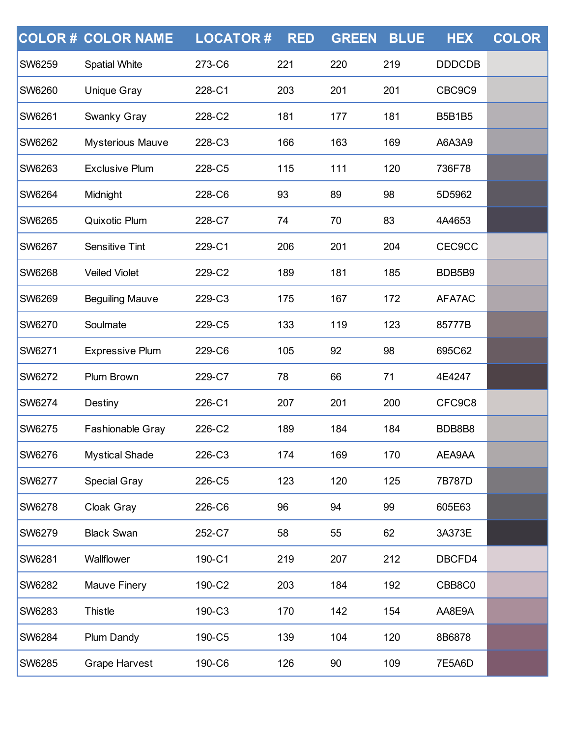|               | <b>COLOR # COLOR NAME</b> | <b>LOCATOR#</b> | <b>RED</b> | <b>GREEN</b> | <b>BLUE</b> | <b>HEX</b>    | <b>COLOR</b> |
|---------------|---------------------------|-----------------|------------|--------------|-------------|---------------|--------------|
| <b>SW6259</b> | <b>Spatial White</b>      | 273-C6          | 221        | 220          | 219         | <b>DDDCDB</b> |              |
| <b>SW6260</b> | <b>Unique Gray</b>        | 228-C1          | 203        | 201          | 201         | CBC9C9        |              |
| <b>SW6261</b> | Swanky Gray               | 228-C2          | 181        | 177          | 181         | <b>B5B1B5</b> |              |
| <b>SW6262</b> | <b>Mysterious Mauve</b>   | 228-C3          | 166        | 163          | 169         | A6A3A9        |              |
| <b>SW6263</b> | <b>Exclusive Plum</b>     | 228-C5          | 115        | 111          | 120         | 736F78        |              |
| <b>SW6264</b> | Midnight                  | 228-C6          | 93         | 89           | 98          | 5D5962        |              |
| <b>SW6265</b> | Quixotic Plum             | 228-C7          | 74         | 70           | 83          | 4A4653        |              |
| <b>SW6267</b> | <b>Sensitive Tint</b>     | 229-C1          | 206        | 201          | 204         | <b>CEC9CC</b> |              |
| <b>SW6268</b> | <b>Veiled Violet</b>      | 229-C2          | 189        | 181          | 185         | BDB5B9        |              |
| <b>SW6269</b> | <b>Beguiling Mauve</b>    | 229-C3          | 175        | 167          | 172         | AFA7AC        |              |
| <b>SW6270</b> | Soulmate                  | 229-C5          | 133        | 119          | 123         | 85777B        |              |
| <b>SW6271</b> | <b>Expressive Plum</b>    | 229-C6          | 105        | 92           | 98          | 695C62        |              |
| <b>SW6272</b> | Plum Brown                | 229-C7          | 78         | 66           | 71          | 4E4247        |              |
| <b>SW6274</b> | Destiny                   | 226-C1          | 207        | 201          | 200         | CFC9C8        |              |
| <b>SW6275</b> | Fashionable Gray          | 226-C2          | 189        | 184          | 184         | BDB8B8        |              |
| <b>SW6276</b> | <b>Mystical Shade</b>     | 226-C3          | 174        | 169          | 170         | AEA9AA        |              |
| <b>SW6277</b> | <b>Special Gray</b>       | 226-C5          | 123        | 120          | 125         | 7B787D        |              |
| <b>SW6278</b> | Cloak Gray                | 226-C6          | 96         | 94           | 99          | 605E63        |              |
| <b>SW6279</b> | <b>Black Swan</b>         | 252-C7          | 58         | 55           | 62          | 3A373E        |              |
| <b>SW6281</b> | Wallflower                | 190-C1          | 219        | 207          | 212         | DBCFD4        |              |
| <b>SW6282</b> | Mauve Finery              | 190-C2          | 203        | 184          | 192         | CBB8C0        |              |
| SW6283        | <b>Thistle</b>            | 190-C3          | 170        | 142          | 154         | AA8E9A        |              |
| <b>SW6284</b> | Plum Dandy                | 190-C5          | 139        | 104          | 120         | 8B6878        |              |
| SW6285        | <b>Grape Harvest</b>      | 190-C6          | 126        | 90           | 109         | 7E5A6D        |              |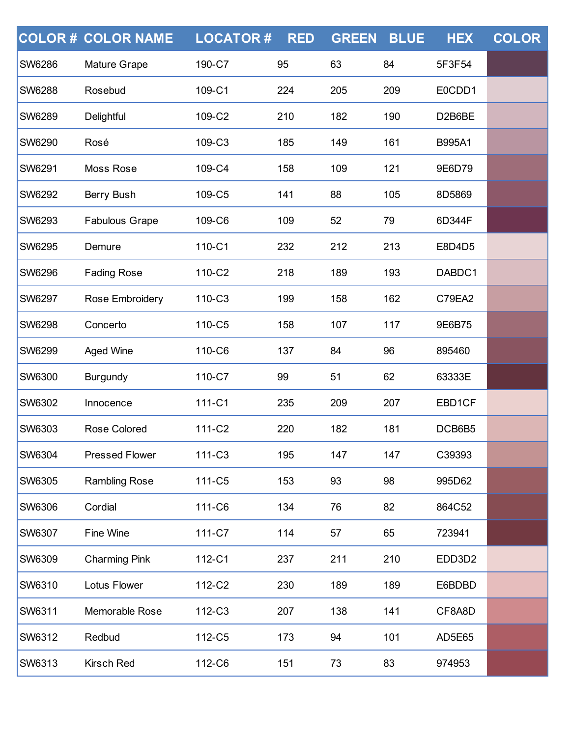|               | <b>COLOR # COLOR NAME</b> | <b>LOCATOR#</b> | <b>RED</b> | <b>GREEN</b> | <b>BLUE</b> | <b>HEX</b> | <b>COLOR</b> |
|---------------|---------------------------|-----------------|------------|--------------|-------------|------------|--------------|
| SW6286        | Mature Grape              | 190-C7          | 95         | 63           | 84          | 5F3F54     |              |
| <b>SW6288</b> | Rosebud                   | 109-C1          | 224        | 205          | 209         | E0CDD1     |              |
| SW6289        | Delightful                | 109-C2          | 210        | 182          | 190         | D2B6BE     |              |
| SW6290        | Rosé                      | 109-C3          | 185        | 149          | 161         | B995A1     |              |
| <b>SW6291</b> | Moss Rose                 | 109-C4          | 158        | 109          | 121         | 9E6D79     |              |
| SW6292        | Berry Bush                | 109-C5          | 141        | 88           | 105         | 8D5869     |              |
| SW6293        | <b>Fabulous Grape</b>     | 109-C6          | 109        | 52           | 79          | 6D344F     |              |
| <b>SW6295</b> | Demure                    | 110-C1          | 232        | 212          | 213         | E8D4D5     |              |
| SW6296        | <b>Fading Rose</b>        | 110-C2          | 218        | 189          | 193         | DABDC1     |              |
| SW6297        | Rose Embroidery           | 110-C3          | 199        | 158          | 162         | C79EA2     |              |
| <b>SW6298</b> | Concerto                  | 110-C5          | 158        | 107          | 117         | 9E6B75     |              |
| SW6299        | <b>Aged Wine</b>          | 110-C6          | 137        | 84           | 96          | 895460     |              |
| SW6300        | <b>Burgundy</b>           | 110-C7          | 99         | 51           | 62          | 63333E     |              |
| SW6302        | Innocence                 | 111-C1          | 235        | 209          | 207         | EBD1CF     |              |
| SW6303        | Rose Colored              | 111-C2          | 220        | 182          | 181         | DCB6B5     |              |
| SW6304        | <b>Pressed Flower</b>     | 111-C3          | 195        | 147          | 147         | C39393     |              |
| <b>SW6305</b> | <b>Rambling Rose</b>      | 111-C5          | 153        | 93           | 98          | 995D62     |              |
| SW6306        | Cordial                   | 111-C6          | 134        | 76           | 82          | 864C52     |              |
| SW6307        | Fine Wine                 | 111-C7          | 114        | 57           | 65          | 723941     |              |
| <b>SW6309</b> | <b>Charming Pink</b>      | 112-C1          | 237        | 211          | 210         | EDD3D2     |              |
| SW6310        | Lotus Flower              | 112-C2          | 230        | 189          | 189         | E6BDBD     |              |
| SW6311        | Memorable Rose            | 112-C3          | 207        | 138          | 141         | CF8A8D     |              |
| <b>SW6312</b> | Redbud                    | 112-C5          | 173        | 94           | 101         | AD5E65     |              |
| SW6313        | Kirsch Red                | 112-C6          | 151        | 73           | 83          | 974953     |              |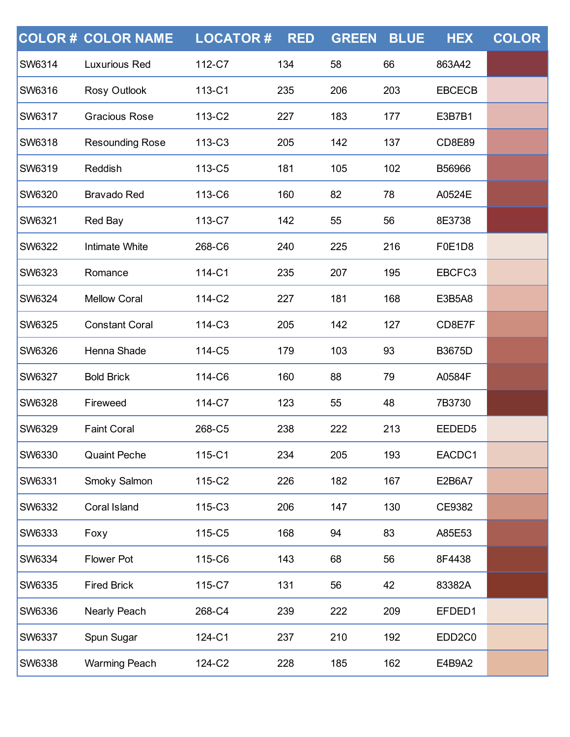|               | <b>COLOR# COLOR NAME</b> | <b>LOCATOR#</b> | <b>RED</b> | <b>GREEN</b> | <b>BLUE</b> | <b>HEX</b>          | <b>COLOR</b> |
|---------------|--------------------------|-----------------|------------|--------------|-------------|---------------------|--------------|
| <b>SW6314</b> | <b>Luxurious Red</b>     | 112-C7          | 134        | 58           | 66          | 863A42              |              |
| <b>SW6316</b> | Rosy Outlook             | 113-C1          | 235        | 206          | 203         | <b>EBCECB</b>       |              |
| <b>SW6317</b> | <b>Gracious Rose</b>     | 113-C2          | 227        | 183          | 177         | E3B7B1              |              |
| <b>SW6318</b> | <b>Resounding Rose</b>   | 113-C3          | 205        | 142          | 137         | <b>CD8E89</b>       |              |
| <b>SW6319</b> | Reddish                  | 113-C5          | 181        | 105          | 102         | B56966              |              |
| <b>SW6320</b> | <b>Bravado Red</b>       | 113-C6          | 160        | 82           | 78          | A0524E              |              |
| <b>SW6321</b> | Red Bay                  | 113-C7          | 142        | 55           | 56          | 8E3738              |              |
| <b>SW6322</b> | <b>Intimate White</b>    | 268-C6          | 240        | 225          | 216         | F0E1D8              |              |
| <b>SW6323</b> | Romance                  | 114-C1          | 235        | 207          | 195         | EBCFC3              |              |
| <b>SW6324</b> | <b>Mellow Coral</b>      | 114-C2          | 227        | 181          | 168         | E3B5A8              |              |
| <b>SW6325</b> | <b>Constant Coral</b>    | 114-C3          | 205        | 142          | 127         | CD8E7F              |              |
| <b>SW6326</b> | Henna Shade              | 114-C5          | 179        | 103          | 93          | <b>B3675D</b>       |              |
| <b>SW6327</b> | <b>Bold Brick</b>        | 114-C6          | 160        | 88           | 79          | A0584F              |              |
| <b>SW6328</b> | Fireweed                 | 114-C7          | 123        | 55           | 48          | 7B3730              |              |
| <b>SW6329</b> | <b>Faint Coral</b>       | 268-C5          | 238        | 222          | 213         | EEDED5              |              |
| <b>SW6330</b> | <b>Quaint Peche</b>      | 115-C1          | 234        | 205          | 193         | EACDC1              |              |
| <b>SW6331</b> | Smoky Salmon             | 115-C2          | 226        | 182          | 167         | E2B6A7              |              |
| <b>SW6332</b> | Coral Island             | 115-C3          | 206        | 147          | 130         | CE9382              |              |
| <b>SW6333</b> | Foxy                     | 115-C5          | 168        | 94           | 83          | A85E53              |              |
| <b>SW6334</b> | <b>Flower Pot</b>        | 115-C6          | 143        | 68           | 56          | 8F4438              |              |
| <b>SW6335</b> | <b>Fired Brick</b>       | 115-C7          | 131        | 56           | 42          | 83382A              |              |
| <b>SW6336</b> | Nearly Peach             | 268-C4          | 239        | 222          | 209         | EFDED1              |              |
| <b>SW6337</b> | Spun Sugar               | 124-C1          | 237        | 210          | 192         | EDD <sub>2</sub> C0 |              |
| SW6338        | <b>Warming Peach</b>     | 124-C2          | 228        | 185          | 162         | E4B9A2              |              |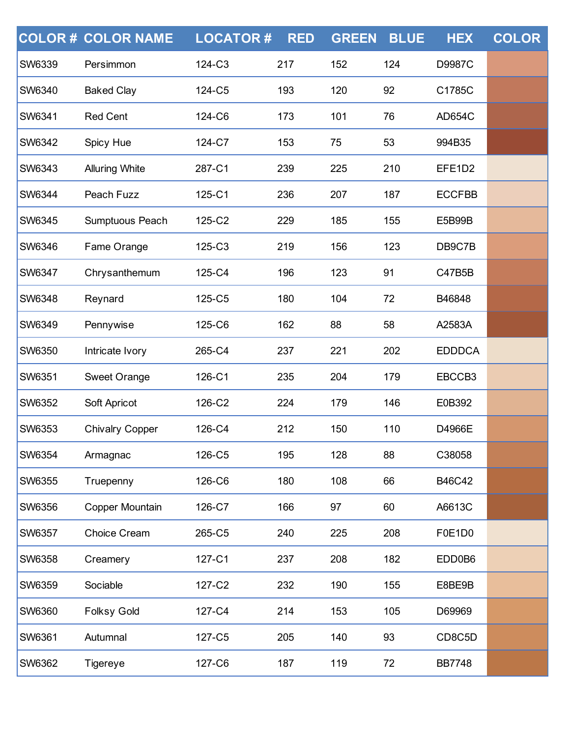|               | <b>COLOR # COLOR NAME</b> | <b>LOCATOR#</b> | <b>RED</b> | <b>GREEN</b> | <b>BLUE</b> | <b>HEX</b>    | <b>COLOR</b> |
|---------------|---------------------------|-----------------|------------|--------------|-------------|---------------|--------------|
| <b>SW6339</b> | Persimmon                 | 124-C3          | 217        | 152          | 124         | D9987C        |              |
| <b>SW6340</b> | <b>Baked Clay</b>         | 124-C5          | 193        | 120          | 92          | C1785C        |              |
| <b>SW6341</b> | <b>Red Cent</b>           | 124-C6          | 173        | 101          | 76          | <b>AD654C</b> |              |
| <b>SW6342</b> | Spicy Hue                 | 124-C7          | 153        | 75           | 53          | 994B35        |              |
| <b>SW6343</b> | <b>Alluring White</b>     | 287-C1          | 239        | 225          | 210         | EFE1D2        |              |
| SW6344        | Peach Fuzz                | 125-C1          | 236        | 207          | 187         | <b>ECCFBB</b> |              |
| <b>SW6345</b> | Sumptuous Peach           | 125-C2          | 229        | 185          | 155         | E5B99B        |              |
| <b>SW6346</b> | Fame Orange               | 125-C3          | 219        | 156          | 123         | DB9C7B        |              |
| SW6347        | Chrysanthemum             | 125-C4          | 196        | 123          | 91          | C47B5B        |              |
| <b>SW6348</b> | Reynard                   | 125-C5          | 180        | 104          | 72          | B46848        |              |
| <b>SW6349</b> | Pennywise                 | 125-C6          | 162        | 88           | 58          | A2583A        |              |
| SW6350        | Intricate Ivory           | 265-C4          | 237        | 221          | 202         | <b>EDDDCA</b> |              |
| <b>SW6351</b> | <b>Sweet Orange</b>       | 126-C1          | 235        | 204          | 179         | EBCCB3        |              |
| <b>SW6352</b> | Soft Apricot              | 126-C2          | 224        | 179          | 146         | E0B392        |              |
| <b>SW6353</b> | <b>Chivalry Copper</b>    | 126-C4          | 212        | 150          | 110         | D4966E        |              |
| <b>SW6354</b> | Armagnac                  | 126-C5          | 195        | 128          | 88          | C38058        |              |
| <b>SW6355</b> | Truepenny                 | 126-C6          | 180        | 108          | 66          | B46C42        |              |
| <b>SW6356</b> | Copper Mountain           | 126-C7          | 166        | 97           | 60          | A6613C        |              |
| <b>SW6357</b> | Choice Cream              | 265-C5          | 240        | 225          | 208         | F0E1D0        |              |
| <b>SW6358</b> | Creamery                  | 127-C1          | 237        | 208          | 182         | EDD0B6        |              |
| <b>SW6359</b> | Sociable                  | 127-C2          | 232        | 190          | 155         | E8BE9B        |              |
| SW6360        | <b>Folksy Gold</b>        | 127-C4          | 214        | 153          | 105         | D69969        |              |
| <b>SW6361</b> | Autumnal                  | 127-C5          | 205        | 140          | 93          | CD8C5D        |              |
| SW6362        | <b>Tigereye</b>           | 127-C6          | 187        | 119          | 72          | <b>BB7748</b> |              |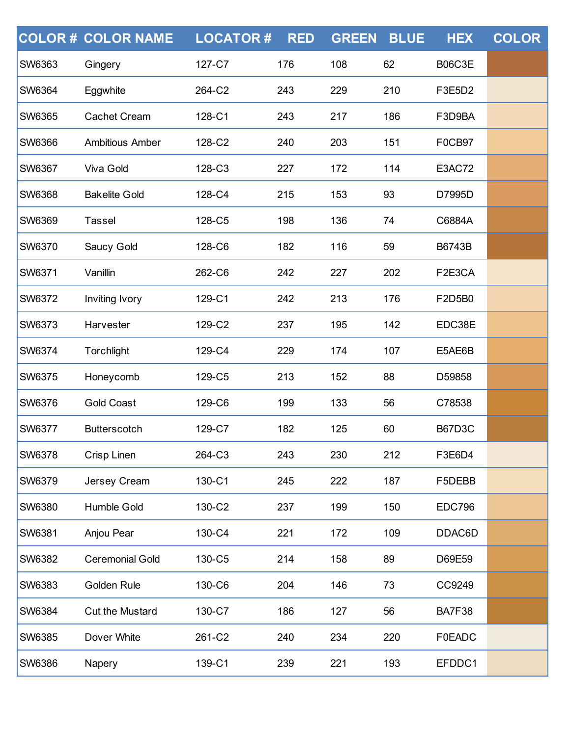|               | <b>COLOR # COLOR NAME</b> | <b>LOCATOR#</b> | <b>RED</b> | <b>GREEN</b> | <b>BLUE</b> | <b>HEX</b>    | <b>COLOR</b> |
|---------------|---------------------------|-----------------|------------|--------------|-------------|---------------|--------------|
| <b>SW6363</b> | Gingery                   | 127-C7          | 176        | 108          | 62          | B06C3E        |              |
| <b>SW6364</b> | Eggwhite                  | 264-C2          | 243        | 229          | 210         | F3E5D2        |              |
| <b>SW6365</b> | <b>Cachet Cream</b>       | 128-C1          | 243        | 217          | 186         | F3D9BA        |              |
| <b>SW6366</b> | <b>Ambitious Amber</b>    | 128-C2          | 240        | 203          | 151         | <b>F0CB97</b> |              |
| <b>SW6367</b> | <b>Viva Gold</b>          | 128-C3          | 227        | 172          | 114         | E3AC72        |              |
| <b>SW6368</b> | <b>Bakelite Gold</b>      | 128-C4          | 215        | 153          | 93          | D7995D        |              |
| <b>SW6369</b> | <b>Tassel</b>             | 128-C5          | 198        | 136          | 74          | C6884A        |              |
| <b>SW6370</b> | Saucy Gold                | 128-C6          | 182        | 116          | 59          | <b>B6743B</b> |              |
| <b>SW6371</b> | Vanillin                  | 262-C6          | 242        | 227          | 202         | F2E3CA        |              |
| <b>SW6372</b> | Inviting Ivory            | 129-C1          | 242        | 213          | 176         | F2D5B0        |              |
| <b>SW6373</b> | Harvester                 | 129-C2          | 237        | 195          | 142         | EDC38E        |              |
| <b>SW6374</b> | Torchlight                | 129-C4          | 229        | 174          | 107         | E5AE6B        |              |
| <b>SW6375</b> | Honeycomb                 | 129-C5          | 213        | 152          | 88          | D59858        |              |
| <b>SW6376</b> | <b>Gold Coast</b>         | 129-C6          | 199        | 133          | 56          | C78538        |              |
| <b>SW6377</b> | <b>Butterscotch</b>       | 129-C7          | 182        | 125          | 60          | <b>B67D3C</b> |              |
| <b>SW6378</b> | Crisp Linen               | 264-C3          | 243        | 230          | 212         | F3E6D4        |              |
| <b>SW6379</b> | Jersey Cream              | 130-C1          | 245        | 222          | 187         | F5DEBB        |              |
| <b>SW6380</b> | Humble Gold               | 130-C2          | 237        | 199          | 150         | <b>EDC796</b> |              |
| <b>SW6381</b> | Anjou Pear                | 130-C4          | 221        | 172          | 109         | DDAC6D        |              |
| <b>SW6382</b> | <b>Ceremonial Gold</b>    | 130-C5          | 214        | 158          | 89          | D69E59        |              |
| <b>SW6383</b> | Golden Rule               | 130-C6          | 204        | 146          | 73          | CC9249        |              |
| <b>SW6384</b> | <b>Cut the Mustard</b>    | 130-C7          | 186        | 127          | 56          | BA7F38        |              |
| <b>SW6385</b> | Dover White               | 261-C2          | 240        | 234          | 220         | <b>F0EADC</b> |              |
| SW6386        | Napery                    | 139-C1          | 239        | 221          | 193         | EFDDC1        |              |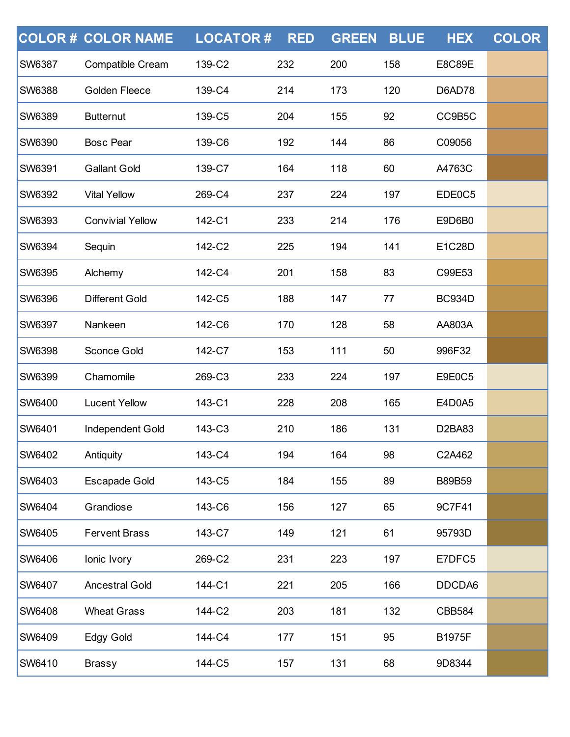|               | <b>COLOR # COLOR NAME</b> | <b>LOCATOR#</b> | <b>RED</b> | <b>GREEN</b> | <b>BLUE</b> | <b>HEX</b>    | <b>COLOR</b> |
|---------------|---------------------------|-----------------|------------|--------------|-------------|---------------|--------------|
| <b>SW6387</b> | Compatible Cream          | 139-C2          | 232        | 200          | 158         | <b>E8C89E</b> |              |
| <b>SW6388</b> | Golden Fleece             | 139-C4          | 214        | 173          | 120         | D6AD78        |              |
| <b>SW6389</b> | <b>Butternut</b>          | 139-C5          | 204        | 155          | 92          | CC9B5C        |              |
| <b>SW6390</b> | <b>Bosc Pear</b>          | 139-C6          | 192        | 144          | 86          | C09056        |              |
| <b>SW6391</b> | <b>Gallant Gold</b>       | 139-C7          | 164        | 118          | 60          | A4763C        |              |
| <b>SW6392</b> | <b>Vital Yellow</b>       | 269-C4          | 237        | 224          | 197         | EDE0C5        |              |
| <b>SW6393</b> | <b>Convivial Yellow</b>   | 142-C1          | 233        | 214          | 176         | E9D6B0        |              |
| <b>SW6394</b> | Sequin                    | 142-C2          | 225        | 194          | 141         | E1C28D        |              |
| SW6395        | Alchemy                   | 142-C4          | 201        | 158          | 83          | C99E53        |              |
| <b>SW6396</b> | <b>Different Gold</b>     | 142-C5          | 188        | 147          | 77          | <b>BC934D</b> |              |
| <b>SW6397</b> | Nankeen                   | 142-C6          | 170        | 128          | 58          | AA803A        |              |
| SW6398        | Sconce Gold               | 142-C7          | 153        | 111          | 50          | 996F32        |              |
| <b>SW6399</b> | Chamomile                 | 269-C3          | 233        | 224          | 197         | E9E0C5        |              |
| <b>SW6400</b> | <b>Lucent Yellow</b>      | 143-C1          | 228        | 208          | 165         | E4D0A5        |              |
| <b>SW6401</b> | Independent Gold          | 143-C3          | 210        | 186          | 131         | D2BA83        |              |
| <b>SW6402</b> | Antiquity                 | 143-C4          | 194        | 164          | 98          | C2A462        |              |
| <b>SW6403</b> | <b>Escapade Gold</b>      | 143-C5          | 184        | 155          | 89          | <b>B89B59</b> |              |
| <b>SW6404</b> | Grandiose                 | 143-C6          | 156        | 127          | 65          | 9C7F41        |              |
| <b>SW6405</b> | <b>Fervent Brass</b>      | 143-C7          | 149        | 121          | 61          | 95793D        |              |
| <b>SW6406</b> | lonic Ivory               | 269-C2          | 231        | 223          | 197         | E7DFC5        |              |
| <b>SW6407</b> | <b>Ancestral Gold</b>     | 144-C1          | 221        | 205          | 166         | DDCDA6        |              |
| <b>SW6408</b> | <b>Wheat Grass</b>        | 144-C2          | 203        | 181          | 132         | <b>CBB584</b> |              |
| <b>SW6409</b> | <b>Edgy Gold</b>          | 144-C4          | 177        | 151          | 95          | <b>B1975F</b> |              |
| <b>SW6410</b> | <b>Brassy</b>             | 144-C5          | 157        | 131          | 68          | 9D8344        |              |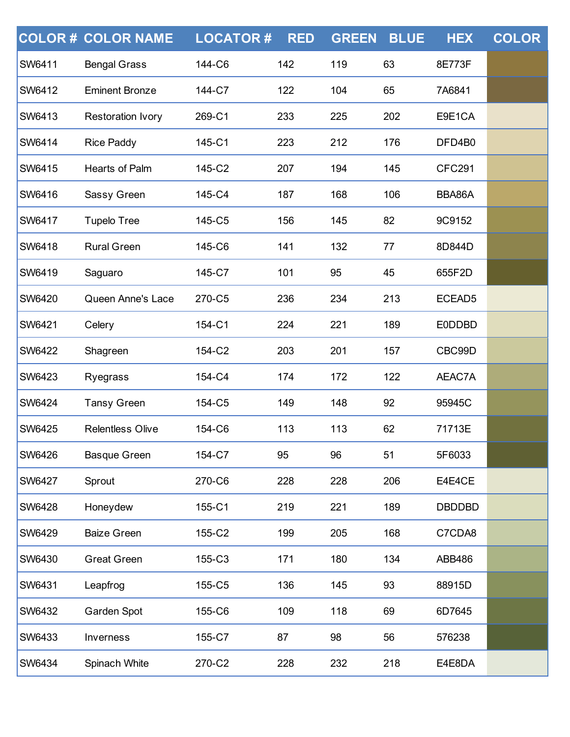|               | <b>COLOR # COLOR NAME</b> | <b>LOCATOR#</b> | <b>RED</b> | <b>GREEN</b> | <b>BLUE</b> | <b>HEX</b>         | <b>COLOR</b> |
|---------------|---------------------------|-----------------|------------|--------------|-------------|--------------------|--------------|
| <b>SW6411</b> | <b>Bengal Grass</b>       | 144-C6          | 142        | 119          | 63          | 8E773F             |              |
| <b>SW6412</b> | <b>Eminent Bronze</b>     | 144-C7          | 122        | 104          | 65          | 7A6841             |              |
| <b>SW6413</b> | <b>Restoration Ivory</b>  | 269-C1          | 233        | 225          | 202         | E9E1CA             |              |
| <b>SW6414</b> | <b>Rice Paddy</b>         | 145-C1          | 223        | 212          | 176         | DFD4B0             |              |
| <b>SW6415</b> | Hearts of Palm            | 145-C2          | 207        | 194          | 145         | <b>CFC291</b>      |              |
| <b>SW6416</b> | Sassy Green               | 145-C4          | 187        | 168          | 106         | BBA86A             |              |
| <b>SW6417</b> | <b>Tupelo Tree</b>        | 145-C5          | 156        | 145          | 82          | 9C9152             |              |
| <b>SW6418</b> | <b>Rural Green</b>        | 145-C6          | 141        | 132          | 77          | 8D844D             |              |
| <b>SW6419</b> | Saguaro                   | 145-C7          | 101        | 95           | 45          | 655F2D             |              |
| <b>SW6420</b> | Queen Anne's Lace         | 270-C5          | 236        | 234          | 213         | ECEAD <sub>5</sub> |              |
| <b>SW6421</b> | Celery                    | 154-C1          | 224        | 221          | 189         | <b>E0DDBD</b>      |              |
| <b>SW6422</b> | Shagreen                  | 154-C2          | 203        | 201          | 157         | CBC99D             |              |
| <b>SW6423</b> | Ryegrass                  | 154-C4          | 174        | 172          | 122         | AEAC7A             |              |
| <b>SW6424</b> | <b>Tansy Green</b>        | 154-C5          | 149        | 148          | 92          | 95945C             |              |
| <b>SW6425</b> | <b>Relentless Olive</b>   | 154-C6          | 113        | 113          | 62          | 71713E             |              |
| SW6426        | <b>Basque Green</b>       | 154-C7          | 95         | 96           | 51          | 5F6033             |              |
| <b>SW6427</b> | Sprout                    | 270-C6          | 228        | 228          | 206         | E4E4CE             |              |
| <b>SW6428</b> | Honeydew                  | 155-C1          | 219        | 221          | 189         | <b>DBDDBD</b>      |              |
| <b>SW6429</b> | <b>Baize Green</b>        | 155-C2          | 199        | 205          | 168         | C7CDA8             |              |
| <b>SW6430</b> | <b>Great Green</b>        | 155-C3          | 171        | 180          | 134         | ABB486             |              |
| <b>SW6431</b> | Leapfrog                  | 155-C5          | 136        | 145          | 93          | 88915D             |              |
| <b>SW6432</b> | Garden Spot               | 155-C6          | 109        | 118          | 69          | 6D7645             |              |
| <b>SW6433</b> | Inverness                 | 155-C7          | 87         | 98           | 56          | 576238             |              |
| SW6434        | Spinach White             | 270-C2          | 228        | 232          | 218         | E4E8DA             |              |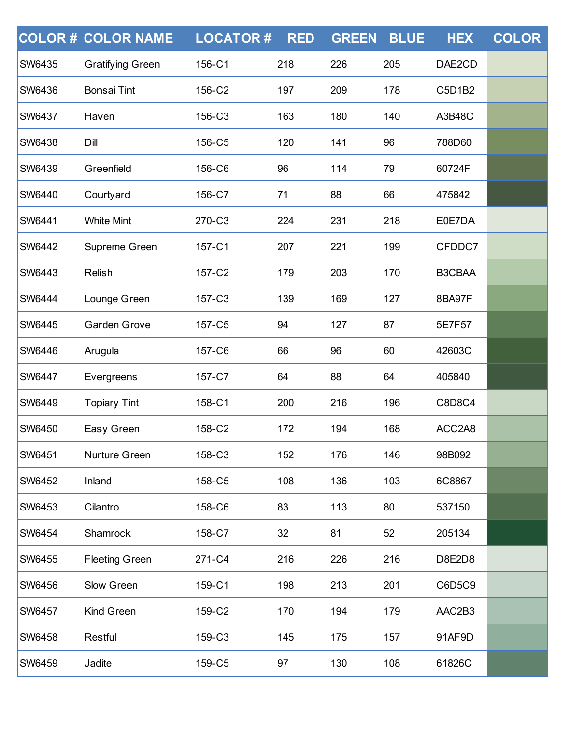|               | <b>COLOR # COLOR NAME</b> | <b>LOCATOR#</b> | <b>RED</b> | <b>GREEN</b> | <b>BLUE</b> | <b>HEX</b> | <b>COLOR</b> |
|---------------|---------------------------|-----------------|------------|--------------|-------------|------------|--------------|
| <b>SW6435</b> | <b>Gratifying Green</b>   | 156-C1          | 218        | 226          | 205         | DAE2CD     |              |
| <b>SW6436</b> | <b>Bonsai Tint</b>        | 156-C2          | 197        | 209          | 178         | C5D1B2     |              |
| SW6437        | Haven                     | 156-C3          | 163        | 180          | 140         | A3B48C     |              |
| SW6438        | Dill                      | 156-C5          | 120        | 141          | 96          | 788D60     |              |
| SW6439        | Greenfield                | 156-C6          | 96         | 114          | 79          | 60724F     |              |
| SW6440        | Courtyard                 | 156-C7          | 71         | 88           | 66          | 475842     |              |
| SW6441        | <b>White Mint</b>         | 270-C3          | 224        | 231          | 218         | E0E7DA     |              |
| SW6442        | Supreme Green             | 157-C1          | 207        | 221          | 199         | CFDDC7     |              |
| SW6443        | Relish                    | 157-C2          | 179        | 203          | 170         | B3CBAA     |              |
| SW6444        | Lounge Green              | 157-C3          | 139        | 169          | 127         | 8BA97F     |              |
| SW6445        | <b>Garden Grove</b>       | 157-C5          | 94         | 127          | 87          | 5E7F57     |              |
| SW6446        | Arugula                   | 157-C6          | 66         | 96           | 60          | 42603C     |              |
| <b>SW6447</b> | Evergreens                | 157-C7          | 64         | 88           | 64          | 405840     |              |
| SW6449        | <b>Topiary Tint</b>       | 158-C1          | 200        | 216          | 196         | C8D8C4     |              |
| SW6450        | Easy Green                | 158-C2          | 172        | 194          | 168         | ACC2A8     |              |
| <b>SW6451</b> | Nurture Green             | 158-C3          | 152        | 176          | 146         | 98B092     |              |
| <b>SW6452</b> | Inland                    | 158-C5          | 108        | 136          | 103         | 6C8867     |              |
| <b>SW6453</b> | Cilantro                  | 158-C6          | 83         | 113          | 80          | 537150     |              |
| <b>SW6454</b> | Shamrock                  | 158-C7          | 32         | 81           | 52          | 205134     |              |
| <b>SW6455</b> | <b>Fleeting Green</b>     | 271-C4          | 216        | 226          | 216         | D8E2D8     |              |
| <b>SW6456</b> | Slow Green                | 159-C1          | 198        | 213          | 201         | C6D5C9     |              |
| <b>SW6457</b> | Kind Green                | 159-C2          | 170        | 194          | 179         | AAC2B3     |              |
| <b>SW6458</b> | Restful                   | 159-C3          | 145        | 175          | 157         | 91AF9D     |              |
| SW6459        | Jadite                    | 159-C5          | 97         | 130          | 108         | 61826C     |              |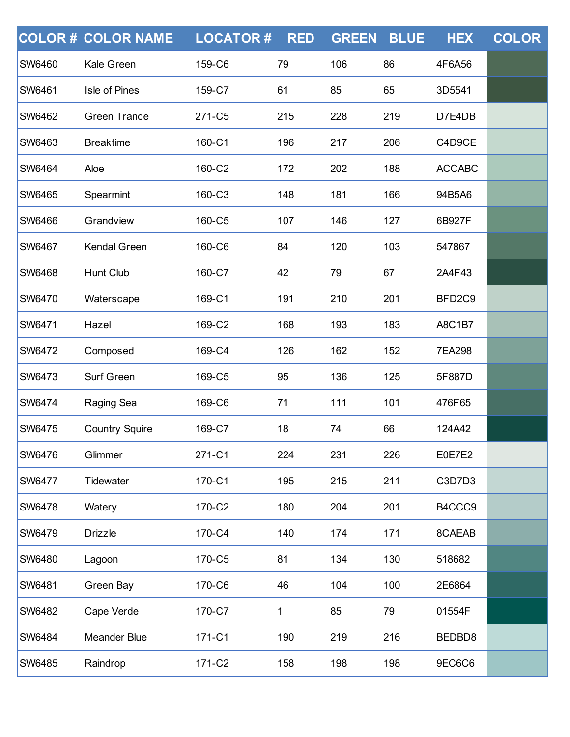|               | <b>COLOR # COLOR NAME</b> | <b>LOCATOR#</b> | <b>RED</b> | <b>GREEN</b> | <b>BLUE</b> | <b>HEX</b>         | <b>COLOR</b> |
|---------------|---------------------------|-----------------|------------|--------------|-------------|--------------------|--------------|
| <b>SW6460</b> | Kale Green                | 159-C6          | 79         | 106          | 86          | 4F6A56             |              |
| SW6461        | Isle of Pines             | 159-C7          | 61         | 85           | 65          | 3D5541             |              |
| SW6462        | <b>Green Trance</b>       | 271-C5          | 215        | 228          | 219         | D7E4DB             |              |
| SW6463        | <b>Breaktime</b>          | 160-C1          | 196        | 217          | 206         | C4D9CE             |              |
| SW6464        | Aloe                      | 160-C2          | 172        | 202          | 188         | <b>ACCABC</b>      |              |
| SW6465        | Spearmint                 | 160-C3          | 148        | 181          | 166         | 94B5A6             |              |
| SW6466        | Grandview                 | 160-C5          | 107        | 146          | 127         | 6B927F             |              |
| SW6467        | <b>Kendal Green</b>       | 160-C6          | 84         | 120          | 103         | 547867             |              |
| SW6468        | <b>Hunt Club</b>          | 160-C7          | 42         | 79           | 67          | 2A4F43             |              |
| SW6470        | Waterscape                | 169-C1          | 191        | 210          | 201         | BFD <sub>2C9</sub> |              |
| SW6471        | Hazel                     | 169-C2          | 168        | 193          | 183         | <b>A8C1B7</b>      |              |
| SW6472        | Composed                  | 169-C4          | 126        | 162          | 152         | 7EA298             |              |
| SW6473        | Surf Green                | 169-C5          | 95         | 136          | 125         | 5F887D             |              |
| SW6474        | Raging Sea                | 169-C6          | 71         | 111          | 101         | 476F65             |              |
| <b>SW6475</b> | <b>Country Squire</b>     | 169-C7          | 18         | 74           | 66          | 124A42             |              |
| <b>SW6476</b> | Glimmer                   | 271-C1          | 224        | 231          | 226         | E0E7E2             |              |
| <b>SW6477</b> | Tidewater                 | 170-C1          | 195        | 215          | 211         | C3D7D3             |              |
| <b>SW6478</b> | Watery                    | 170-C2          | 180        | 204          | 201         | B4CCC9             |              |
| SW6479        | <b>Drizzle</b>            | 170-C4          | 140        | 174          | 171         | 8CAEAB             |              |
| <b>SW6480</b> | Lagoon                    | 170-C5          | 81         | 134          | 130         | 518682             |              |
| <b>SW6481</b> | Green Bay                 | 170-C6          | 46         | 104          | 100         | 2E6864             |              |
| SW6482        | Cape Verde                | 170-C7          | 1          | 85           | 79          | 01554F             |              |
| <b>SW6484</b> | Meander Blue              | 171-C1          | 190        | 219          | 216         | BEDBD8             |              |
| SW6485        | Raindrop                  | 171-C2          | 158        | 198          | 198         | 9EC6C6             |              |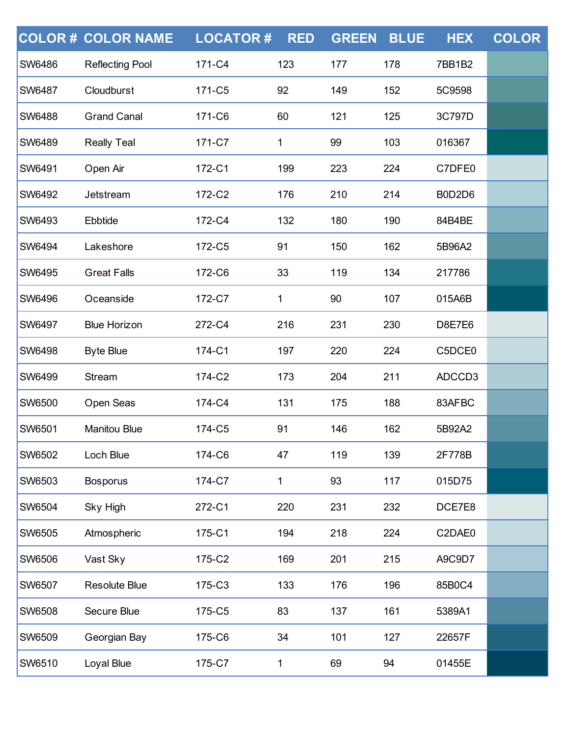|               | <b>COLOR# COLOR NAME</b> | <b>LOCATOR#</b> | <b>RED</b> | <b>GREEN</b> | <b>BLUE</b> | <b>HEX</b>    | <b>COLOR</b> |
|---------------|--------------------------|-----------------|------------|--------------|-------------|---------------|--------------|
| <b>SW6486</b> | <b>Reflecting Pool</b>   | 171-C4          | 123        | 177          | 178         | 7BB1B2        |              |
| <b>SW6487</b> | Cloudburst               | 171-C5          | 92         | 149          | 152         | 5C9598        |              |
| <b>SW6488</b> | <b>Grand Canal</b>       | 171-C6          | 60         | 121          | 125         | 3C797D        |              |
| <b>SW6489</b> | <b>Really Teal</b>       | 171-C7          | 1          | 99           | 103         | 016367        |              |
| <b>SW6491</b> | Open Air                 | 172-C1          | 199        | 223          | 224         | C7DFE0        |              |
| SW6492        | Jetstream                | 172-C2          | 176        | 210          | 214         | B0D2D6        |              |
| SW6493        | Ebbtide                  | 172-C4          | 132        | 180          | 190         | 84B4BE        |              |
| SW6494        | Lakeshore                | 172-C5          | 91         | 150          | 162         | 5B96A2        |              |
| SW6495        | <b>Great Falls</b>       | 172-C6          | 33         | 119          | 134         | 217786        |              |
| SW6496        | Oceanside                | 172-C7          | 1          | 90           | 107         | 015A6B        |              |
| SW6497        | <b>Blue Horizon</b>      | 272-C4          | 216        | 231          | 230         | <b>D8E7E6</b> |              |
| SW6498        | <b>Byte Blue</b>         | 174-C1          | 197        | 220          | 224         | C5DCE0        |              |
| SW6499        | Stream                   | 174-C2          | 173        | 204          | 211         | ADCCD3        |              |
| <b>SW6500</b> | Open Seas                | 174-C4          | 131        | 175          | 188         | 83AFBC        |              |
| <b>SW6501</b> | <b>Manitou Blue</b>      | 174-C5          | 91         | 146          | 162         | 5B92A2        |              |
| <b>SW6502</b> | Loch Blue                | 174-C6          | 47         | 119          | 139         | 2F778B        |              |
| <b>SW6503</b> | <b>Bosporus</b>          | 174-C7          | 1          | 93           | 117         | 015D75        |              |
| <b>SW6504</b> | Sky High                 | 272-C1          | 220        | 231          | 232         | DCE7E8        |              |
| SW6505        | Atmospheric              | 175-C1          | 194        | 218          | 224         | C2DAE0        |              |
| SW6506        | Vast Sky                 | 175-C2          | 169        | 201          | 215         | A9C9D7        |              |
| <b>SW6507</b> | <b>Resolute Blue</b>     | 175-C3          | 133        | 176          | 196         | 85B0C4        |              |
| <b>SW6508</b> | Secure Blue              | 175-C5          | 83         | 137          | 161         | 5389A1        |              |
| SW6509        | Georgian Bay             | 175-C6          | 34         | 101          | 127         | 22657F        |              |
| SW6510        | Loyal Blue               | 175-C7          | 1          | 69           | 94          | 01455E        |              |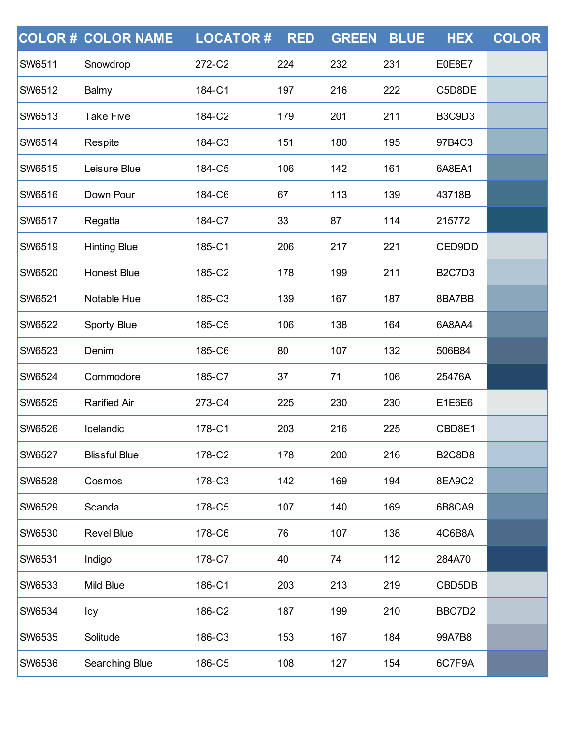|               | <b>COLOR # COLOR NAME</b> | <b>LOCATOR#</b> | <b>RED</b> | <b>GREEN</b> | <b>BLUE</b> | <b>HEX</b>    | <b>COLOR</b> |
|---------------|---------------------------|-----------------|------------|--------------|-------------|---------------|--------------|
| <b>SW6511</b> | Snowdrop                  | 272-C2          | 224        | 232          | 231         | E0E8E7        |              |
| <b>SW6512</b> | Balmy                     | 184-C1          | 197        | 216          | 222         | C5D8DE        |              |
| <b>SW6513</b> | <b>Take Five</b>          | 184-C2          | 179        | 201          | 211         | <b>B3C9D3</b> |              |
| <b>SW6514</b> | Respite                   | 184-C3          | 151        | 180          | 195         | 97B4C3        |              |
| <b>SW6515</b> | Leisure Blue              | 184-C5          | 106        | 142          | 161         | 6A8EA1        |              |
| <b>SW6516</b> | Down Pour                 | 184-C6          | 67         | 113          | 139         | 43718B        |              |
| <b>SW6517</b> | Regatta                   | 184-C7          | 33         | 87           | 114         | 215772        |              |
| <b>SW6519</b> | <b>Hinting Blue</b>       | 185-C1          | 206        | 217          | 221         | CED9DD        |              |
| SW6520        | <b>Honest Blue</b>        | 185-C2          | 178        | 199          | 211         | <b>B2C7D3</b> |              |
| SW6521        | Notable Hue               | 185-C3          | 139        | 167          | 187         | 8BA7BB        |              |
| <b>SW6522</b> | <b>Sporty Blue</b>        | 185-C5          | 106        | 138          | 164         | 6A8AA4        |              |
| SW6523        | Denim                     | 185-C6          | 80         | 107          | 132         | 506B84        |              |
| SW6524        | Commodore                 | 185-C7          | 37         | 71           | 106         | 25476A        |              |
| <b>SW6525</b> | <b>Rarified Air</b>       | 273-C4          | 225        | 230          | 230         | E1E6E6        |              |
| <b>SW6526</b> | Icelandic                 | 178-C1          | 203        | 216          | 225         | CBD8E1        |              |
| <b>SW6527</b> | <b>Blissful Blue</b>      | 178-C2          | 178        | 200          | 216         | <b>B2C8D8</b> |              |
| <b>SW6528</b> | Cosmos                    | 178-C3          | 142        | 169          | 194         | 8EA9C2        |              |
| <b>SW6529</b> | Scanda                    | 178-C5          | 107        | 140          | 169         | 6B8CA9        |              |
| <b>SW6530</b> | <b>Revel Blue</b>         | 178-C6          | 76         | 107          | 138         | 4C6B8A        |              |
| <b>SW6531</b> | Indigo                    | 178-C7          | 40         | 74           | 112         | 284A70        |              |
| <b>SW6533</b> | Mild Blue                 | 186-C1          | 203        | 213          | 219         | CBD5DB        |              |
| SW6534        | Icy                       | 186-C2          | 187        | 199          | 210         | BBC7D2        |              |
| <b>SW6535</b> | Solitude                  | 186-C3          | 153        | 167          | 184         | 99A7B8        |              |
| SW6536        | Searching Blue            | 186-C5          | 108        | 127          | 154         | 6C7F9A        |              |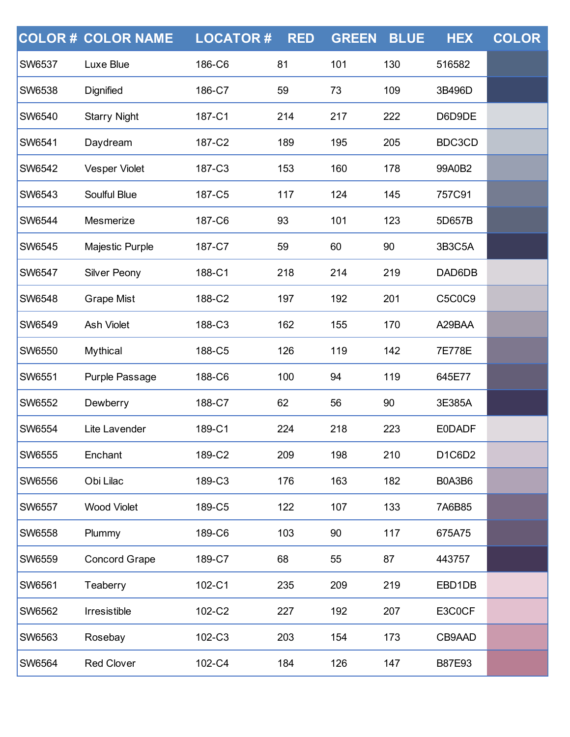|               | <b>COLOR # COLOR NAME</b> | <b>LOCATOR#</b> | <b>RED</b> | <b>GREEN</b> | <b>BLUE</b> | <b>HEX</b>    | <b>COLOR</b> |
|---------------|---------------------------|-----------------|------------|--------------|-------------|---------------|--------------|
| SW6537        | Luxe Blue                 | 186-C6          | 81         | 101          | 130         | 516582        |              |
| <b>SW6538</b> | Dignified                 | 186-C7          | 59         | 73           | 109         | 3B496D        |              |
| <b>SW6540</b> | <b>Starry Night</b>       | 187-C1          | 214        | 217          | 222         | D6D9DE        |              |
| SW6541        | Daydream                  | 187-C2          | 189        | 195          | 205         | BDC3CD        |              |
| SW6542        | <b>Vesper Violet</b>      | 187-C3          | 153        | 160          | 178         | 99A0B2        |              |
| <b>SW6543</b> | Soulful Blue              | 187-C5          | 117        | 124          | 145         | 757C91        |              |
| SW6544        | Mesmerize                 | 187-C6          | 93         | 101          | 123         | 5D657B        |              |
| SW6545        | Majestic Purple           | 187-C7          | 59         | 60           | 90          | 3B3C5A        |              |
| SW6547        | <b>Silver Peony</b>       | 188-C1          | 218        | 214          | 219         | DAD6DB        |              |
| <b>SW6548</b> | <b>Grape Mist</b>         | 188-C2          | 197        | 192          | 201         | C5C0C9        |              |
| SW6549        | Ash Violet                | 188-C3          | 162        | 155          | 170         | A29BAA        |              |
| <b>SW6550</b> | Mythical                  | 188-C5          | 126        | 119          | 142         | 7E778E        |              |
| SW6551        | Purple Passage            | 188-C6          | 100        | 94           | 119         | 645E77        |              |
| SW6552        | Dewberry                  | 188-C7          | 62         | 56           | 90          | 3E385A        |              |
| <b>SW6554</b> | Lite Lavender             | 189-C1          | 224        | 218          | 223         | <b>E0DADF</b> |              |
| <b>SW6555</b> | Enchant                   | 189-C2          | 209        | 198          | 210         | D1C6D2        |              |
| <b>SW6556</b> | Obi Lilac                 | 189-C3          | 176        | 163          | 182         | B0A3B6        |              |
| <b>SW6557</b> | <b>Wood Violet</b>        | 189-C5          | 122        | 107          | 133         | 7A6B85        |              |
| <b>SW6558</b> | Plummy                    | 189-C6          | 103        | 90           | 117         | 675A75        |              |
| <b>SW6559</b> | <b>Concord Grape</b>      | 189-C7          | 68         | 55           | 87          | 443757        |              |
| <b>SW6561</b> | Teaberry                  | 102-C1          | 235        | 209          | 219         | EBD1DB        |              |
| SW6562        | Irresistible              | 102-C2          | 227        | 192          | 207         | E3C0CF        |              |
| <b>SW6563</b> | Rosebay                   | 102-C3          | 203        | 154          | 173         | CB9AAD        |              |
| SW6564        | <b>Red Clover</b>         | 102-C4          | 184        | 126          | 147         | B87E93        |              |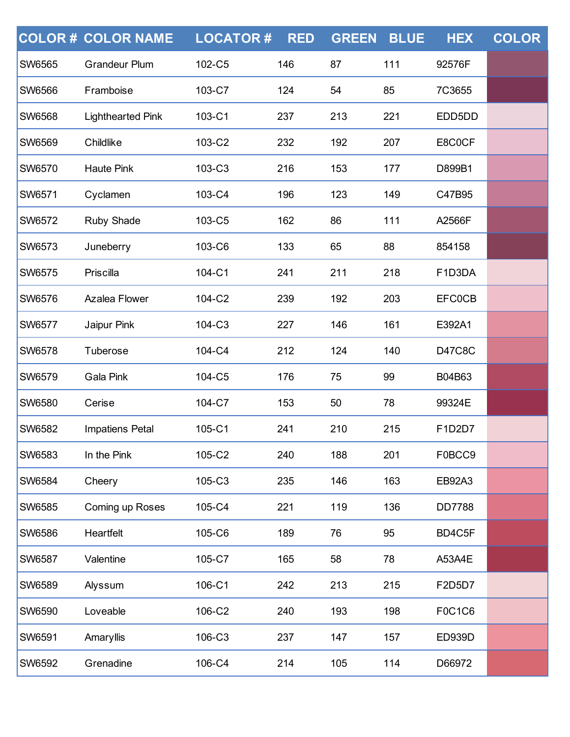|               | <b>COLOR# COLOR NAME</b> | <b>LOCATOR#</b> | <b>RED</b> | <b>GREEN</b> | <b>BLUE</b> | <b>HEX</b>    | <b>COLOR</b> |
|---------------|--------------------------|-----------------|------------|--------------|-------------|---------------|--------------|
| SW6565        | <b>Grandeur Plum</b>     | 102-C5          | 146        | 87           | 111         | 92576F        |              |
| <b>SW6566</b> | Framboise                | 103-C7          | 124        | 54           | 85          | 7C3655        |              |
| <b>SW6568</b> | <b>Lighthearted Pink</b> | 103-C1          | 237        | 213          | 221         | EDD5DD        |              |
| SW6569        | Childlike                | 103-C2          | 232        | 192          | 207         | E8C0CF        |              |
| <b>SW6570</b> | <b>Haute Pink</b>        | 103-C3          | 216        | 153          | 177         | D899B1        |              |
| SW6571        | Cyclamen                 | 103-C4          | 196        | 123          | 149         | C47B95        |              |
| SW6572        | Ruby Shade               | 103-C5          | 162        | 86           | 111         | A2566F        |              |
| <b>SW6573</b> | Juneberry                | 103-C6          | 133        | 65           | 88          | 854158        |              |
| SW6575        | Priscilla                | 104-C1          | 241        | 211          | 218         | F1D3DA        |              |
| SW6576        | <b>Azalea Flower</b>     | 104-C2          | 239        | 192          | 203         | <b>EFC0CB</b> |              |
| <b>SW6577</b> | Jaipur Pink              | 104-C3          | 227        | 146          | 161         | E392A1        |              |
| SW6578        | Tuberose                 | 104-C4          | 212        | 124          | 140         | <b>D47C8C</b> |              |
| SW6579        | Gala Pink                | 104-C5          | 176        | 75           | 99          | B04B63        |              |
| SW6580        | Cerise                   | 104-C7          | 153        | 50           | 78          | 99324E        |              |
| SW6582        | Impatiens Petal          | 105-C1          | 241        | 210          | 215         | F1D2D7        |              |
| <b>SW6583</b> | In the Pink              | 105-C2          | 240        | 188          | 201         | F0BCC9        |              |
| <b>SW6584</b> | Cheery                   | 105-C3          | 235        | 146          | 163         | <b>EB92A3</b> |              |
| <b>SW6585</b> | Coming up Roses          | 105-C4          | 221        | 119          | 136         | <b>DD7788</b> |              |
| <b>SW6586</b> | Heartfelt                | 105-C6          | 189        | 76           | 95          | BD4C5F        |              |
| <b>SW6587</b> | Valentine                | 105-C7          | 165        | 58           | 78          | A53A4E        |              |
| <b>SW6589</b> | Alyssum                  | 106-C1          | 242        | 213          | 215         | F2D5D7        |              |
| SW6590        | Loveable                 | 106-C2          | 240        | 193          | 198         | F0C1C6        |              |
| <b>SW6591</b> | Amaryllis                | 106-C3          | 237        | 147          | 157         | <b>ED939D</b> |              |
| SW6592        | Grenadine                | 106-C4          | 214        | 105          | 114         | D66972        |              |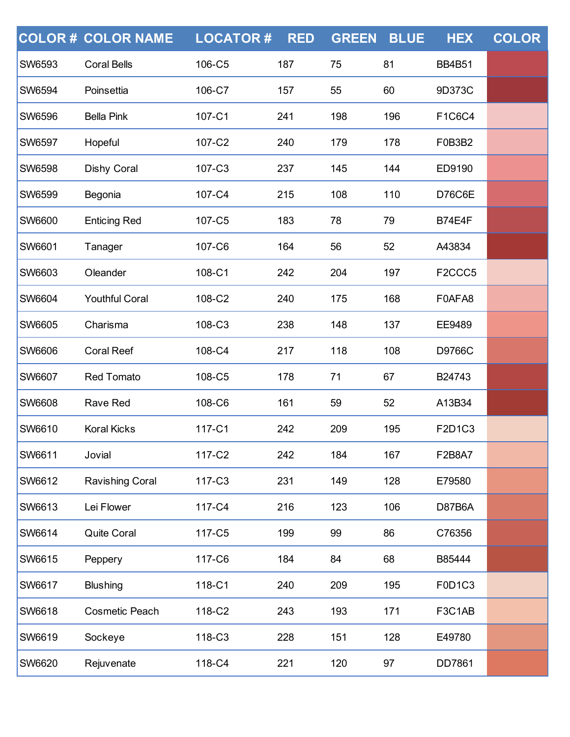|               | <b>COLOR # COLOR NAME</b> | <b>LOCATOR#</b> | <b>RED</b> | <b>GREEN</b> | <b>BLUE</b> | <b>HEX</b>                      | <b>COLOR</b> |
|---------------|---------------------------|-----------------|------------|--------------|-------------|---------------------------------|--------------|
| <b>SW6593</b> | <b>Coral Bells</b>        | 106-C5          | 187        | 75           | 81          | <b>BB4B51</b>                   |              |
| <b>SW6594</b> | Poinsettia                | 106-C7          | 157        | 55           | 60          | 9D373C                          |              |
| <b>SW6596</b> | <b>Bella Pink</b>         | 107-C1          | 241        | 198          | 196         | F1C6C4                          |              |
| <b>SW6597</b> | Hopeful                   | 107-C2          | 240        | 179          | 178         | F0B3B2                          |              |
| <b>SW6598</b> | Dishy Coral               | 107-C3          | 237        | 145          | 144         | ED9190                          |              |
| <b>SW6599</b> | Begonia                   | 107-C4          | 215        | 108          | 110         | <b>D76C6E</b>                   |              |
| <b>SW6600</b> | <b>Enticing Red</b>       | 107-C5          | 183        | 78           | 79          | <b>B74E4F</b>                   |              |
| <b>SW6601</b> | Tanager                   | 107-C6          | 164        | 56           | 52          | A43834                          |              |
| <b>SW6603</b> | Oleander                  | 108-C1          | 242        | 204          | 197         | F <sub>2</sub> CCC <sub>5</sub> |              |
| SW6604        | <b>Youthful Coral</b>     | 108-C2          | 240        | 175          | 168         | F0AFA8                          |              |
| <b>SW6605</b> | Charisma                  | 108-C3          | 238        | 148          | 137         | EE9489                          |              |
| <b>SW6606</b> | <b>Coral Reef</b>         | 108-C4          | 217        | 118          | 108         | D9766C                          |              |
| SW6607        | <b>Red Tomato</b>         | 108-C5          | 178        | 71           | 67          | B24743                          |              |
| <b>SW6608</b> | Rave Red                  | 108-C6          | 161        | 59           | 52          | A13B34                          |              |
| <b>SW6610</b> | <b>Koral Kicks</b>        | 117-C1          | 242        | 209          | 195         | F2D1C3                          |              |
| <b>SW6611</b> | Jovial                    | 117-C2          | 242        | 184          | 167         | F2B8A7                          |              |
| <b>SW6612</b> | Ravishing Coral           | 117-C3          | 231        | 149          | 128         | E79580                          |              |
| <b>SW6613</b> | Lei Flower                | 117-C4          | 216        | 123          | 106         | <b>D87B6A</b>                   |              |
| <b>SW6614</b> | Quite Coral               | 117-C5          | 199        | 99           | 86          | C76356                          |              |
| <b>SW6615</b> | Peppery                   | 117-C6          | 184        | 84           | 68          | B85444                          |              |
| <b>SW6617</b> | <b>Blushing</b>           | 118-C1          | 240        | 209          | 195         | F0D1C3                          |              |
| <b>SW6618</b> | <b>Cosmetic Peach</b>     | 118-C2          | 243        | 193          | 171         | F3C1AB                          |              |
| <b>SW6619</b> | Sockeye                   | 118-C3          | 228        | 151          | 128         | E49780                          |              |
| <b>SW6620</b> | Rejuvenate                | 118-C4          | 221        | 120          | 97          | DD7861                          |              |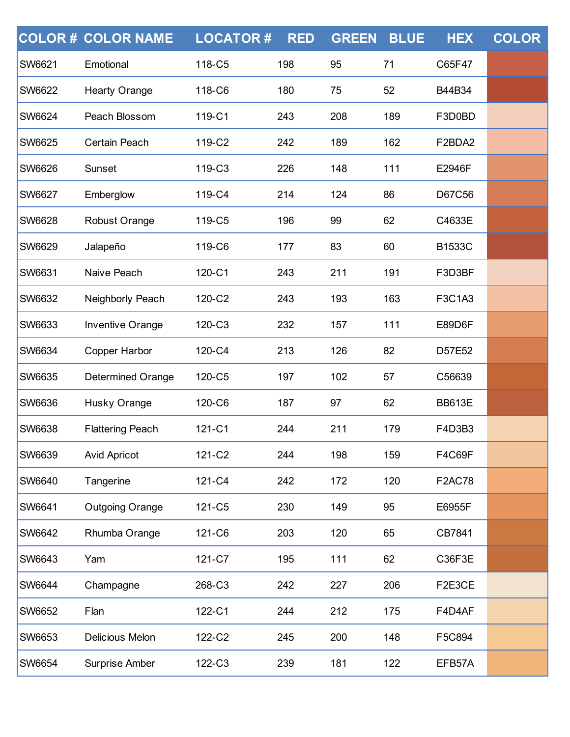|               | <b>COLOR # COLOR NAME</b> | <b>LOCATOR#</b> | <b>RED</b> | <b>GREEN</b> | <b>BLUE</b> | <b>HEX</b>    | <b>COLOR</b> |
|---------------|---------------------------|-----------------|------------|--------------|-------------|---------------|--------------|
| <b>SW6621</b> | Emotional                 | 118-C5          | 198        | 95           | 71          | C65F47        |              |
| <b>SW6622</b> | <b>Hearty Orange</b>      | 118-C6          | 180        | 75           | 52          | B44B34        |              |
| <b>SW6624</b> | Peach Blossom             | 119-C1          | 243        | 208          | 189         | F3D0BD        |              |
| <b>SW6625</b> | Certain Peach             | 119-C2          | 242        | 189          | 162         | F2BDA2        |              |
| <b>SW6626</b> | Sunset                    | 119-C3          | 226        | 148          | 111         | E2946F        |              |
| <b>SW6627</b> | Emberglow                 | 119-C4          | 214        | 124          | 86          | D67C56        |              |
| <b>SW6628</b> | Robust Orange             | 119-C5          | 196        | 99           | 62          | C4633E        |              |
| <b>SW6629</b> | Jalapeño                  | 119-C6          | 177        | 83           | 60          | <b>B1533C</b> |              |
| SW6631        | Naive Peach               | 120-C1          | 243        | 211          | 191         | F3D3BF        |              |
| <b>SW6632</b> | Neighborly Peach          | 120-C2          | 243        | 193          | 163         | F3C1A3        |              |
| <b>SW6633</b> | Inventive Orange          | 120-C3          | 232        | 157          | 111         | E89D6F        |              |
| SW6634        | Copper Harbor             | 120-C4          | 213        | 126          | 82          | D57E52        |              |
| SW6635        | <b>Determined Orange</b>  | 120-C5          | 197        | 102          | 57          | C56639        |              |
| <b>SW6636</b> | Husky Orange              | 120-C6          | 187        | 97           | 62          | <b>BB613E</b> |              |
| <b>SW6638</b> | <b>Flattering Peach</b>   | 121-C1          | 244        | 211          | 179         | F4D3B3        |              |
| <b>SW6639</b> | <b>Avid Apricot</b>       | 121-C2          | 244        | 198          | 159         | F4C69F        |              |
| <b>SW6640</b> | Tangerine                 | 121-C4          | 242        | 172          | 120         | <b>F2AC78</b> |              |
| <b>SW6641</b> | <b>Outgoing Orange</b>    | 121-C5          | 230        | 149          | 95          | E6955F        |              |
| <b>SW6642</b> | Rhumba Orange             | 121-C6          | 203        | 120          | 65          | CB7841        |              |
| <b>SW6643</b> | Yam                       | 121-C7          | 195        | 111          | 62          | C36F3E        |              |
| <b>SW6644</b> | Champagne                 | 268-C3          | 242        | 227          | 206         | F2E3CE        |              |
| SW6652        | Flan                      | 122-C1          | 244        | 212          | 175         | F4D4AF        |              |
| <b>SW6653</b> | Delicious Melon           | 122-C2          | 245        | 200          | 148         | F5C894        |              |
| SW6654        | Surprise Amber            | 122-C3          | 239        | 181          | 122         | EFB57A        |              |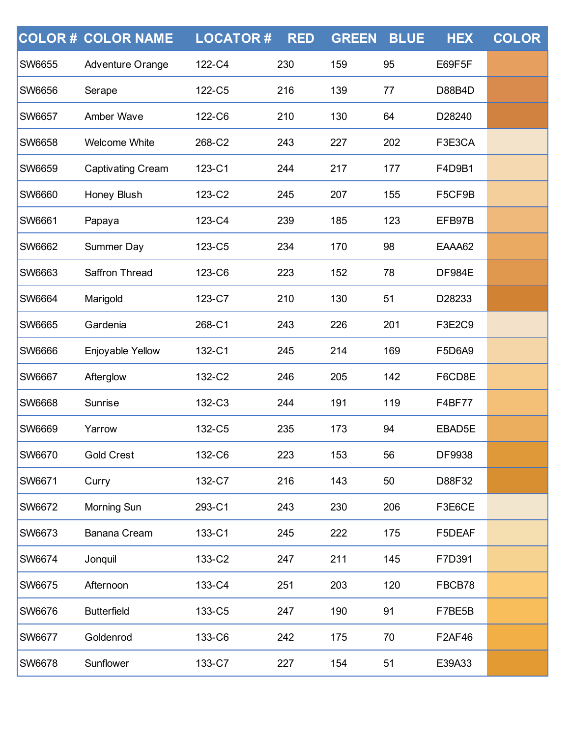|               | <b>COLOR # COLOR NAME</b> | <b>LOCATOR#</b> | <b>RED</b> | <b>GREEN</b> | <b>BLUE</b> | <b>HEX</b>    | <b>COLOR</b> |
|---------------|---------------------------|-----------------|------------|--------------|-------------|---------------|--------------|
| <b>SW6655</b> | Adventure Orange          | 122-C4          | 230        | 159          | 95          | E69F5F        |              |
| <b>SW6656</b> | Serape                    | 122-C5          | 216        | 139          | 77          | D88B4D        |              |
| <b>SW6657</b> | Amber Wave                | 122-C6          | 210        | 130          | 64          | D28240        |              |
| <b>SW6658</b> | <b>Welcome White</b>      | 268-C2          | 243        | 227          | 202         | F3E3CA        |              |
| <b>SW6659</b> | <b>Captivating Cream</b>  | 123-C1          | 244        | 217          | 177         | F4D9B1        |              |
| SW6660        | Honey Blush               | 123-C2          | 245        | 207          | 155         | F5CF9B        |              |
| <b>SW6661</b> | Papaya                    | 123-C4          | 239        | 185          | 123         | EFB97B        |              |
| <b>SW6662</b> | Summer Day                | 123-C5          | 234        | 170          | 98          | EAAA62        |              |
| SW6663        | Saffron Thread            | 123-C6          | 223        | 152          | 78          | <b>DF984E</b> |              |
| <b>SW6664</b> | Marigold                  | 123-C7          | 210        | 130          | 51          | D28233        |              |
| <b>SW6665</b> | Gardenia                  | 268-C1          | 243        | 226          | 201         | F3E2C9        |              |
| SW6666        | Enjoyable Yellow          | 132-C1          | 245        | 214          | 169         | F5D6A9        |              |
| <b>SW6667</b> | Afterglow                 | 132-C2          | 246        | 205          | 142         | F6CD8E        |              |
| <b>SW6668</b> | Sunrise                   | 132-C3          | 244        | 191          | 119         | F4BF77        |              |
| <b>SW6669</b> | Yarrow                    | 132-C5          | 235        | 173          | 94          | EBAD5E        |              |
| <b>SW6670</b> | <b>Gold Crest</b>         | 132-C6          | 223        | 153          | 56          | DF9938        |              |
| <b>SW6671</b> | Curry                     | 132-C7          | 216        | 143          | 50          | D88F32        |              |
| <b>SW6672</b> | Morning Sun               | 293-C1          | 243        | 230          | 206         | F3E6CE        |              |
| <b>SW6673</b> | Banana Cream              | 133-C1          | 245        | 222          | 175         | F5DEAF        |              |
| <b>SW6674</b> | Jonquil                   | 133-C2          | 247        | 211          | 145         | F7D391        |              |
| <b>SW6675</b> | Afternoon                 | 133-C4          | 251        | 203          | 120         | FBCB78        |              |
| <b>SW6676</b> | <b>Butterfield</b>        | 133-C5          | 247        | 190          | 91          | F7BE5B        |              |
| <b>SW6677</b> | Goldenrod                 | 133-C6          | 242        | 175          | 70          | F2AF46        |              |
| <b>SW6678</b> | Sunflower                 | 133-C7          | 227        | 154          | 51          | E39A33        |              |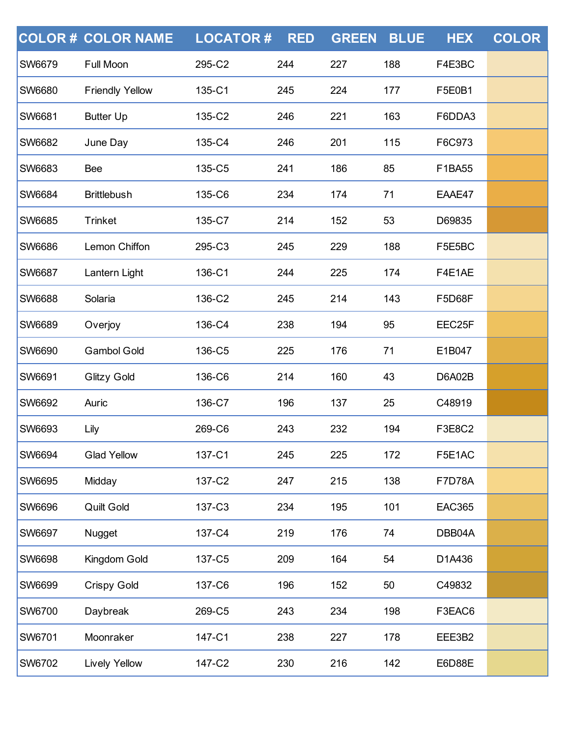|               | <b>COLOR # COLOR NAME</b> | <b>LOCATOR#</b> | <b>RED</b> | <b>GREEN</b> | <b>BLUE</b> | <b>HEX</b>    | <b>COLOR</b> |
|---------------|---------------------------|-----------------|------------|--------------|-------------|---------------|--------------|
| <b>SW6679</b> | Full Moon                 | 295-C2          | 244        | 227          | 188         | F4E3BC        |              |
| <b>SW6680</b> | <b>Friendly Yellow</b>    | 135-C1          | 245        | 224          | 177         | F5E0B1        |              |
| SW6681        | <b>Butter Up</b>          | 135-C2          | 246        | 221          | 163         | F6DDA3        |              |
| <b>SW6682</b> | June Day                  | 135-C4          | 246        | 201          | 115         | F6C973        |              |
| <b>SW6683</b> | Bee                       | 135-C5          | 241        | 186          | 85          | F1BA55        |              |
| SW6684        | <b>Brittlebush</b>        | 135-C6          | 234        | 174          | 71          | EAAE47        |              |
| SW6685        | <b>Trinket</b>            | 135-C7          | 214        | 152          | 53          | D69835        |              |
| <b>SW6686</b> | Lemon Chiffon             | 295-C3          | 245        | 229          | 188         | F5E5BC        |              |
| <b>SW6687</b> | Lantern Light             | 136-C1          | 244        | 225          | 174         | F4E1AE        |              |
| <b>SW6688</b> | Solaria                   | 136-C2          | 245        | 214          | 143         | <b>F5D68F</b> |              |
| <b>SW6689</b> | Overjoy                   | 136-C4          | 238        | 194          | 95          | EEC25F        |              |
| SW6690        | <b>Gambol Gold</b>        | 136-C5          | 225        | 176          | 71          | E1B047        |              |
| SW6691        | <b>Glitzy Gold</b>        | 136-C6          | 214        | 160          | 43          | <b>D6A02B</b> |              |
| <b>SW6692</b> | Auric                     | 136-C7          | 196        | 137          | 25          | C48919        |              |
| <b>SW6693</b> | Lily                      | 269-C6          | 243        | 232          | 194         | F3E8C2        |              |
| SW6694        | <b>Glad Yellow</b>        | 137-C1          | 245        | 225          | 172         | F5E1AC        |              |
| <b>SW6695</b> | Midday                    | 137-C2          | 247        | 215          | 138         | <b>F7D78A</b> |              |
| <b>SW6696</b> | Quilt Gold                | 137-C3          | 234        | 195          | 101         | <b>EAC365</b> |              |
| SW6697        | Nugget                    | 137-C4          | 219        | 176          | 74          | DBB04A        |              |
| SW6698        | Kingdom Gold              | 137-C5          | 209        | 164          | 54          | D1A436        |              |
| <b>SW6699</b> | <b>Crispy Gold</b>        | 137-C6          | 196        | 152          | 50          | C49832        |              |
| SW6700        | Daybreak                  | 269-C5          | 243        | 234          | 198         | F3EAC6        |              |
| SW6701        | Moonraker                 | 147-C1          | 238        | 227          | 178         | EEE3B2        |              |
| SW6702        | <b>Lively Yellow</b>      | 147-C2          | 230        | 216          | 142         | E6D88E        |              |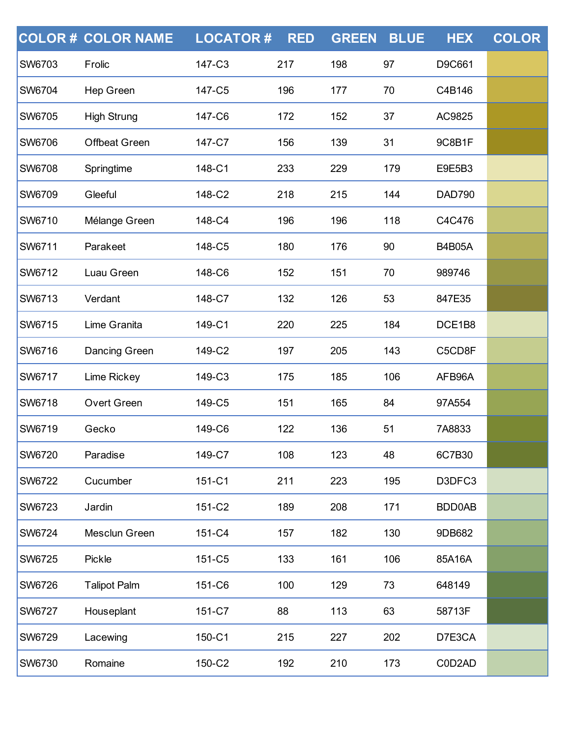|               | <b>COLOR # COLOR NAME</b> | <b>LOCATOR#</b> | <b>RED</b> | <b>GREEN</b> | <b>BLUE</b> | <b>HEX</b>    | <b>COLOR</b> |
|---------------|---------------------------|-----------------|------------|--------------|-------------|---------------|--------------|
| <b>SW6703</b> | Frolic                    | 147-C3          | 217        | 198          | 97          | D9C661        |              |
| <b>SW6704</b> | Hep Green                 | 147-C5          | 196        | 177          | 70          | C4B146        |              |
| <b>SW6705</b> | <b>High Strung</b>        | 147-C6          | 172        | 152          | 37          | AC9825        |              |
| <b>SW6706</b> | <b>Offbeat Green</b>      | 147-C7          | 156        | 139          | 31          | 9C8B1F        |              |
| <b>SW6708</b> | Springtime                | 148-C1          | 233        | 229          | 179         | E9E5B3        |              |
| <b>SW6709</b> | Gleeful                   | 148-C2          | 218        | 215          | 144         | <b>DAD790</b> |              |
| <b>SW6710</b> | Mélange Green             | 148-C4          | 196        | 196          | 118         | C4C476        |              |
| <b>SW6711</b> | Parakeet                  | 148-C5          | 180        | 176          | 90          | <b>B4B05A</b> |              |
| <b>SW6712</b> | Luau Green                | 148-C6          | 152        | 151          | 70          | 989746        |              |
| <b>SW6713</b> | Verdant                   | 148-C7          | 132        | 126          | 53          | 847E35        |              |
| <b>SW6715</b> | Lime Granita              | 149-C1          | 220        | 225          | 184         | DCE1B8        |              |
| <b>SW6716</b> | Dancing Green             | 149-C2          | 197        | 205          | 143         | C5CD8F        |              |
| <b>SW6717</b> | Lime Rickey               | 149-C3          | 175        | 185          | 106         | AFB96A        |              |
| <b>SW6718</b> | <b>Overt Green</b>        | 149-C5          | 151        | 165          | 84          | 97A554        |              |
| <b>SW6719</b> | Gecko                     | 149-C6          | 122        | 136          | 51          | 7A8833        |              |
| <b>SW6720</b> | Paradise                  | 149-C7          | 108        | 123          | 48          | 6C7B30        |              |
| <b>SW6722</b> | Cucumber                  | 151-C1          | 211        | 223          | 195         | D3DFC3        |              |
| <b>SW6723</b> | Jardin                    | 151-C2          | 189        | 208          | 171         | BDD0AB        |              |
| <b>SW6724</b> | Mesclun Green             | 151-C4          | 157        | 182          | 130         | 9DB682        |              |
| <b>SW6725</b> | Pickle                    | 151-C5          | 133        | 161          | 106         | 85A16A        |              |
| <b>SW6726</b> | <b>Talipot Palm</b>       | 151-C6          | 100        | 129          | 73          | 648149        |              |
| <b>SW6727</b> | Houseplant                | 151-C7          | 88         | 113          | 63          | 58713F        |              |
| <b>SW6729</b> | Lacewing                  | 150-C1          | 215        | 227          | 202         | D7E3CA        |              |
| <b>SW6730</b> | Romaine                   | 150-C2          | 192        | 210          | 173         | C0D2AD        |              |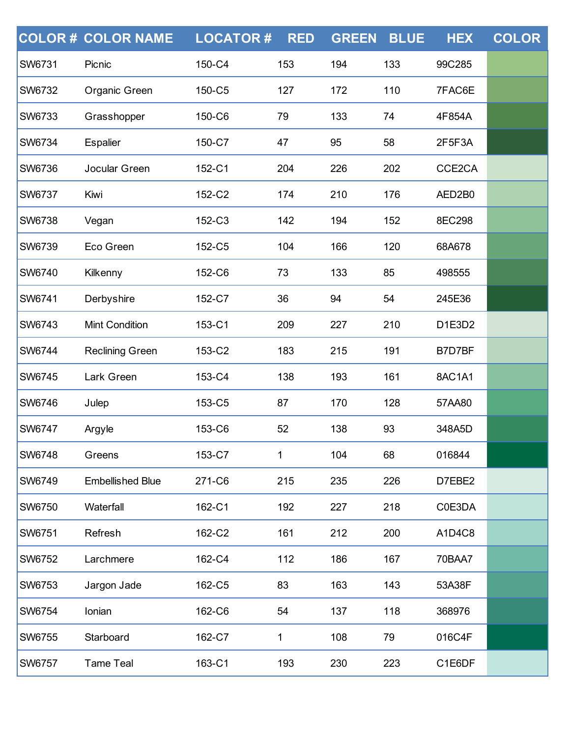|               | <b>COLOR # COLOR NAME</b> | <b>LOCATOR#</b> | <b>RED</b> | <b>GREEN</b> | <b>BLUE</b> | <b>HEX</b> | <b>COLOR</b> |
|---------------|---------------------------|-----------------|------------|--------------|-------------|------------|--------------|
| <b>SW6731</b> | Picnic                    | 150-C4          | 153        | 194          | 133         | 99C285     |              |
| <b>SW6732</b> | Organic Green             | 150-C5          | 127        | 172          | 110         | 7FAC6E     |              |
| <b>SW6733</b> | Grasshopper               | 150-C6          | 79         | 133          | 74          | 4F854A     |              |
| <b>SW6734</b> | <b>Espalier</b>           | 150-C7          | 47         | 95           | 58          | 2F5F3A     |              |
| <b>SW6736</b> | Jocular Green             | 152-C1          | 204        | 226          | 202         | CCE2CA     |              |
| <b>SW6737</b> | Kiwi                      | 152-C2          | 174        | 210          | 176         | AED2B0     |              |
| SW6738        | Vegan                     | 152-C3          | 142        | 194          | 152         | 8EC298     |              |
| <b>SW6739</b> | Eco Green                 | 152-C5          | 104        | 166          | 120         | 68A678     |              |
| SW6740        | Kilkenny                  | 152-C6          | 73         | 133          | 85          | 498555     |              |
| SW6741        | Derbyshire                | 152-C7          | 36         | 94           | 54          | 245E36     |              |
| SW6743        | <b>Mint Condition</b>     | 153-C1          | 209        | 227          | 210         | D1E3D2     |              |
| SW6744        | <b>Reclining Green</b>    | 153-C2          | 183        | 215          | 191         | B7D7BF     |              |
| SW6745        | Lark Green                | 153-C4          | 138        | 193          | 161         | 8AC1A1     |              |
| SW6746        | Julep                     | 153-C5          | 87         | 170          | 128         | 57AA80     |              |
| <b>SW6747</b> | Argyle                    | 153-C6          | 52         | 138          | 93          | 348A5D     |              |
| <b>SW6748</b> | Greens                    | 153-C7          | 1          | 104          | 68          | 016844     |              |
| <b>SW6749</b> | <b>Embellished Blue</b>   | 271-C6          | 215        | 235          | 226         | D7EBE2     |              |
| <b>SW6750</b> | Waterfall                 | 162-C1          | 192        | 227          | 218         | C0E3DA     |              |
| <b>SW6751</b> | Refresh                   | 162-C2          | 161        | 212          | 200         | A1D4C8     |              |
| <b>SW6752</b> | Larchmere                 | 162-C4          | 112        | 186          | 167         | 70BAA7     |              |
| <b>SW6753</b> | Jargon Jade               | 162-C5          | 83         | 163          | 143         | 53A38F     |              |
| SW6754        | Ionian                    | 162-C6          | 54         | 137          | 118         | 368976     |              |
| <b>SW6755</b> | Starboard                 | 162-C7          | 1          | 108          | 79          | 016C4F     |              |
| <b>SW6757</b> | <b>Tame Teal</b>          | 163-C1          | 193        | 230          | 223         | C1E6DF     |              |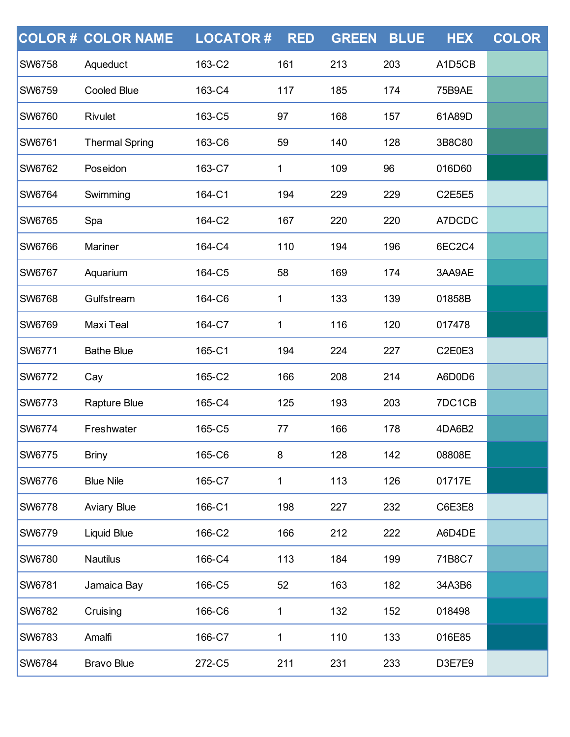|               | <b>COLOR # COLOR NAME</b> | <b>LOCATOR#</b> | <b>RED</b> | <b>GREEN</b> | <b>BLUE</b> | <b>HEX</b>    | <b>COLOR</b> |
|---------------|---------------------------|-----------------|------------|--------------|-------------|---------------|--------------|
| <b>SW6758</b> | Aqueduct                  | 163-C2          | 161        | 213          | 203         | A1D5CB        |              |
| <b>SW6759</b> | <b>Cooled Blue</b>        | 163-C4          | 117        | 185          | 174         | <b>75B9AE</b> |              |
| <b>SW6760</b> | Rivulet                   | 163-C5          | 97         | 168          | 157         | 61A89D        |              |
| <b>SW6761</b> | <b>Thermal Spring</b>     | 163-C6          | 59         | 140          | 128         | 3B8C80        |              |
| <b>SW6762</b> | Poseidon                  | 163-C7          | 1          | 109          | 96          | 016D60        |              |
| <b>SW6764</b> | Swimming                  | 164-C1          | 194        | 229          | 229         | <b>C2E5E5</b> |              |
| <b>SW6765</b> | Spa                       | 164-C2          | 167        | 220          | 220         | A7DCDC        |              |
| <b>SW6766</b> | Mariner                   | 164-C4          | 110        | 194          | 196         | 6EC2C4        |              |
| <b>SW6767</b> | Aquarium                  | 164-C5          | 58         | 169          | 174         | 3AA9AE        |              |
| <b>SW6768</b> | Gulfstream                | 164-C6          | 1          | 133          | 139         | 01858B        |              |
| <b>SW6769</b> | Maxi Teal                 | 164-C7          | 1          | 116          | 120         | 017478        |              |
| <b>SW6771</b> | <b>Bathe Blue</b>         | 165-C1          | 194        | 224          | 227         | C2E0E3        |              |
| <b>SW6772</b> | Cay                       | 165-C2          | 166        | 208          | 214         | A6D0D6        |              |
| <b>SW6773</b> | Rapture Blue              | 165-C4          | 125        | 193          | 203         | 7DC1CB        |              |
| <b>SW6774</b> | Freshwater                | 165-C5          | 77         | 166          | 178         | 4DA6B2        |              |
| <b>SW6775</b> | <b>Briny</b>              | 165-C6          | 8          | 128          | 142         | 08808E        |              |
| <b>SW6776</b> | <b>Blue Nile</b>          | 165-C7          | 1          | 113          | 126         | 01717E        |              |
| <b>SW6778</b> | <b>Aviary Blue</b>        | 166-C1          | 198        | 227          | 232         | C6E3E8        |              |
| <b>SW6779</b> | <b>Liquid Blue</b>        | 166-C2          | 166        | 212          | 222         | A6D4DE        |              |
| <b>SW6780</b> | <b>Nautilus</b>           | 166-C4          | 113        | 184          | 199         | 71B8C7        |              |
| <b>SW6781</b> | Jamaica Bay               | 166-C5          | 52         | 163          | 182         | 34A3B6        |              |
| <b>SW6782</b> | Cruising                  | 166-C6          | 1          | 132          | 152         | 018498        |              |
| <b>SW6783</b> | Amalfi                    | 166-C7          | 1          | 110          | 133         | 016E85        |              |
| <b>SW6784</b> | <b>Bravo Blue</b>         | 272-C5          | 211        | 231          | 233         | D3E7E9        |              |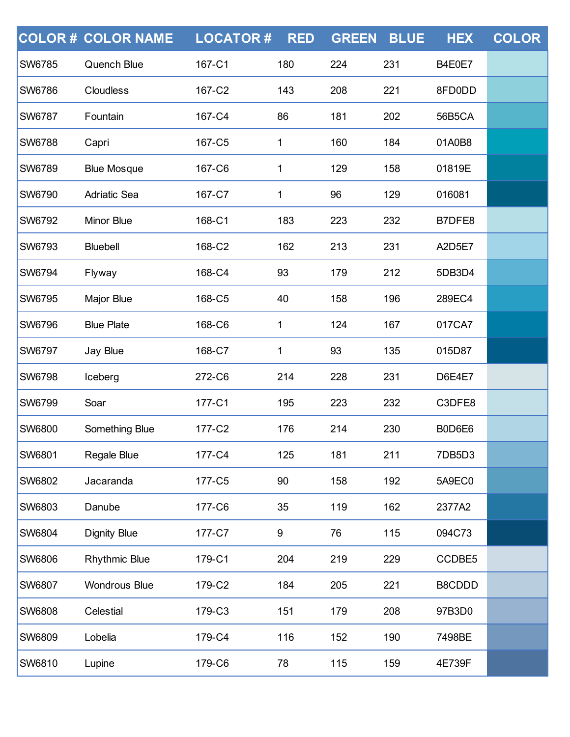|               | <b>COLOR# COLOR NAME</b> | <b>LOCATOR#</b> | <b>RED</b> | <b>GREEN</b> | <b>BLUE</b> | <b>HEX</b>    | <b>COLOR</b> |
|---------------|--------------------------|-----------------|------------|--------------|-------------|---------------|--------------|
| <b>SW6785</b> | Quench Blue              | 167-C1          | 180        | 224          | 231         | B4E0E7        |              |
| <b>SW6786</b> | Cloudless                | 167-C2          | 143        | 208          | 221         | 8FD0DD        |              |
| <b>SW6787</b> | Fountain                 | 167-C4          | 86         | 181          | 202         | 56B5CA        |              |
| <b>SW6788</b> | Capri                    | 167-C5          | 1          | 160          | 184         | 01A0B8        |              |
| <b>SW6789</b> | <b>Blue Mosque</b>       | 167-C6          | 1          | 129          | 158         | 01819E        |              |
| SW6790        | <b>Adriatic Sea</b>      | 167-C7          | 1          | 96           | 129         | 016081        |              |
| SW6792        | Minor Blue               | 168-C1          | 183        | 223          | 232         | B7DFE8        |              |
| <b>SW6793</b> | <b>Bluebell</b>          | 168-C2          | 162        | 213          | 231         | A2D5E7        |              |
| SW6794        | Flyway                   | 168-C4          | 93         | 179          | 212         | 5DB3D4        |              |
| SW6795        | Major Blue               | 168-C5          | 40         | 158          | 196         | 289EC4        |              |
| <b>SW6796</b> | <b>Blue Plate</b>        | 168-C6          | 1          | 124          | 167         | 017CA7        |              |
| SW6797        | Jay Blue                 | 168-C7          | 1          | 93           | 135         | 015D87        |              |
| SW6798        | Iceberg                  | 272-C6          | 214        | 228          | 231         | <b>D6E4E7</b> |              |
| <b>SW6799</b> | Soar                     | 177-C1          | 195        | 223          | 232         | C3DFE8        |              |
| SW6800        | Something Blue           | 177-C2          | 176        | 214          | 230         | B0D6E6        |              |
| <b>SW6801</b> | Regale Blue              | 177-C4          | 125        | 181          | 211         | 7DB5D3        |              |
| <b>SW6802</b> | Jacaranda                | 177-C5          | 90         | 158          | 192         | 5A9EC0        |              |
| <b>SW6803</b> | Danube                   | 177-C6          | 35         | 119          | 162         | 2377A2        |              |
| SW6804        | <b>Dignity Blue</b>      | 177-C7          | 9          | 76           | 115         | 094C73        |              |
| SW6806        | <b>Rhythmic Blue</b>     | 179-C1          | 204        | 219          | 229         | CCDBE5        |              |
| <b>SW6807</b> | <b>Wondrous Blue</b>     | 179-C2          | 184        | 205          | 221         | B8CDDD        |              |
| <b>SW6808</b> | Celestial                | 179-C3          | 151        | 179          | 208         | 97B3D0        |              |
| SW6809        | Lobelia                  | 179-C4          | 116        | 152          | 190         | 7498BE        |              |
| SW6810        | Lupine                   | 179-C6          | 78         | 115          | 159         | 4E739F        |              |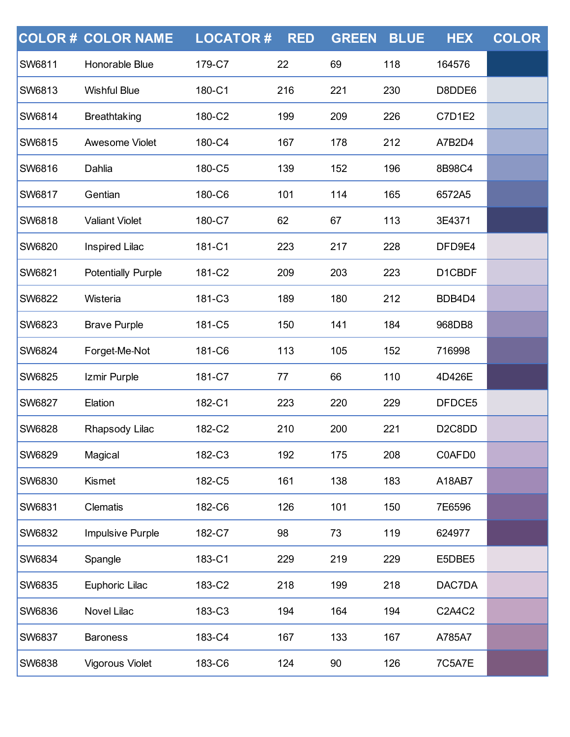|               | <b>COLOR # COLOR NAME</b> | <b>LOCATOR#</b> | <b>RED</b> | <b>GREEN</b> | <b>BLUE</b> | <b>HEX</b>          | <b>COLOR</b> |
|---------------|---------------------------|-----------------|------------|--------------|-------------|---------------------|--------------|
| <b>SW6811</b> | Honorable Blue            | 179-C7          | 22         | 69           | 118         | 164576              |              |
| <b>SW6813</b> | <b>Wishful Blue</b>       | 180-C1          | 216        | 221          | 230         | D8DDE6              |              |
| <b>SW6814</b> | <b>Breathtaking</b>       | 180-C2          | 199        | 209          | 226         | <b>C7D1E2</b>       |              |
| <b>SW6815</b> | Awesome Violet            | 180-C4          | 167        | 178          | 212         | A7B2D4              |              |
| <b>SW6816</b> | Dahlia                    | 180-C5          | 139        | 152          | 196         | 8B98C4              |              |
| <b>SW6817</b> | Gentian                   | 180-C6          | 101        | 114          | 165         | 6572A5              |              |
| <b>SW6818</b> | <b>Valiant Violet</b>     | 180-C7          | 62         | 67           | 113         | 3E4371              |              |
| <b>SW6820</b> | <b>Inspired Lilac</b>     | 181-C1          | 223        | 217          | 228         | DFD9E4              |              |
| SW6821        | <b>Potentially Purple</b> | 181-C2          | 209        | 203          | 223         | D1CBDF              |              |
| <b>SW6822</b> | Wisteria                  | 181-C3          | 189        | 180          | 212         | BDB4D4              |              |
| <b>SW6823</b> | <b>Brave Purple</b>       | 181-C5          | 150        | 141          | 184         | 968DB8              |              |
| <b>SW6824</b> | Forget-Me-Not             | 181-C6          | 113        | 105          | 152         | 716998              |              |
| <b>SW6825</b> | Izmir Purple              | 181-C7          | 77         | 66           | 110         | 4D426E              |              |
| <b>SW6827</b> | Elation                   | 182-C1          | 223        | 220          | 229         | DFDCE5              |              |
| <b>SW6828</b> | Rhapsody Lilac            | 182-C2          | 210        | 200          | 221         | D <sub>2</sub> C8DD |              |
| <b>SW6829</b> | Magical                   | 182-C3          | 192        | 175          | 208         | C0AFD0              |              |
| <b>SW6830</b> | Kismet                    | 182-C5          | 161        | 138          | 183         | A18AB7              |              |
| <b>SW6831</b> | Clematis                  | 182-C6          | 126        | 101          | 150         | 7E6596              |              |
| <b>SW6832</b> | Impulsive Purple          | 182-C7          | 98         | 73           | 119         | 624977              |              |
| <b>SW6834</b> | Spangle                   | 183-C1          | 229        | 219          | 229         | E5DBE5              |              |
| <b>SW6835</b> | Euphoric Lilac            | 183-C2          | 218        | 199          | 218         | DAC7DA              |              |
| <b>SW6836</b> | Novel Lilac               | 183-C3          | 194        | 164          | 194         | C2A4C2              |              |
| <b>SW6837</b> | <b>Baroness</b>           | 183-C4          | 167        | 133          | 167         | A785A7              |              |
| SW6838        | Vigorous Violet           | 183-C6          | 124        | 90           | 126         | 7C5A7E              |              |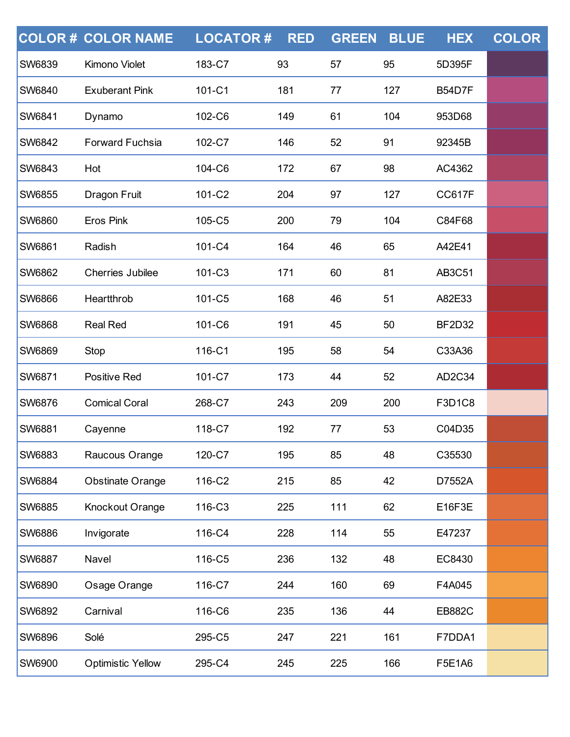|               | <b>COLOR # COLOR NAME</b> | <b>LOCATOR#</b> | <b>RED</b> | <b>GREEN</b> | <b>BLUE</b> | <b>HEX</b>    | <b>COLOR</b> |
|---------------|---------------------------|-----------------|------------|--------------|-------------|---------------|--------------|
| SW6839        | Kimono Violet             | 183-C7          | 93         | 57           | 95          | 5D395F        |              |
| <b>SW6840</b> | <b>Exuberant Pink</b>     | 101-C1          | 181        | 77           | 127         | <b>B54D7F</b> |              |
| SW6841        | Dynamo                    | 102-C6          | 149        | 61           | 104         | 953D68        |              |
| SW6842        | <b>Forward Fuchsia</b>    | 102-C7          | 146        | 52           | 91          | 92345B        |              |
| SW6843        | Hot                       | 104-C6          | 172        | 67           | 98          | AC4362        |              |
| SW6855        | Dragon Fruit              | 101-C2          | 204        | 97           | 127         | <b>CC617F</b> |              |
| SW6860        | <b>Eros Pink</b>          | 105-C5          | 200        | 79           | 104         | C84F68        |              |
| SW6861        | Radish                    | 101-C4          | 164        | 46           | 65          | A42E41        |              |
| SW6862        | <b>Cherries Jubilee</b>   | 101-C3          | 171        | 60           | 81          | <b>AB3C51</b> |              |
| <b>SW6866</b> | Heartthrob                | 101-C5          | 168        | 46           | 51          | A82E33        |              |
| <b>SW6868</b> | <b>Real Red</b>           | 101-C6          | 191        | 45           | 50          | <b>BF2D32</b> |              |
| SW6869        | Stop                      | 116-C1          | 195        | 58           | 54          | C33A36        |              |
| SW6871        | Positive Red              | 101-C7          | 173        | 44           | 52          | AD2C34        |              |
| SW6876        | <b>Comical Coral</b>      | 268-C7          | 243        | 209          | 200         | F3D1C8        |              |
| SW6881        | Cayenne                   | 118-C7          | 192        | 77           | 53          | C04D35        |              |
| SW6883        | Raucous Orange            | 120-C7          | 195        | 85           | 48          | C35530        |              |
| SW6884        | <b>Obstinate Orange</b>   | 116-C2          | 215        | 85           | 42          | D7552A        |              |
| SW6885        | Knockout Orange           | 116-C3          | 225        | 111          | 62          | E16F3E        |              |
| SW6886        | Invigorate                | 116-C4          | 228        | 114          | 55          | E47237        |              |
| SW6887        | Navel                     | 116-C5          | 236        | 132          | 48          | EC8430        |              |
| SW6890        | Osage Orange              | 116-C7          | 244        | 160          | 69          | F4A045        |              |
| SW6892        | Carnival                  | 116-C6          | 235        | 136          | 44          | <b>EB882C</b> |              |
| SW6896        | Solé                      | 295-C5          | 247        | 221          | 161         | F7DDA1        |              |
| SW6900        | <b>Optimistic Yellow</b>  | 295-C4          | 245        | 225          | 166         | F5E1A6        |              |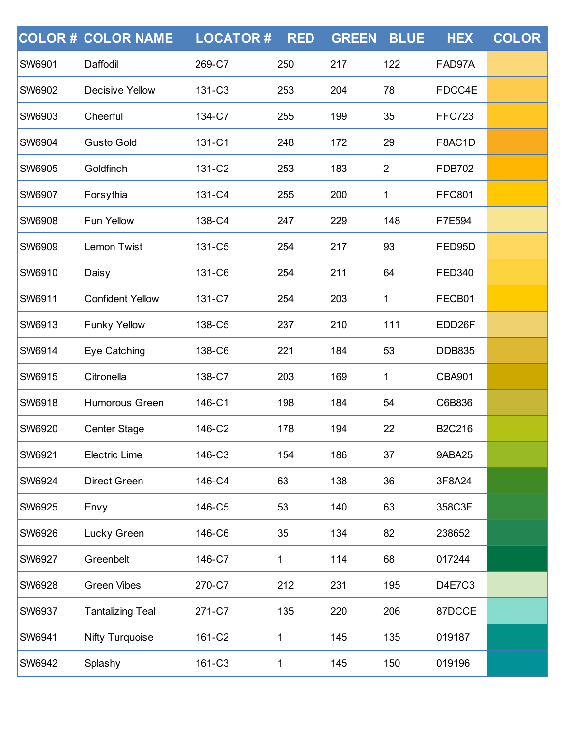|               | <b>COLOR# COLOR NAME</b> | <b>LOCATOR#</b> | <b>RED</b> | <b>GREEN</b> | <b>BLUE</b>    | <b>HEX</b>         | <b>COLOR</b> |
|---------------|--------------------------|-----------------|------------|--------------|----------------|--------------------|--------------|
| <b>SW6901</b> | Daffodil                 | 269-C7          | 250        | 217          | 122            | FAD97A             |              |
| <b>SW6902</b> | <b>Decisive Yellow</b>   | 131-C3          | 253        | 204          | 78             | FDCC4E             |              |
| <b>SW6903</b> | Cheerful                 | 134-C7          | 255        | 199          | 35             | <b>FFC723</b>      |              |
| <b>SW6904</b> | <b>Gusto Gold</b>        | 131-C1          | 248        | 172          | 29             | F8AC1D             |              |
| <b>SW6905</b> | Goldfinch                | 131-C2          | 253        | 183          | $\overline{2}$ | <b>FDB702</b>      |              |
| SW6907        | Forsythia                | 131-C4          | 255        | 200          | 1              | <b>FFC801</b>      |              |
| SW6908        | <b>Fun Yellow</b>        | 138-C4          | 247        | 229          | 148            | F7E594             |              |
| <b>SW6909</b> | Lemon Twist              | 131-C5          | 254        | 217          | 93             | FED95D             |              |
| SW6910        | Daisy                    | 131-C6          | 254        | 211          | 64             | <b>FED340</b>      |              |
| SW6911        | <b>Confident Yellow</b>  | 131-C7          | 254        | 203          | 1              | FECB01             |              |
| <b>SW6913</b> | <b>Funky Yellow</b>      | 138-C5          | 237        | 210          | 111            | EDD <sub>26F</sub> |              |
| SW6914        | Eye Catching             | 138-C6          | 221        | 184          | 53             | <b>DDB835</b>      |              |
| SW6915        | Citronella               | 138-C7          | 203        | 169          | 1              | <b>CBA901</b>      |              |
| <b>SW6918</b> | Humorous Green           | 146-C1          | 198        | 184          | 54             | C6B836             |              |
| <b>SW6920</b> | Center Stage             | 146-C2          | 178        | 194          | 22             | <b>B2C216</b>      |              |
| <b>SW6921</b> | <b>Electric Lime</b>     | 146-C3          | 154        | 186          | 37             | 9ABA25             |              |
| <b>SW6924</b> | <b>Direct Green</b>      | 146-C4          | 63         | 138          | 36             | 3F8A24             |              |
| <b>SW6925</b> | Envy                     | 146-C5          | 53         | 140          | 63             | 358C3F             |              |
| SW6926        | Lucky Green              | 146-C6          | 35         | 134          | 82             | 238652             |              |
| <b>SW6927</b> | Greenbelt                | 146-C7          | 1          | 114          | 68             | 017244             |              |
| <b>SW6928</b> | <b>Green Vibes</b>       | 270-C7          | 212        | 231          | 195            | D4E7C3             |              |
| SW6937        | <b>Tantalizing Teal</b>  | 271-C7          | 135        | 220          | 206            | 87DCCE             |              |
| SW6941        | <b>Nifty Turquoise</b>   | 161-C2          | 1          | 145          | 135            | 019187             |              |
| SW6942        | Splashy                  | 161-C3          | 1          | 145          | 150            | 019196             |              |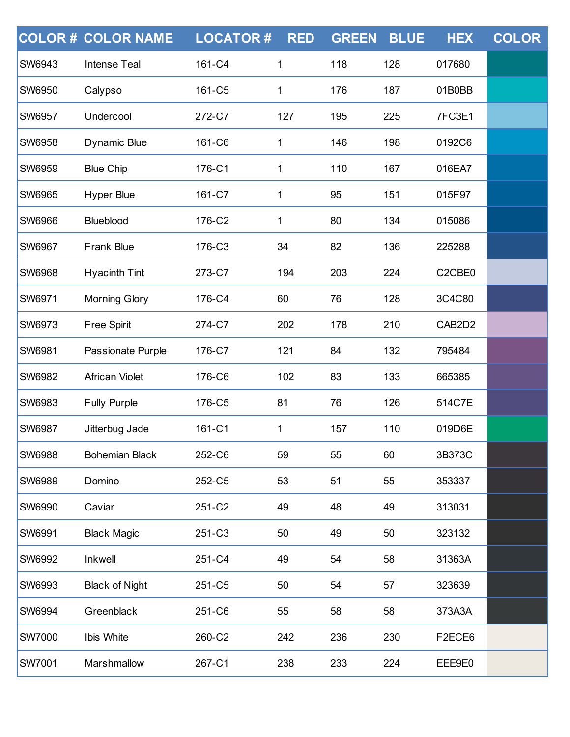|               | <b>COLOR # COLOR NAME</b> | <b>LOCATOR#</b> | <b>RED</b> | <b>GREEN</b> | <b>BLUE</b> | <b>HEX</b> | <b>COLOR</b> |
|---------------|---------------------------|-----------------|------------|--------------|-------------|------------|--------------|
| <b>SW6943</b> | <b>Intense Teal</b>       | 161-C4          | 1          | 118          | 128         | 017680     |              |
| <b>SW6950</b> | Calypso                   | 161-C5          | 1          | 176          | 187         | 01B0BB     |              |
| SW6957        | Undercool                 | 272-C7          | 127        | 195          | 225         | 7FC3E1     |              |
| <b>SW6958</b> | <b>Dynamic Blue</b>       | 161-C6          | 1          | 146          | 198         | 0192C6     |              |
| <b>SW6959</b> | <b>Blue Chip</b>          | 176-C1          | 1          | 110          | 167         | 016EA7     |              |
| SW6965        | <b>Hyper Blue</b>         | 161-C7          | 1          | 95           | 151         | 015F97     |              |
| SW6966        | Blueblood                 | 176-C2          | 1          | 80           | 134         | 015086     |              |
| <b>SW6967</b> | <b>Frank Blue</b>         | 176-C3          | 34         | 82           | 136         | 225288     |              |
| <b>SW6968</b> | <b>Hyacinth Tint</b>      | 273-C7          | 194        | 203          | 224         | C2CBE0     |              |
| SW6971        | <b>Morning Glory</b>      | 176-C4          | 60         | 76           | 128         | 3C4C80     |              |
| SW6973        | <b>Free Spirit</b>        | 274-C7          | 202        | 178          | 210         | CAB2D2     |              |
| SW6981        | Passionate Purple         | 176-C7          | 121        | 84           | 132         | 795484     |              |
| SW6982        | <b>African Violet</b>     | 176-C6          | 102        | 83           | 133         | 665385     |              |
| <b>SW6983</b> | <b>Fully Purple</b>       | 176-C5          | 81         | 76           | 126         | 514C7E     |              |
| SW6987        | Jitterbug Jade            | 161-C1          | 1          | 157          | 110         | 019D6E     |              |
| <b>SW6988</b> | <b>Bohemian Black</b>     | 252-C6          | 59         | 55           | 60          | 3B373C     |              |
| <b>SW6989</b> | Domino                    | 252-C5          | 53         | 51           | 55          | 353337     |              |
| <b>SW6990</b> | Caviar                    | 251-C2          | 49         | 48           | 49          | 313031     |              |
| SW6991        | <b>Black Magic</b>        | 251-C3          | 50         | 49           | 50          | 323132     |              |
| <b>SW6992</b> | <b>Inkwell</b>            | 251-C4          | 49         | 54           | 58          | 31363A     |              |
| <b>SW6993</b> | <b>Black of Night</b>     | 251-C5          | 50         | 54           | 57          | 323639     |              |
| SW6994        | Greenblack                | 251-C6          | 55         | 58           | 58          | 373A3A     |              |
| <b>SW7000</b> | Ibis White                | 260-C2          | 242        | 236          | 230         | F2ECE6     |              |
| SW7001        | Marshmallow               | 267-C1          | 238        | 233          | 224         | EEE9E0     |              |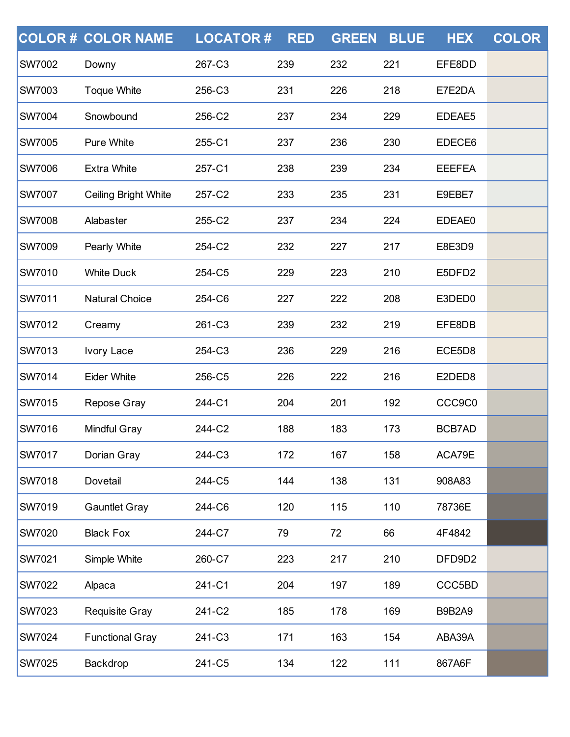|               | <b>COLOR # COLOR NAME</b>   | <b>LOCATOR#</b> | <b>RED</b> | <b>GREEN</b> | <b>BLUE</b> | <b>HEX</b>    | <b>COLOR</b> |
|---------------|-----------------------------|-----------------|------------|--------------|-------------|---------------|--------------|
| SW7002        | Downy                       | 267-C3          | 239        | 232          | 221         | EFE8DD        |              |
| <b>SW7003</b> | <b>Toque White</b>          | 256-C3          | 231        | 226          | 218         | E7E2DA        |              |
| <b>SW7004</b> | Snowbound                   | 256-C2          | 237        | 234          | 229         | EDEAE5        |              |
| <b>SW7005</b> | <b>Pure White</b>           | 255-C1          | 237        | 236          | 230         | EDECE6        |              |
| <b>SW7006</b> | <b>Extra White</b>          | 257-C1          | 238        | 239          | 234         | <b>EEEFEA</b> |              |
| <b>SW7007</b> | <b>Ceiling Bright White</b> | 257-C2          | 233        | 235          | 231         | E9EBE7        |              |
| <b>SW7008</b> | Alabaster                   | 255-C2          | 237        | 234          | 224         | EDEAE0        |              |
| <b>SW7009</b> | Pearly White                | 254-C2          | 232        | 227          | 217         | E8E3D9        |              |
| <b>SW7010</b> | <b>White Duck</b>           | 254-C5          | 229        | 223          | 210         | E5DFD2        |              |
| SW7011        | <b>Natural Choice</b>       | 254-C6          | 227        | 222          | 208         | E3DED0        |              |
| <b>SW7012</b> | Creamy                      | 261-C3          | 239        | 232          | 219         | EFE8DB        |              |
| <b>SW7013</b> | Ivory Lace                  | 254-C3          | 236        | 229          | 216         | ECE5D8        |              |
| SW7014        | <b>Eider White</b>          | 256-C5          | 226        | 222          | 216         | E2DED8        |              |
| <b>SW7015</b> | Repose Gray                 | 244-C1          | 204        | 201          | 192         | CCC9C0        |              |
| <b>SW7016</b> | <b>Mindful Gray</b>         | 244-C2          | 188        | 183          | 173         | BCB7AD        |              |
| <b>SW7017</b> | Dorian Gray                 | 244-C3          | 172        | 167          | 158         | ACA79E        |              |
| <b>SW7018</b> | Dovetail                    | 244-C5          | 144        | 138          | 131         | 908A83        |              |
| <b>SW7019</b> | <b>Gauntlet Gray</b>        | 244-C6          | 120        | 115          | 110         | 78736E        |              |
| SW7020        | <b>Black Fox</b>            | 244-C7          | 79         | 72           | 66          | 4F4842        |              |
| <b>SW7021</b> | Simple White                | 260-C7          | 223        | 217          | 210         | DFD9D2        |              |
| <b>SW7022</b> | Alpaca                      | 241-C1          | 204        | 197          | 189         | CCC5BD        |              |
| SW7023        | <b>Requisite Gray</b>       | 241-C2          | 185        | 178          | 169         | <b>B9B2A9</b> |              |
| <b>SW7024</b> | <b>Functional Gray</b>      | 241-C3          | 171        | 163          | 154         | ABA39A        |              |
| SW7025        | Backdrop                    | 241-C5          | 134        | 122          | 111         | 867A6F        |              |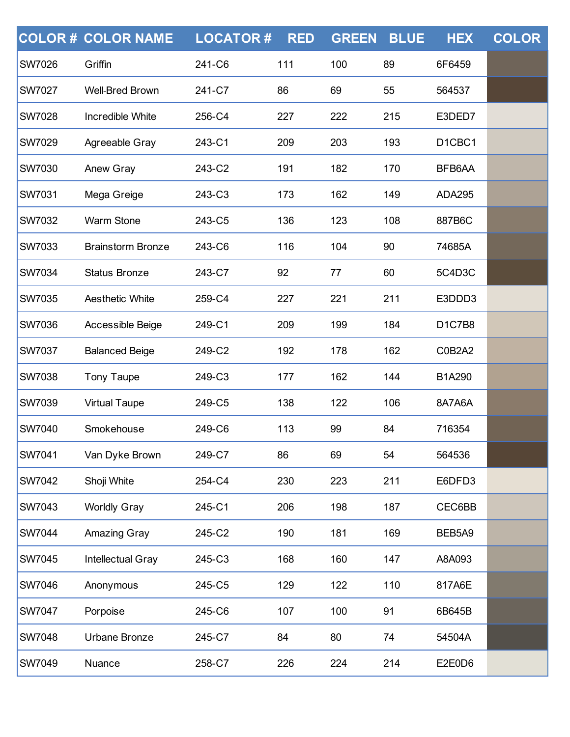|               | <b>COLOR # COLOR NAME</b> | <b>LOCATOR#</b> | <b>RED</b> | <b>GREEN</b> | <b>BLUE</b> | <b>HEX</b>    | <b>COLOR</b> |
|---------------|---------------------------|-----------------|------------|--------------|-------------|---------------|--------------|
| SW7026        | Griffin                   | 241-C6          | 111        | 100          | 89          | 6F6459        |              |
| <b>SW7027</b> | <b>Well-Bred Brown</b>    | 241-C7          | 86         | 69           | 55          | 564537        |              |
| <b>SW7028</b> | Incredible White          | 256-C4          | 227        | 222          | 215         | E3DED7        |              |
| <b>SW7029</b> | Agreeable Gray            | 243-C1          | 209        | 203          | 193         | D1CBC1        |              |
| <b>SW7030</b> | Anew Gray                 | 243-C2          | 191        | 182          | 170         | BFB6AA        |              |
| <b>SW7031</b> | Mega Greige               | 243-C3          | 173        | 162          | 149         | <b>ADA295</b> |              |
| SW7032        | <b>Warm Stone</b>         | 243-C5          | 136        | 123          | 108         | 887B6C        |              |
| <b>SW7033</b> | <b>Brainstorm Bronze</b>  | 243-C6          | 116        | 104          | 90          | 74685A        |              |
| <b>SW7034</b> | <b>Status Bronze</b>      | 243-C7          | 92         | 77           | 60          | 5C4D3C        |              |
| SW7035        | <b>Aesthetic White</b>    | 259-C4          | 227        | 221          | 211         | E3DDD3        |              |
| <b>SW7036</b> | Accessible Beige          | 249-C1          | 209        | 199          | 184         | <b>D1C7B8</b> |              |
| <b>SW7037</b> | <b>Balanced Beige</b>     | 249-C2          | 192        | 178          | 162         | C0B2A2        |              |
| SW7038        | <b>Tony Taupe</b>         | 249-C3          | 177        | 162          | 144         | B1A290        |              |
| <b>SW7039</b> | <b>Virtual Taupe</b>      | 249-C5          | 138        | 122          | 106         | 8A7A6A        |              |
| <b>SW7040</b> | Smokehouse                | 249-C6          | 113        | 99           | 84          | 716354        |              |
| SW7041        | Van Dyke Brown            | 249-C7          | 86         | 69           | 54          | 564536        |              |
| <b>SW7042</b> | Shoji White               | 254-C4          | 230        | 223          | 211         | E6DFD3        |              |
| <b>SW7043</b> | <b>Worldly Gray</b>       | 245-C1          | 206        | 198          | 187         | CEC6BB        |              |
| SW7044        | Amazing Gray              | 245-C2          | 190        | 181          | 169         | BEB5A9        |              |
| <b>SW7045</b> | Intellectual Gray         | 245-C3          | 168        | 160          | 147         | A8A093        |              |
| <b>SW7046</b> | Anonymous                 | 245-C5          | 129        | 122          | 110         | 817A6E        |              |
| SW7047        | Porpoise                  | 245-C6          | 107        | 100          | 91          | 6B645B        |              |
| <b>SW7048</b> | Urbane Bronze             | 245-C7          | 84         | 80           | 74          | 54504A        |              |
| SW7049        | Nuance                    | 258-C7          | 226        | 224          | 214         | E2E0D6        |              |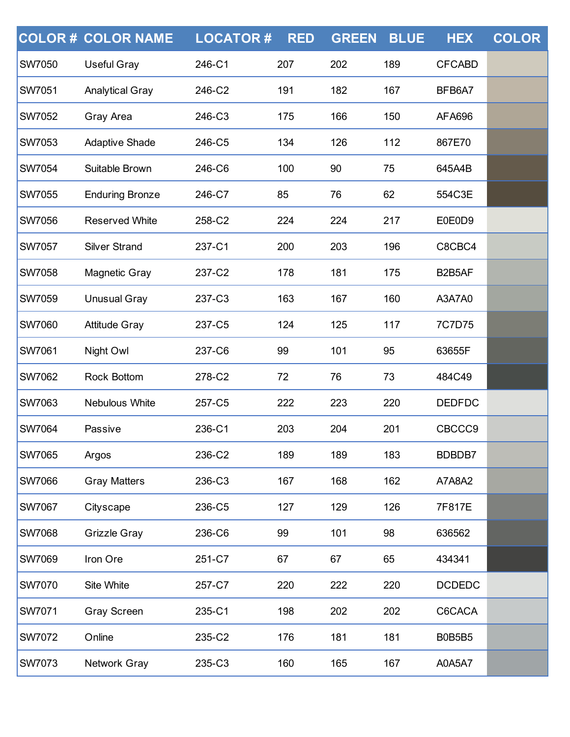|               | <b>COLOR # COLOR NAME</b> | <b>LOCATOR#</b> | <b>RED</b> | <b>GREEN</b> | <b>BLUE</b> | <b>HEX</b>    | <b>COLOR</b> |
|---------------|---------------------------|-----------------|------------|--------------|-------------|---------------|--------------|
| <b>SW7050</b> | <b>Useful Gray</b>        | 246-C1          | 207        | 202          | 189         | <b>CFCABD</b> |              |
| <b>SW7051</b> | <b>Analytical Gray</b>    | 246-C2          | 191        | 182          | 167         | BFB6A7        |              |
| <b>SW7052</b> | Gray Area                 | 246-C3          | 175        | 166          | 150         | <b>AFA696</b> |              |
| <b>SW7053</b> | <b>Adaptive Shade</b>     | 246-C5          | 134        | 126          | 112         | 867E70        |              |
| <b>SW7054</b> | Suitable Brown            | 246-C6          | 100        | 90           | 75          | 645A4B        |              |
| <b>SW7055</b> | <b>Enduring Bronze</b>    | 246-C7          | 85         | 76           | 62          | 554C3E        |              |
| <b>SW7056</b> | <b>Reserved White</b>     | 258-C2          | 224        | 224          | 217         | E0E0D9        |              |
| <b>SW7057</b> | <b>Silver Strand</b>      | 237-C1          | 200        | 203          | 196         | C8CBC4        |              |
| <b>SW7058</b> | <b>Magnetic Gray</b>      | 237-C2          | 178        | 181          | 175         | B2B5AF        |              |
| <b>SW7059</b> | <b>Unusual Gray</b>       | 237-C3          | 163        | 167          | 160         | A3A7A0        |              |
| <b>SW7060</b> | <b>Attitude Gray</b>      | 237-C5          | 124        | 125          | 117         | 7C7D75        |              |
| <b>SW7061</b> | Night Owl                 | 237-C6          | 99         | 101          | 95          | 63655F        |              |
| <b>SW7062</b> | <b>Rock Bottom</b>        | 278-C2          | 72         | 76           | 73          | 484C49        |              |
| <b>SW7063</b> | Nebulous White            | 257-C5          | 222        | 223          | 220         | <b>DEDFDC</b> |              |
| <b>SW7064</b> | Passive                   | 236-C1          | 203        | 204          | 201         | CBCCC9        |              |
| <b>SW7065</b> | Argos                     | 236-C2          | 189        | 189          | 183         | BDBDB7        |              |
| <b>SW7066</b> | <b>Gray Matters</b>       | 236-C3          | 167        | 168          | 162         | A7A8A2        |              |
| <b>SW7067</b> | Cityscape                 | 236-C5          | 127        | 129          | 126         | 7F817E        |              |
| <b>SW7068</b> | <b>Grizzle Gray</b>       | 236-C6          | 99         | 101          | 98          | 636562        |              |
| <b>SW7069</b> | Iron Ore                  | 251-C7          | 67         | 67           | 65          | 434341        |              |
| <b>SW7070</b> | Site White                | 257-C7          | 220        | 222          | 220         | <b>DCDEDC</b> |              |
| <b>SW7071</b> | <b>Gray Screen</b>        | 235-C1          | 198        | 202          | 202         | C6CACA        |              |
| <b>SW7072</b> | Online                    | 235-C2          | 176        | 181          | 181         | <b>B0B5B5</b> |              |
| <b>SW7073</b> | Network Gray              | 235-C3          | 160        | 165          | 167         | A0A5A7        |              |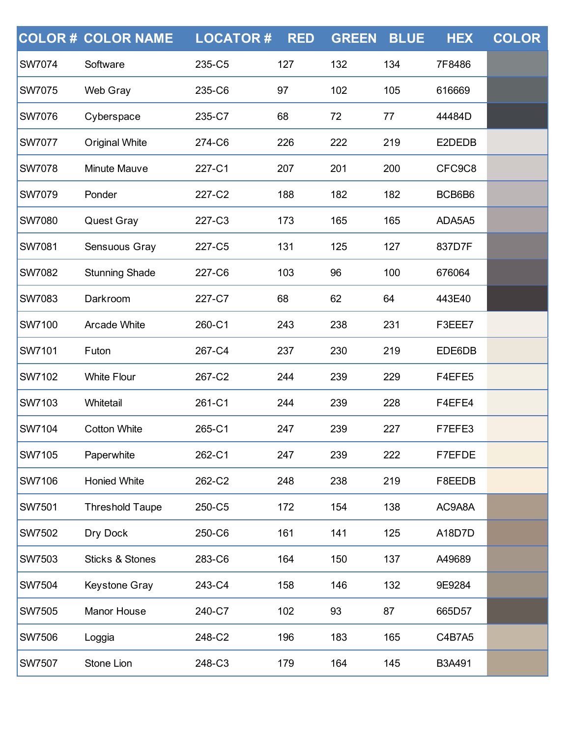|               | <b>COLOR # COLOR NAME</b>  | <b>LOCATOR#</b> | <b>RED</b> | <b>GREEN</b> | <b>BLUE</b> | <b>HEX</b> | <b>COLOR</b> |
|---------------|----------------------------|-----------------|------------|--------------|-------------|------------|--------------|
| <b>SW7074</b> | Software                   | 235-C5          | 127        | 132          | 134         | 7F8486     |              |
| <b>SW7075</b> | Web Gray                   | 235-C6          | 97         | 102          | 105         | 616669     |              |
| <b>SW7076</b> | Cyberspace                 | 235-C7          | 68         | 72           | 77          | 44484D     |              |
| <b>SW7077</b> | <b>Original White</b>      | 274-C6          | 226        | 222          | 219         | E2DEDB     |              |
| <b>SW7078</b> | Minute Mauve               | 227-C1          | 207        | 201          | 200         | CFC9C8     |              |
| <b>SW7079</b> | Ponder                     | 227-C2          | 188        | 182          | 182         | BCB6B6     |              |
| <b>SW7080</b> | Quest Gray                 | 227-C3          | 173        | 165          | 165         | ADA5A5     |              |
| <b>SW7081</b> | Sensuous Gray              | 227-C5          | 131        | 125          | 127         | 837D7F     |              |
| <b>SW7082</b> | <b>Stunning Shade</b>      | 227-C6          | 103        | 96           | 100         | 676064     |              |
| <b>SW7083</b> | Darkroom                   | 227-C7          | 68         | 62           | 64          | 443E40     |              |
| <b>SW7100</b> | <b>Arcade White</b>        | 260-C1          | 243        | 238          | 231         | F3EEE7     |              |
| <b>SW7101</b> | Futon                      | 267-C4          | 237        | 230          | 219         | EDE6DB     |              |
| <b>SW7102</b> | <b>White Flour</b>         | 267-C2          | 244        | 239          | 229         | F4EFE5     |              |
| <b>SW7103</b> | Whitetail                  | 261-C1          | 244        | 239          | 228         | F4EFE4     |              |
| <b>SW7104</b> | <b>Cotton White</b>        | 265-C1          | 247        | 239          | 227         | F7EFE3     |              |
| <b>SW7105</b> | Paperwhite                 | 262-C1          | 247        | 239          | 222         | F7EFDE     |              |
| <b>SW7106</b> | <b>Honied White</b>        | 262-C2          | 248        | 238          | 219         | F8EEDB     |              |
| <b>SW7501</b> | <b>Threshold Taupe</b>     | 250-C5          | 172        | 154          | 138         | AC9A8A     |              |
| <b>SW7502</b> | Dry Dock                   | 250-C6          | 161        | 141          | 125         | A18D7D     |              |
| <b>SW7503</b> | <b>Sticks &amp; Stones</b> | 283-C6          | 164        | 150          | 137         | A49689     |              |
| <b>SW7504</b> | Keystone Gray              | 243-C4          | 158        | 146          | 132         | 9E9284     |              |
| <b>SW7505</b> | Manor House                | 240-C7          | 102        | 93           | 87          | 665D57     |              |
| <b>SW7506</b> | Loggia                     | 248-C2          | 196        | 183          | 165         | C4B7A5     |              |
| <b>SW7507</b> | Stone Lion                 | 248-C3          | 179        | 164          | 145         | B3A491     |              |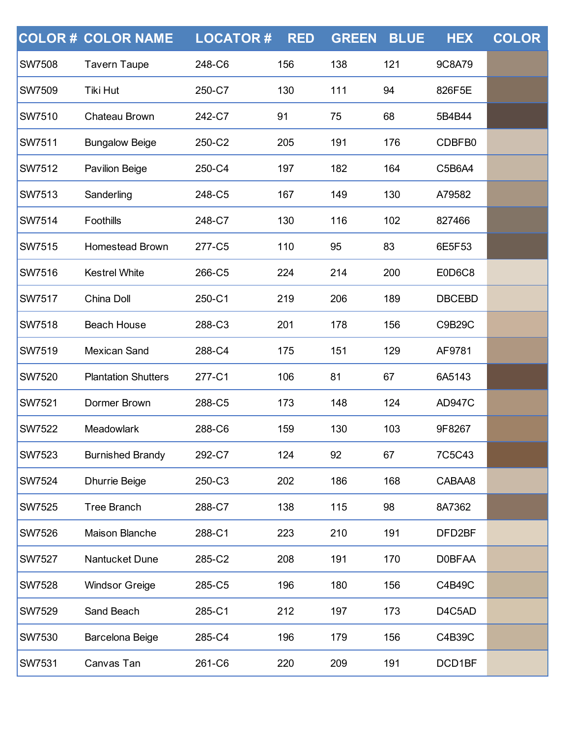|               | <b>COLOR# COLOR NAME</b>   | <b>LOCATOR#</b> | <b>RED</b> | <b>GREEN</b> | <b>BLUE</b> | <b>HEX</b>    | <b>COLOR</b> |
|---------------|----------------------------|-----------------|------------|--------------|-------------|---------------|--------------|
| <b>SW7508</b> | <b>Tavern Taupe</b>        | 248-C6          | 156        | 138          | 121         | 9C8A79        |              |
| <b>SW7509</b> | Tiki Hut                   | 250-C7          | 130        | 111          | 94          | 826F5E        |              |
| <b>SW7510</b> | Chateau Brown              | 242-C7          | 91         | 75           | 68          | 5B4B44        |              |
| <b>SW7511</b> | <b>Bungalow Beige</b>      | 250-C2          | 205        | 191          | 176         | CDBFB0        |              |
| <b>SW7512</b> | <b>Pavilion Beige</b>      | 250-C4          | 197        | 182          | 164         | C5B6A4        |              |
| <b>SW7513</b> | Sanderling                 | 248-C5          | 167        | 149          | 130         | A79582        |              |
| <b>SW7514</b> | Foothills                  | 248-C7          | 130        | 116          | 102         | 827466        |              |
| <b>SW7515</b> | Homestead Brown            | 277-C5          | 110        | 95           | 83          | 6E5F53        |              |
| <b>SW7516</b> | <b>Kestrel White</b>       | 266-C5          | 224        | 214          | 200         | E0D6C8        |              |
| <b>SW7517</b> | China Doll                 | 250-C1          | 219        | 206          | 189         | <b>DBCEBD</b> |              |
| <b>SW7518</b> | <b>Beach House</b>         | 288-C3          | 201        | 178          | 156         | C9B29C        |              |
| <b>SW7519</b> | <b>Mexican Sand</b>        | 288-C4          | 175        | 151          | 129         | AF9781        |              |
| <b>SW7520</b> | <b>Plantation Shutters</b> | 277-C1          | 106        | 81           | 67          | 6A5143        |              |
| <b>SW7521</b> | Dormer Brown               | 288-C5          | 173        | 148          | 124         | <b>AD947C</b> |              |
| <b>SW7522</b> | Meadowlark                 | 288-C6          | 159        | 130          | 103         | 9F8267        |              |
| <b>SW7523</b> | <b>Burnished Brandy</b>    | 292-C7          | 124        | 92           | 67          | 7C5C43        |              |
| <b>SW7524</b> | <b>Dhurrie Beige</b>       | 250-C3          | 202        | 186          | 168         | CABAA8        |              |
| <b>SW7525</b> | <b>Tree Branch</b>         | 288-C7          | 138        | 115          | 98          | 8A7362        |              |
| <b>SW7526</b> | Maison Blanche             | 288-C1          | 223        | 210          | 191         | DFD2BF        |              |
| <b>SW7527</b> | Nantucket Dune             | 285-C2          | 208        | 191          | 170         | <b>D0BFAA</b> |              |
| <b>SW7528</b> | <b>Windsor Greige</b>      | 285-C5          | 196        | 180          | 156         | C4B49C        |              |
| <b>SW7529</b> | Sand Beach                 | 285-C1          | 212        | 197          | 173         | D4C5AD        |              |
| <b>SW7530</b> | Barcelona Beige            | 285-C4          | 196        | 179          | 156         | C4B39C        |              |
| SW7531        | Canvas Tan                 | 261-C6          | 220        | 209          | 191         | DCD1BF        |              |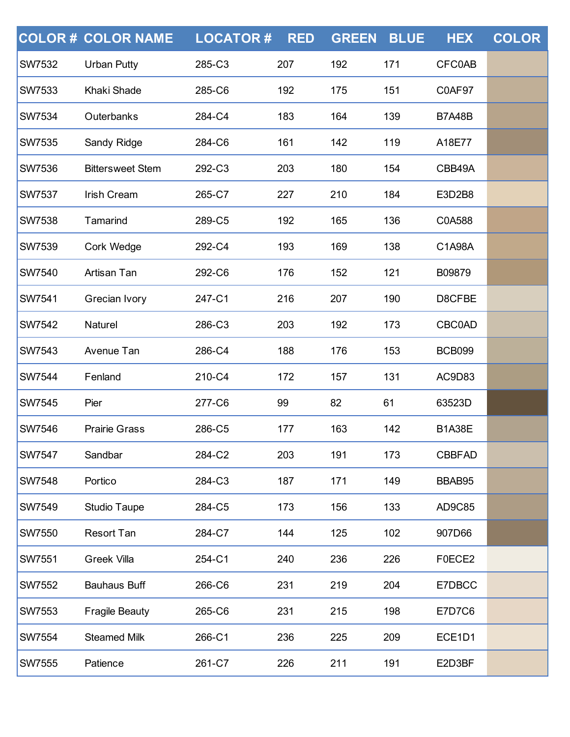|               | <b>COLOR # COLOR NAME</b> | <b>LOCATOR#</b> | <b>RED</b> | <b>GREEN</b> | <b>BLUE</b> | <b>HEX</b>    | <b>COLOR</b> |
|---------------|---------------------------|-----------------|------------|--------------|-------------|---------------|--------------|
| <b>SW7532</b> | <b>Urban Putty</b>        | 285-C3          | 207        | 192          | 171         | <b>CFC0AB</b> |              |
| <b>SW7533</b> | Khaki Shade               | 285-C6          | 192        | 175          | 151         | C0AF97        |              |
| <b>SW7534</b> | Outerbanks                | 284-C4          | 183        | 164          | 139         | <b>B7A48B</b> |              |
| <b>SW7535</b> | Sandy Ridge               | 284-C6          | 161        | 142          | 119         | A18E77        |              |
| <b>SW7536</b> | <b>Bittersweet Stem</b>   | 292-C3          | 203        | 180          | 154         | CBB49A        |              |
| <b>SW7537</b> | <b>Irish Cream</b>        | 265-C7          | 227        | 210          | 184         | E3D2B8        |              |
| <b>SW7538</b> | Tamarind                  | 289-C5          | 192        | 165          | 136         | C0A588        |              |
| <b>SW7539</b> | Cork Wedge                | 292-C4          | 193        | 169          | 138         | C1A98A        |              |
| <b>SW7540</b> | Artisan Tan               | 292-C6          | 176        | 152          | 121         | B09879        |              |
| <b>SW7541</b> | Grecian Ivory             | 247-C1          | 216        | 207          | 190         | D8CFBE        |              |
| <b>SW7542</b> | Naturel                   | 286-C3          | 203        | 192          | 173         | <b>CBC0AD</b> |              |
| <b>SW7543</b> | Avenue Tan                | 286-C4          | 188        | 176          | 153         | <b>BCB099</b> |              |
| <b>SW7544</b> | Fenland                   | 210-C4          | 172        | 157          | 131         | AC9D83        |              |
| <b>SW7545</b> | Pier                      | 277-C6          | 99         | 82           | 61          | 63523D        |              |
| <b>SW7546</b> | <b>Prairie Grass</b>      | 286-C5          | 177        | 163          | 142         | <b>B1A38E</b> |              |
| <b>SW7547</b> | Sandbar                   | 284-C2          | 203        | 191          | 173         | <b>CBBFAD</b> |              |
| <b>SW7548</b> | Portico                   | 284-C3          | 187        | 171          | 149         | BBAB95        |              |
| <b>SW7549</b> | Studio Taupe              | 284-C5          | 173        | 156          | 133         | AD9C85        |              |
| <b>SW7550</b> | <b>Resort Tan</b>         | 284-C7          | 144        | 125          | 102         | 907D66        |              |
| <b>SW7551</b> | <b>Greek Villa</b>        | 254-C1          | 240        | 236          | 226         | F0ECE2        |              |
| <b>SW7552</b> | <b>Bauhaus Buff</b>       | 266-C6          | 231        | 219          | 204         | E7DBCC        |              |
| <b>SW7553</b> | <b>Fragile Beauty</b>     | 265-C6          | 231        | 215          | 198         | <b>E7D7C6</b> |              |
| <b>SW7554</b> | <b>Steamed Milk</b>       | 266-C1          | 236        | 225          | 209         | ECE1D1        |              |
| <b>SW7555</b> | Patience                  | 261-C7          | 226        | 211          | 191         | E2D3BF        |              |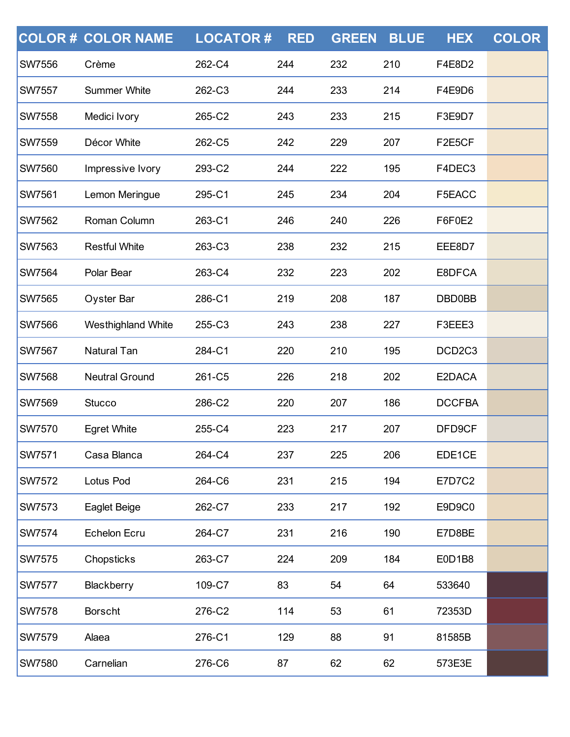|               | <b>COLOR # COLOR NAME</b> | <b>LOCATOR#</b> | <b>RED</b> | <b>GREEN</b> | <b>BLUE</b> | <b>HEX</b>                      | <b>COLOR</b> |
|---------------|---------------------------|-----------------|------------|--------------|-------------|---------------------------------|--------------|
| <b>SW7556</b> | Crème                     | 262-C4          | 244        | 232          | 210         | F4E8D2                          |              |
| <b>SW7557</b> | <b>Summer White</b>       | 262-C3          | 244        | 233          | 214         | F4E9D6                          |              |
| <b>SW7558</b> | Medici Ivory              | 265-C2          | 243        | 233          | 215         | F3E9D7                          |              |
| <b>SW7559</b> | Décor White               | 262-C5          | 242        | 229          | 207         | F2E5CF                          |              |
| <b>SW7560</b> | Impressive Ivory          | 293-C2          | 244        | 222          | 195         | F4DEC3                          |              |
| <b>SW7561</b> | Lemon Meringue            | 295-C1          | 245        | 234          | 204         | F5EACC                          |              |
| <b>SW7562</b> | Roman Column              | 263-C1          | 246        | 240          | 226         | F6F0E2                          |              |
| <b>SW7563</b> | <b>Restful White</b>      | 263-C3          | 238        | 232          | 215         | EEE8D7                          |              |
| <b>SW7564</b> | Polar Bear                | 263-C4          | 232        | 223          | 202         | E8DFCA                          |              |
| <b>SW7565</b> | Oyster Bar                | 286-C1          | 219        | 208          | 187         | <b>DBD0BB</b>                   |              |
| <b>SW7566</b> | Westhighland White        | 255-C3          | 243        | 238          | 227         | F3EEE3                          |              |
| <b>SW7567</b> | <b>Natural Tan</b>        | 284-C1          | 220        | 210          | 195         | DCD <sub>2</sub> C <sub>3</sub> |              |
| <b>SW7568</b> | <b>Neutral Ground</b>     | 261-C5          | 226        | 218          | 202         | E2DACA                          |              |
| <b>SW7569</b> | <b>Stucco</b>             | 286-C2          | 220        | 207          | 186         | <b>DCCFBA</b>                   |              |
| <b>SW7570</b> | <b>Egret White</b>        | 255-C4          | 223        | 217          | 207         | DFD9CF                          |              |
| <b>SW7571</b> | Casa Blanca               | 264-C4          | 237        | 225          | 206         | EDE1CE                          |              |
| <b>SW7572</b> | Lotus Pod                 | 264-C6          | 231        | 215          | 194         | <b>E7D7C2</b>                   |              |
| <b>SW7573</b> | Eaglet Beige              | 262-C7          | 233        | 217          | 192         | E9D9C0                          |              |
| <b>SW7574</b> | <b>Echelon Ecru</b>       | 264-C7          | 231        | 216          | 190         | E7D8BE                          |              |
| <b>SW7575</b> | Chopsticks                | 263-C7          | 224        | 209          | 184         | E0D1B8                          |              |
| <b>SW7577</b> | Blackberry                | 109-C7          | 83         | 54           | 64          | 533640                          |              |
| <b>SW7578</b> | <b>Borscht</b>            | 276-C2          | 114        | 53           | 61          | 72353D                          |              |
| <b>SW7579</b> | Alaea                     | 276-C1          | 129        | 88           | 91          | 81585B                          |              |
| <b>SW7580</b> | Carnelian                 | 276-C6          | 87         | 62           | 62          | 573E3E                          |              |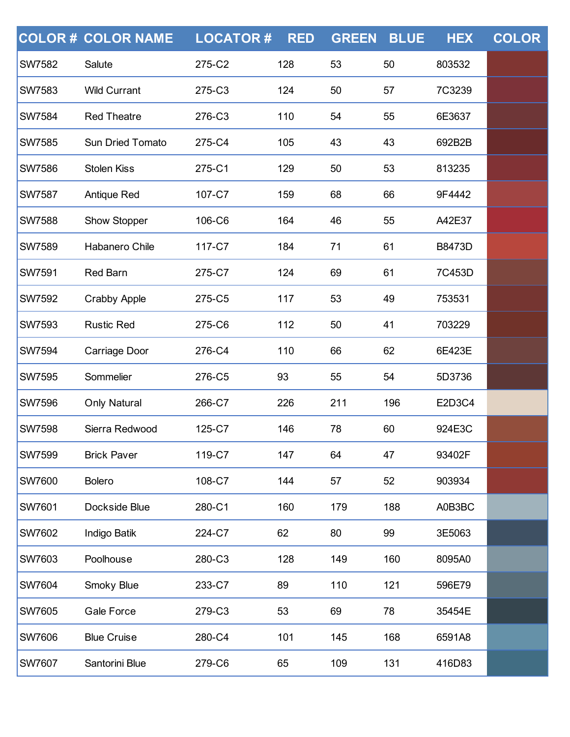|               | <b>COLOR # COLOR NAME</b> | <b>LOCATOR#</b> | <b>RED</b> | <b>GREEN</b> | <b>BLUE</b> | <b>HEX</b>    | <b>COLOR</b> |
|---------------|---------------------------|-----------------|------------|--------------|-------------|---------------|--------------|
| <b>SW7582</b> | Salute                    | 275-C2          | 128        | 53           | 50          | 803532        |              |
| <b>SW7583</b> | <b>Wild Currant</b>       | 275-C3          | 124        | 50           | 57          | 7C3239        |              |
| <b>SW7584</b> | <b>Red Theatre</b>        | 276-C3          | 110        | 54           | 55          | 6E3637        |              |
| <b>SW7585</b> | <b>Sun Dried Tomato</b>   | 275-C4          | 105        | 43           | 43          | 692B2B        |              |
| <b>SW7586</b> | <b>Stolen Kiss</b>        | 275-C1          | 129        | 50           | 53          | 813235        |              |
| <b>SW7587</b> | <b>Antique Red</b>        | 107-C7          | 159        | 68           | 66          | 9F4442        |              |
| <b>SW7588</b> | Show Stopper              | 106-C6          | 164        | 46           | 55          | A42E37        |              |
| <b>SW7589</b> | Habanero Chile            | 117-C7          | 184        | 71           | 61          | <b>B8473D</b> |              |
| <b>SW7591</b> | <b>Red Barn</b>           | 275-C7          | 124        | 69           | 61          | 7C453D        |              |
| <b>SW7592</b> | <b>Crabby Apple</b>       | 275-C5          | 117        | 53           | 49          | 753531        |              |
| <b>SW7593</b> | <b>Rustic Red</b>         | 275-C6          | 112        | 50           | 41          | 703229        |              |
| <b>SW7594</b> | Carriage Door             | 276-C4          | 110        | 66           | 62          | 6E423E        |              |
| <b>SW7595</b> | Sommelier                 | 276-C5          | 93         | 55           | 54          | 5D3736        |              |
| <b>SW7596</b> | <b>Only Natural</b>       | 266-C7          | 226        | 211          | 196         | E2D3C4        |              |
| <b>SW7598</b> | Sierra Redwood            | 125-C7          | 146        | 78           | 60          | 924E3C        |              |
| <b>SW7599</b> | <b>Brick Paver</b>        | 119-C7          | 147        | 64           | 47          | 93402F        |              |
| <b>SW7600</b> | <b>Bolero</b>             | 108-C7          | 144        | 57           | 52          | 903934        |              |
| <b>SW7601</b> | Dockside Blue             | 280-C1          | 160        | 179          | 188         | A0B3BC        |              |
| <b>SW7602</b> | Indigo Batik              | 224-C7          | 62         | 80           | 99          | 3E5063        |              |
| <b>SW7603</b> | Poolhouse                 | 280-C3          | 128        | 149          | 160         | 8095A0        |              |
| <b>SW7604</b> | Smoky Blue                | 233-C7          | 89         | 110          | 121         | 596E79        |              |
| SW7605        | <b>Gale Force</b>         | 279-C3          | 53         | 69           | 78          | 35454E        |              |
| <b>SW7606</b> | <b>Blue Cruise</b>        | 280-C4          | 101        | 145          | 168         | 6591A8        |              |
| <b>SW7607</b> | Santorini Blue            | 279-C6          | 65         | 109          | 131         | 416D83        |              |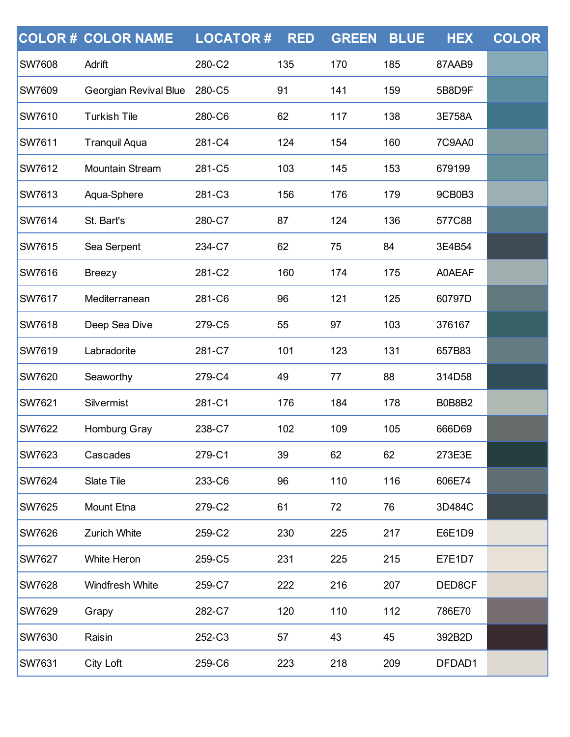|               | <b>COLOR # COLOR NAME</b> | <b>LOCATOR#</b> | <b>RED</b> | <b>GREEN</b> | <b>BLUE</b> | <b>HEX</b> | <b>COLOR</b> |
|---------------|---------------------------|-----------------|------------|--------------|-------------|------------|--------------|
| <b>SW7608</b> | Adrift                    | 280-C2          | 135        | 170          | 185         | 87AAB9     |              |
| <b>SW7609</b> | Georgian Revival Blue     | 280-C5          | 91         | 141          | 159         | 5B8D9F     |              |
| <b>SW7610</b> | <b>Turkish Tile</b>       | 280-C6          | 62         | 117          | 138         | 3E758A     |              |
| <b>SW7611</b> | <b>Tranquil Aqua</b>      | 281-C4          | 124        | 154          | 160         | 7C9AA0     |              |
| <b>SW7612</b> | <b>Mountain Stream</b>    | 281-C5          | 103        | 145          | 153         | 679199     |              |
| <b>SW7613</b> | Aqua-Sphere               | 281-C3          | 156        | 176          | 179         | 9CB0B3     |              |
| SW7614        | St. Bart's                | 280-C7          | 87         | 124          | 136         | 577C88     |              |
| <b>SW7615</b> | Sea Serpent               | 234-C7          | 62         | 75           | 84          | 3E4B54     |              |
| <b>SW7616</b> | <b>Breezy</b>             | 281-C2          | 160        | 174          | 175         | A0AEAF     |              |
| SW7617        | Mediterranean             | 281-C6          | 96         | 121          | 125         | 60797D     |              |
| <b>SW7618</b> | Deep Sea Dive             | 279-C5          | 55         | 97           | 103         | 376167     |              |
| <b>SW7619</b> | Labradorite               | 281-C7          | 101        | 123          | 131         | 657B83     |              |
| SW7620        | Seaworthy                 | 279-C4          | 49         | 77           | 88          | 314D58     |              |
| <b>SW7621</b> | Silvermist                | 281-C1          | 176        | 184          | 178         | B0B8B2     |              |
| <b>SW7622</b> | Homburg Gray              | 238-C7          | 102        | 109          | 105         | 666D69     |              |
| <b>SW7623</b> | Cascades                  | 279-C1          | 39         | 62           | 62          | 273E3E     |              |
| <b>SW7624</b> | Slate Tile                | 233-C6          | 96         | 110          | 116         | 606E74     |              |
| <b>SW7625</b> | Mount Etna                | 279-C2          | 61         | 72           | 76          | 3D484C     |              |
| <b>SW7626</b> | Zurich White              | 259-C2          | 230        | 225          | 217         | E6E1D9     |              |
| <b>SW7627</b> | White Heron               | 259-C5          | 231        | 225          | 215         | E7E1D7     |              |
| <b>SW7628</b> | Windfresh White           | 259-C7          | 222        | 216          | 207         | DED8CF     |              |
| <b>SW7629</b> | Grapy                     | 282-C7          | 120        | 110          | 112         | 786E70     |              |
| <b>SW7630</b> | Raisin                    | 252-C3          | 57         | 43           | 45          | 392B2D     |              |
| <b>SW7631</b> | City Loft                 | 259-C6          | 223        | 218          | 209         | DFDAD1     |              |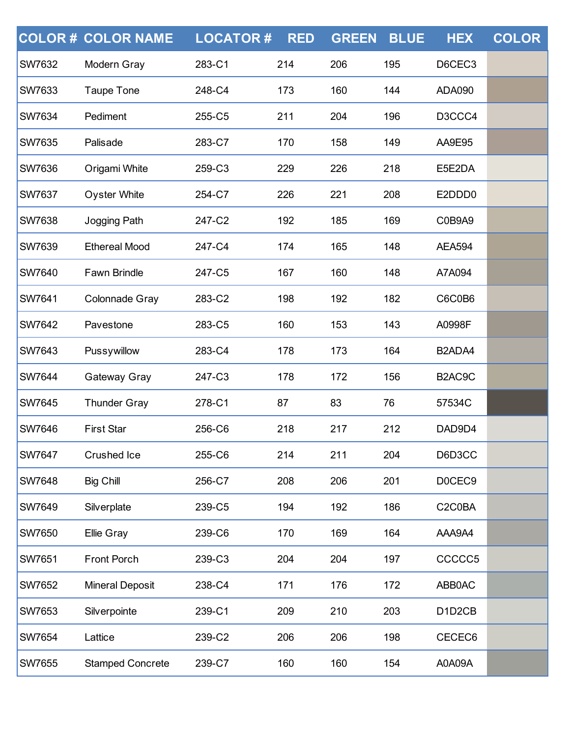|               | <b>COLOR # COLOR NAME</b> | <b>LOCATOR#</b> | <b>RED</b> | <b>GREEN</b> | <b>BLUE</b> | <b>HEX</b>                                   | <b>COLOR</b> |
|---------------|---------------------------|-----------------|------------|--------------|-------------|----------------------------------------------|--------------|
| <b>SW7632</b> | Modern Gray               | 283-C1          | 214        | 206          | 195         | D6CEC3                                       |              |
| <b>SW7633</b> | <b>Taupe Tone</b>         | 248-C4          | 173        | 160          | 144         | <b>ADA090</b>                                |              |
| <b>SW7634</b> | Pediment                  | 255-C5          | 211        | 204          | 196         | D3CCC4                                       |              |
| <b>SW7635</b> | Palisade                  | 283-C7          | 170        | 158          | 149         | AA9E95                                       |              |
| <b>SW7636</b> | Origami White             | 259-C3          | 229        | 226          | 218         | E5E2DA                                       |              |
| <b>SW7637</b> | <b>Oyster White</b>       | 254-C7          | 226        | 221          | 208         | E2DDD0                                       |              |
| <b>SW7638</b> | Jogging Path              | 247-C2          | 192        | 185          | 169         | C0B9A9                                       |              |
| <b>SW7639</b> | <b>Ethereal Mood</b>      | 247-C4          | 174        | 165          | 148         | <b>AEA594</b>                                |              |
| <b>SW7640</b> | Fawn Brindle              | 247-C5          | 167        | 160          | 148         | A7A094                                       |              |
| <b>SW7641</b> | Colonnade Gray            | 283-C2          | 198        | 192          | 182         | C6C0B6                                       |              |
| <b>SW7642</b> | Pavestone                 | 283-C5          | 160        | 153          | 143         | A0998F                                       |              |
| <b>SW7643</b> | Pussywillow               | 283-C4          | 178        | 173          | 164         | B2ADA4                                       |              |
| <b>SW7644</b> | Gateway Gray              | 247-C3          | 178        | 172          | 156         | B2AC9C                                       |              |
| <b>SW7645</b> | <b>Thunder Gray</b>       | 278-C1          | 87         | 83           | 76          | 57534C                                       |              |
| <b>SW7646</b> | <b>First Star</b>         | 256-C6          | 218        | 217          | 212         | DAD9D4                                       |              |
| <b>SW7647</b> | Crushed Ice               | 255-C6          | 214        | 211          | 204         | D6D3CC                                       |              |
| <b>SW7648</b> | <b>Big Chill</b>          | 256-C7          | 208        | 206          | 201         | D0CEC9                                       |              |
| <b>SW7649</b> | Silverplate               | 239-C5          | 194        | 192          | 186         | C2C0BA                                       |              |
| <b>SW7650</b> | Ellie Gray                | 239-C6          | 170        | 169          | 164         | AAA9A4                                       |              |
| <b>SW7651</b> | Front Porch               | 239-C3          | 204        | 204          | 197         | CCCCC5                                       |              |
| <b>SW7652</b> | <b>Mineral Deposit</b>    | 238-C4          | 171        | 176          | 172         | ABB0AC                                       |              |
| <b>SW7653</b> | Silverpointe              | 239-C1          | 209        | 210          | 203         | D <sub>1</sub> D <sub>2</sub> C <sub>B</sub> |              |
| <b>SW7654</b> | Lattice                   | 239-C2          | 206        | 206          | 198         | CECEC6                                       |              |
| SW7655        | <b>Stamped Concrete</b>   | 239-C7          | 160        | 160          | 154         | A0A09A                                       |              |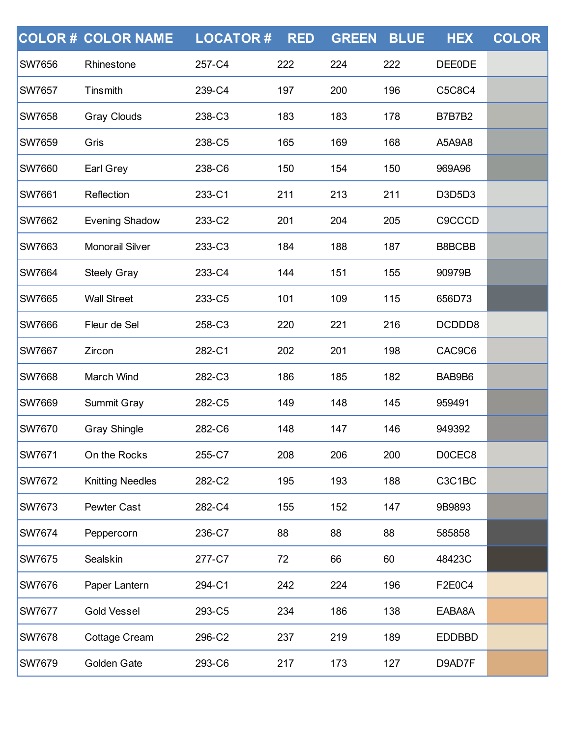|               | <b>COLOR # COLOR NAME</b> | <b>LOCATOR#</b> | <b>RED</b> | <b>GREEN</b> | <b>BLUE</b> | <b>HEX</b>    | <b>COLOR</b> |
|---------------|---------------------------|-----------------|------------|--------------|-------------|---------------|--------------|
| <b>SW7656</b> | Rhinestone                | 257-C4          | 222        | 224          | 222         | <b>DEE0DE</b> |              |
| <b>SW7657</b> | Tinsmith                  | 239-C4          | 197        | 200          | 196         | C5C8C4        |              |
| <b>SW7658</b> | <b>Gray Clouds</b>        | 238-C3          | 183        | 183          | 178         | <b>B7B7B2</b> |              |
| <b>SW7659</b> | Gris                      | 238-C5          | 165        | 169          | 168         | A5A9A8        |              |
| <b>SW7660</b> | Earl Grey                 | 238-C6          | 150        | 154          | 150         | 969A96        |              |
| <b>SW7661</b> | Reflection                | 233-C1          | 211        | 213          | 211         | D3D5D3        |              |
| <b>SW7662</b> | <b>Evening Shadow</b>     | 233-C2          | 201        | 204          | 205         | <b>C9CCCD</b> |              |
| <b>SW7663</b> | <b>Monorail Silver</b>    | 233-C3          | 184        | 188          | 187         | B8BCBB        |              |
| <b>SW7664</b> | <b>Steely Gray</b>        | 233-C4          | 144        | 151          | 155         | 90979B        |              |
| SW7665        | <b>Wall Street</b>        | 233-C5          | 101        | 109          | 115         | 656D73        |              |
| <b>SW7666</b> | Fleur de Sel              | 258-C3          | 220        | 221          | 216         | DCDDD8        |              |
| <b>SW7667</b> | Zircon                    | 282-C1          | 202        | 201          | 198         | CAC9C6        |              |
| <b>SW7668</b> | March Wind                | 282-C3          | 186        | 185          | 182         | BAB9B6        |              |
| <b>SW7669</b> | Summit Gray               | 282-C5          | 149        | 148          | 145         | 959491        |              |
| <b>SW7670</b> | <b>Gray Shingle</b>       | 282-C6          | 148        | 147          | 146         | 949392        |              |
| <b>SW7671</b> | On the Rocks              | 255-C7          | 208        | 206          | 200         | D0CEC8        |              |
| <b>SW7672</b> | <b>Knitting Needles</b>   | 282-C2          | 195        | 193          | 188         | C3C1BC        |              |
| <b>SW7673</b> | Pewter Cast               | 282-C4          | 155        | 152          | 147         | 9B9893        |              |
| SW7674        | Peppercorn                | 236-C7          | 88         | 88           | 88          | 585858        |              |
| <b>SW7675</b> | Sealskin                  | 277-C7          | 72         | 66           | 60          | 48423C        |              |
| <b>SW7676</b> | Paper Lantern             | 294-C1          | 242        | 224          | 196         | <b>F2E0C4</b> |              |
| <b>SW7677</b> | <b>Gold Vessel</b>        | 293-C5          | 234        | 186          | 138         | EABA8A        |              |
| <b>SW7678</b> | <b>Cottage Cream</b>      | 296-C2          | 237        | 219          | 189         | <b>EDDBBD</b> |              |
| SW7679        | Golden Gate               | 293-C6          | 217        | 173          | 127         | D9AD7F        |              |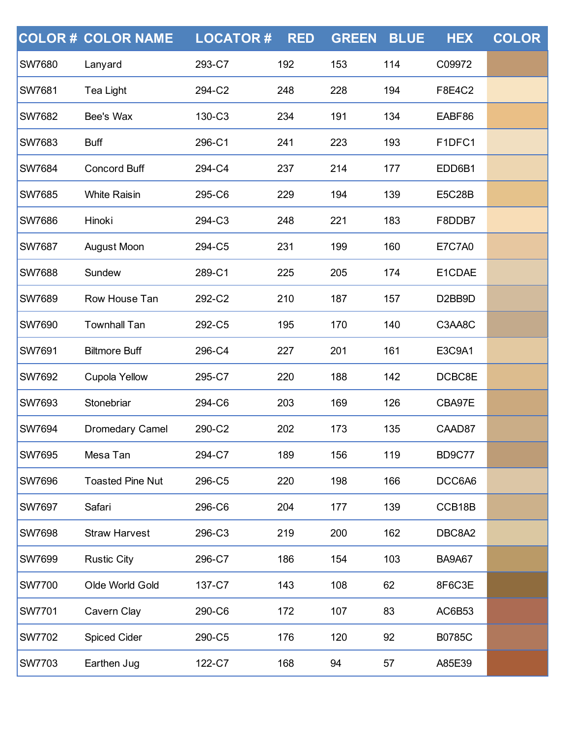|               | <b>COLOR # COLOR NAME</b> | <b>LOCATOR#</b> | <b>RED</b> | <b>GREEN</b> | <b>BLUE</b> | <b>HEX</b>                       | <b>COLOR</b> |
|---------------|---------------------------|-----------------|------------|--------------|-------------|----------------------------------|--------------|
| <b>SW7680</b> | Lanyard                   | 293-C7          | 192        | 153          | 114         | C09972                           |              |
| <b>SW7681</b> | <b>Tea Light</b>          | 294-C2          | 248        | 228          | 194         | F8E4C2                           |              |
| <b>SW7682</b> | Bee's Wax                 | 130-C3          | 234        | 191          | 134         | EABF86                           |              |
| <b>SW7683</b> | <b>Buff</b>               | 296-C1          | 241        | 223          | 193         | F1DFC1                           |              |
| <b>SW7684</b> | <b>Concord Buff</b>       | 294-C4          | 237        | 214          | 177         | EDD6B1                           |              |
| <b>SW7685</b> | <b>White Raisin</b>       | 295-C6          | 229        | 194          | 139         | <b>E5C28B</b>                    |              |
| <b>SW7686</b> | Hinoki                    | 294-C3          | 248        | 221          | 183         | F8DDB7                           |              |
| <b>SW7687</b> | August Moon               | 294-C5          | 231        | 199          | 160         | <b>E7C7A0</b>                    |              |
| <b>SW7688</b> | Sundew                    | 289-C1          | 225        | 205          | 174         | E1CDAE                           |              |
| <b>SW7689</b> | Row House Tan             | 292-C2          | 210        | 187          | 157         | D <sub>2</sub> BB <sub>9</sub> D |              |
| <b>SW7690</b> | <b>Townhall Tan</b>       | 292-C5          | 195        | 170          | 140         | C3AA8C                           |              |
| SW7691        | <b>Biltmore Buff</b>      | 296-C4          | 227        | 201          | 161         | E3C9A1                           |              |
| SW7692        | Cupola Yellow             | 295-C7          | 220        | 188          | 142         | DCBC8E                           |              |
| <b>SW7693</b> | Stonebriar                | 294-C6          | 203        | 169          | 126         | CBA97E                           |              |
| <b>SW7694</b> | Dromedary Camel           | 290-C2          | 202        | 173          | 135         | CAAD87                           |              |
| <b>SW7695</b> | Mesa Tan                  | 294-C7          | 189        | 156          | 119         | <b>BD9C77</b>                    |              |
| <b>SW7696</b> | <b>Toasted Pine Nut</b>   | 296-C5          | 220        | 198          | 166         | DCC6A6                           |              |
| <b>SW7697</b> | Safari                    | 296-C6          | 204        | 177          | 139         | CCB18B                           |              |
| <b>SW7698</b> | <b>Straw Harvest</b>      | 296-C3          | 219        | 200          | 162         | DBC8A2                           |              |
| <b>SW7699</b> | <b>Rustic City</b>        | 296-C7          | 186        | 154          | 103         | <b>BA9A67</b>                    |              |
| <b>SW7700</b> | Olde World Gold           | 137-C7          | 143        | 108          | 62          | 8F6C3E                           |              |
| <b>SW7701</b> | Cavern Clay               | 290-C6          | 172        | 107          | 83          | AC6B53                           |              |
| <b>SW7702</b> | <b>Spiced Cider</b>       | 290-C5          | 176        | 120          | 92          | <b>B0785C</b>                    |              |
| SW7703        | Earthen Jug               | 122-C7          | 168        | 94           | 57          | A85E39                           |              |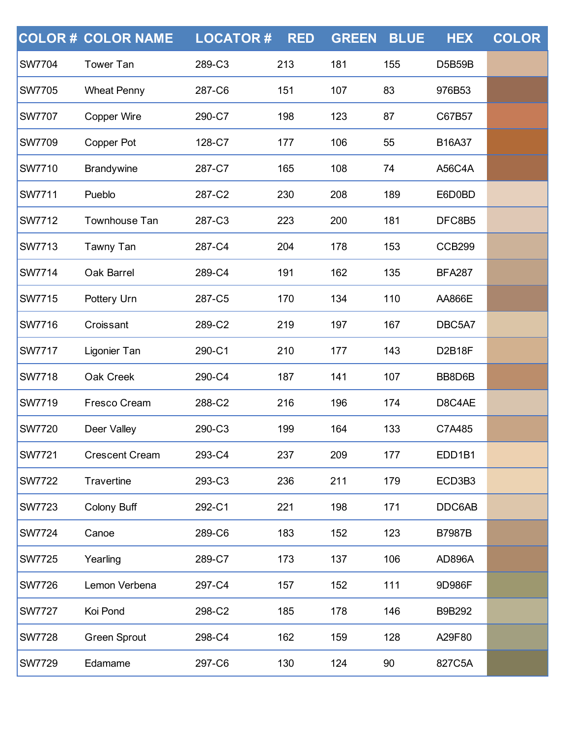|               | <b>COLOR # COLOR NAME</b> | <b>LOCATOR#</b> | <b>RED</b> | <b>GREEN</b> | <b>BLUE</b> | <b>HEX</b>    | <b>COLOR</b> |
|---------------|---------------------------|-----------------|------------|--------------|-------------|---------------|--------------|
| <b>SW7704</b> | <b>Tower Tan</b>          | 289-C3          | 213        | 181          | 155         | <b>D5B59B</b> |              |
| <b>SW7705</b> | <b>Wheat Penny</b>        | 287-C6          | 151        | 107          | 83          | 976B53        |              |
| <b>SW7707</b> | Copper Wire               | 290-C7          | 198        | 123          | 87          | C67B57        |              |
| <b>SW7709</b> | Copper Pot                | 128-C7          | 177        | 106          | 55          | B16A37        |              |
| <b>SW7710</b> | <b>Brandywine</b>         | 287-C7          | 165        | 108          | 74          | <b>A56C4A</b> |              |
| <b>SW7711</b> | Pueblo                    | 287-C2          | 230        | 208          | 189         | E6D0BD        |              |
| <b>SW7712</b> | Townhouse Tan             | 287-C3          | 223        | 200          | 181         | DFC8B5        |              |
| <b>SW7713</b> | Tawny Tan                 | 287-C4          | 204        | 178          | 153         | <b>CCB299</b> |              |
| <b>SW7714</b> | Oak Barrel                | 289-C4          | 191        | 162          | 135         | <b>BFA287</b> |              |
| <b>SW7715</b> | Pottery Urn               | 287-C5          | 170        | 134          | 110         | <b>AA866E</b> |              |
| <b>SW7716</b> | Croissant                 | 289-C2          | 219        | 197          | 167         | DBC5A7        |              |
| <b>SW7717</b> | Ligonier Tan              | 290-C1          | 210        | 177          | 143         | <b>D2B18F</b> |              |
| <b>SW7718</b> | Oak Creek                 | 290-C4          | 187        | 141          | 107         | BB8D6B        |              |
| <b>SW7719</b> | Fresco Cream              | 288-C2          | 216        | 196          | 174         | D8C4AE        |              |
| <b>SW7720</b> | Deer Valley               | 290-C3          | 199        | 164          | 133         | C7A485        |              |
| <b>SW7721</b> | <b>Crescent Cream</b>     | 293-C4          | 237        | 209          | 177         | EDD1B1        |              |
| <b>SW7722</b> | Travertine                | 293-C3          | 236        | 211          | 179         | ECD3B3        |              |
| <b>SW7723</b> | Colony Buff               | 292-C1          | 221        | 198          | 171         | DDC6AB        |              |
| <b>SW7724</b> | Canoe                     | 289-C6          | 183        | 152          | 123         | <b>B7987B</b> |              |
| <b>SW7725</b> | Yearling                  | 289-C7          | 173        | 137          | 106         | <b>AD896A</b> |              |
| <b>SW7726</b> | Lemon Verbena             | 297-C4          | 157        | 152          | 111         | 9D986F        |              |
| <b>SW7727</b> | Koi Pond                  | 298-C2          | 185        | 178          | 146         | B9B292        |              |
| <b>SW7728</b> | <b>Green Sprout</b>       | 298-C4          | 162        | 159          | 128         | A29F80        |              |
| <b>SW7729</b> | Edamame                   | 297-C6          | 130        | 124          | 90          | 827C5A        |              |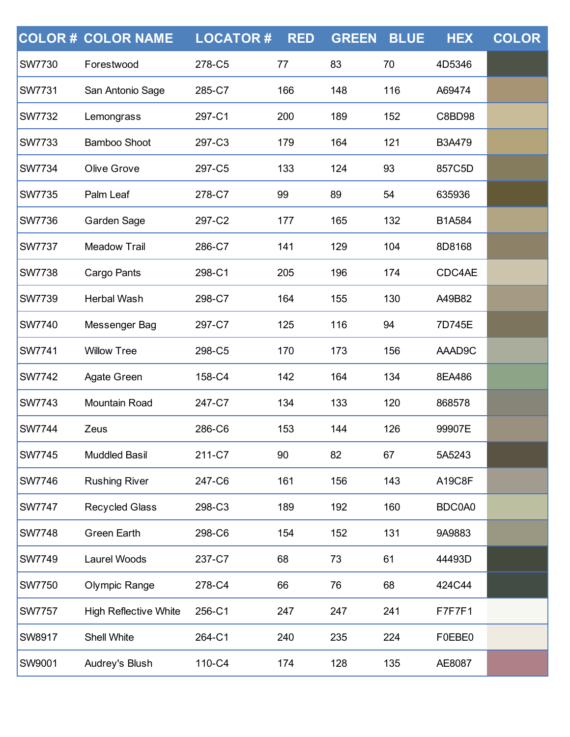|               | <b>COLOR # COLOR NAME</b>    | <b>LOCATOR#</b> | <b>RED</b> | <b>GREEN</b> | <b>BLUE</b> | <b>HEX</b>    | <b>COLOR</b> |
|---------------|------------------------------|-----------------|------------|--------------|-------------|---------------|--------------|
| <b>SW7730</b> | Forestwood                   | 278-C5          | 77         | 83           | 70          | 4D5346        |              |
| <b>SW7731</b> | San Antonio Sage             | 285-C7          | 166        | 148          | 116         | A69474        |              |
| <b>SW7732</b> | Lemongrass                   | 297-C1          | 200        | 189          | 152         | C8BD98        |              |
| <b>SW7733</b> | <b>Bamboo Shoot</b>          | 297-C3          | 179        | 164          | 121         | <b>B3A479</b> |              |
| <b>SW7734</b> | Olive Grove                  | 297-C5          | 133        | 124          | 93          | 857C5D        |              |
| <b>SW7735</b> | Palm Leaf                    | 278-C7          | 99         | 89           | 54          | 635936        |              |
| <b>SW7736</b> | Garden Sage                  | 297-C2          | 177        | 165          | 132         | B1A584        |              |
| <b>SW7737</b> | <b>Meadow Trail</b>          | 286-C7          | 141        | 129          | 104         | 8D8168        |              |
| <b>SW7738</b> | Cargo Pants                  | 298-C1          | 205        | 196          | 174         | CDC4AE        |              |
| <b>SW7739</b> | <b>Herbal Wash</b>           | 298-C7          | 164        | 155          | 130         | A49B82        |              |
| <b>SW7740</b> | Messenger Bag                | 297-C7          | 125        | 116          | 94          | 7D745E        |              |
| <b>SW7741</b> | <b>Willow Tree</b>           | 298-C5          | 170        | 173          | 156         | AAAD9C        |              |
| <b>SW7742</b> | Agate Green                  | 158-C4          | 142        | 164          | 134         | 8EA486        |              |
| <b>SW7743</b> | Mountain Road                | 247-C7          | 134        | 133          | 120         | 868578        |              |
| <b>SW7744</b> | Zeus                         | 286-C6          | 153        | 144          | 126         | 99907E        |              |
| <b>SW7745</b> | <b>Muddled Basil</b>         | 211-C7          | 90         | 82           | 67          | 5A5243        |              |
| <b>SW7746</b> | <b>Rushing River</b>         | 247-C6          | 161        | 156          | 143         | A19C8F        |              |
| <b>SW7747</b> | <b>Recycled Glass</b>        | 298-C3          | 189        | 192          | 160         | BDC0A0        |              |
| <b>SW7748</b> | <b>Green Earth</b>           | 298-C6          | 154        | 152          | 131         | 9A9883        |              |
| <b>SW7749</b> | Laurel Woods                 | 237-C7          | 68         | 73           | 61          | 44493D        |              |
| <b>SW7750</b> | Olympic Range                | 278-C4          | 66         | 76           | 68          | 424C44        |              |
| <b>SW7757</b> | <b>High Reflective White</b> | 256-C1          | 247        | 247          | 241         | F7F7F1        |              |
| <b>SW8917</b> | Shell White                  | 264-C1          | 240        | 235          | 224         | F0EBE0        |              |
| SW9001        | Audrey's Blush               | 110-C4          | 174        | 128          | 135         | AE8087        |              |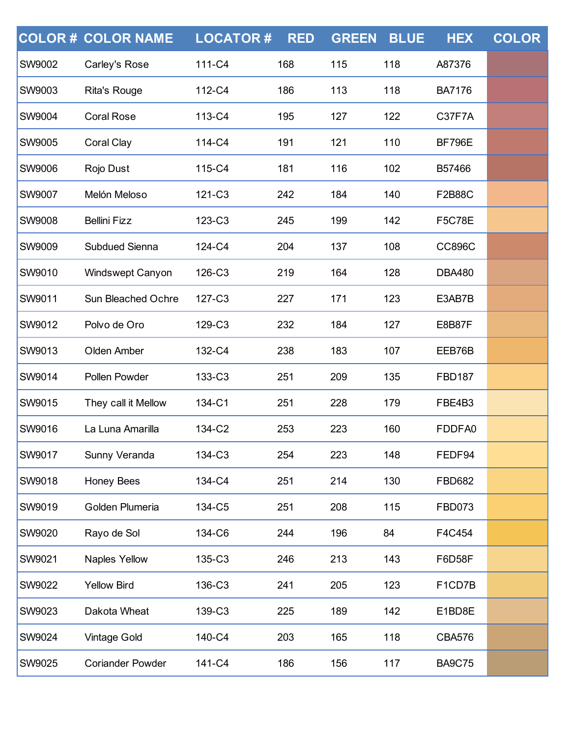|               | <b>COLOR# COLOR NAME</b> | <b>LOCATOR#</b> | <b>RED</b> | <b>GREEN</b> | <b>BLUE</b> | <b>HEX</b>    | <b>COLOR</b> |
|---------------|--------------------------|-----------------|------------|--------------|-------------|---------------|--------------|
| <b>SW9002</b> | Carley's Rose            | 111-C4          | 168        | 115          | 118         | A87376        |              |
| <b>SW9003</b> | <b>Rita's Rouge</b>      | 112-C4          | 186        | 113          | 118         | <b>BA7176</b> |              |
| <b>SW9004</b> | <b>Coral Rose</b>        | 113-C4          | 195        | 127          | 122         | C37F7A        |              |
| <b>SW9005</b> | <b>Coral Clay</b>        | 114-C4          | 191        | 121          | 110         | <b>BF796E</b> |              |
| <b>SW9006</b> | Rojo Dust                | 115-C4          | 181        | 116          | 102         | B57466        |              |
| <b>SW9007</b> | Melón Meloso             | 121-C3          | 242        | 184          | 140         | <b>F2B88C</b> |              |
| <b>SW9008</b> | <b>Bellini Fizz</b>      | 123-C3          | 245        | 199          | 142         | <b>F5C78E</b> |              |
| <b>SW9009</b> | <b>Subdued Sienna</b>    | 124-C4          | 204        | 137          | 108         | <b>CC896C</b> |              |
| SW9010        | Windswept Canyon         | 126-C3          | 219        | 164          | 128         | <b>DBA480</b> |              |
| <b>SW9011</b> | Sun Bleached Ochre       | 127-C3          | 227        | 171          | 123         | E3AB7B        |              |
| <b>SW9012</b> | Polvo de Oro             | 129-C3          | 232        | 184          | 127         | <b>E8B87F</b> |              |
| <b>SW9013</b> | Olden Amber              | 132-C4          | 238        | 183          | 107         | EEB76B        |              |
| <b>SW9014</b> | Pollen Powder            | 133-C3          | 251        | 209          | 135         | <b>FBD187</b> |              |
| <b>SW9015</b> | They call it Mellow      | 134-C1          | 251        | 228          | 179         | FBE4B3        |              |
| <b>SW9016</b> | La Luna Amarilla         | 134-C2          | 253        | 223          | 160         | FDDFA0        |              |
| <b>SW9017</b> | Sunny Veranda            | 134-C3          | 254        | 223          | 148         | FEDF94        |              |
| <b>SW9018</b> | <b>Honey Bees</b>        | 134-C4          | 251        | 214          | 130         | <b>FBD682</b> |              |
| <b>SW9019</b> | Golden Plumeria          | 134-C5          | 251        | 208          | 115         | <b>FBD073</b> |              |
| <b>SW9020</b> | Rayo de Sol              | 134-C6          | 244        | 196          | 84          | F4C454        |              |
| <b>SW9021</b> | Naples Yellow            | 135-C3          | 246        | 213          | 143         | F6D58F        |              |
| <b>SW9022</b> | <b>Yellow Bird</b>       | 136-C3          | 241        | 205          | 123         | F1CD7B        |              |
| <b>SW9023</b> | Dakota Wheat             | 139-C3          | 225        | 189          | 142         | E1BD8E        |              |
| <b>SW9024</b> | <b>Vintage Gold</b>      | 140-C4          | 203        | 165          | 118         | <b>CBA576</b> |              |
| SW9025        | <b>Coriander Powder</b>  | 141-C4          | 186        | 156          | 117         | <b>BA9C75</b> |              |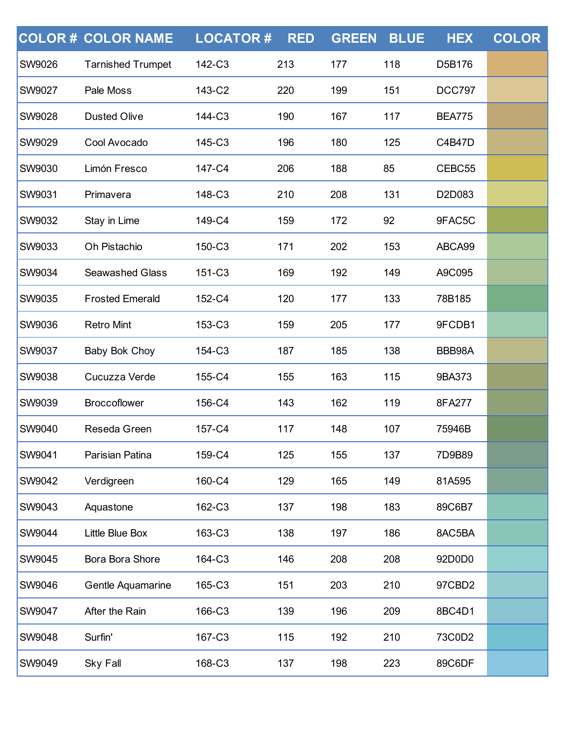|               | <b>COLOR# COLOR NAME</b> | <b>LOCATOR#</b> | <b>RED</b> | <b>GREEN</b> | <b>BLUE</b> | <b>HEX</b>    | <b>COLOR</b> |
|---------------|--------------------------|-----------------|------------|--------------|-------------|---------------|--------------|
| <b>SW9026</b> | <b>Tarnished Trumpet</b> | 142-C3          | 213        | 177          | 118         | D5B176        |              |
| <b>SW9027</b> | Pale Moss                | 143-C2          | 220        | 199          | 151         | <b>DCC797</b> |              |
| <b>SW9028</b> | <b>Dusted Olive</b>      | 144-C3          | 190        | 167          | 117         | <b>BEA775</b> |              |
| <b>SW9029</b> | Cool Avocado             | 145-C3          | 196        | 180          | 125         | C4B47D        |              |
| <b>SW9030</b> | Limón Fresco             | 147-C4          | 206        | 188          | 85          | CEBC55        |              |
| <b>SW9031</b> | Primavera                | 148-C3          | 210        | 208          | 131         | D2D083        |              |
| <b>SW9032</b> | Stay in Lime             | 149-C4          | 159        | 172          | 92          | 9FAC5C        |              |
| <b>SW9033</b> | Oh Pistachio             | 150-C3          | 171        | 202          | 153         | ABCA99        |              |
| <b>SW9034</b> | <b>Seawashed Glass</b>   | 151-C3          | 169        | 192          | 149         | A9C095        |              |
| <b>SW9035</b> | <b>Frosted Emerald</b>   | 152-C4          | 120        | 177          | 133         | 78B185        |              |
| <b>SW9036</b> | <b>Retro Mint</b>        | 153-C3          | 159        | 205          | 177         | 9FCDB1        |              |
| <b>SW9037</b> | Baby Bok Choy            | 154-C3          | 187        | 185          | 138         | BBB98A        |              |
| <b>SW9038</b> | Cucuzza Verde            | 155-C4          | 155        | 163          | 115         | 9BA373        |              |
| <b>SW9039</b> | <b>Broccoflower</b>      | 156-C4          | 143        | 162          | 119         | 8FA277        |              |
| <b>SW9040</b> | Reseda Green             | 157-C4          | 117        | 148          | 107         | 75946B        |              |
| <b>SW9041</b> | Parisian Patina          | 159-C4          | 125        | 155          | 137         | 7D9B89        |              |
| <b>SW9042</b> | Verdigreen               | 160-C4          | 129        | 165          | 149         | 81A595        |              |
| <b>SW9043</b> | Aquastone                | 162-C3          | 137        | 198          | 183         | 89C6B7        |              |
| <b>SW9044</b> | Little Blue Box          | 163-C3          | 138        | 197          | 186         | 8AC5BA        |              |
| <b>SW9045</b> | Bora Bora Shore          | 164-C3          | 146        | 208          | 208         | 92D0D0        |              |
| <b>SW9046</b> | Gentle Aquamarine        | 165-C3          | 151        | 203          | 210         | 97CBD2        |              |
| <b>SW9047</b> | After the Rain           | 166-C3          | 139        | 196          | 209         | 8BC4D1        |              |
| <b>SW9048</b> | Surfin'                  | 167-C3          | 115        | 192          | 210         | 73C0D2        |              |
| SW9049        | <b>Sky Fall</b>          | 168-C3          | 137        | 198          | 223         | 89C6DF        |              |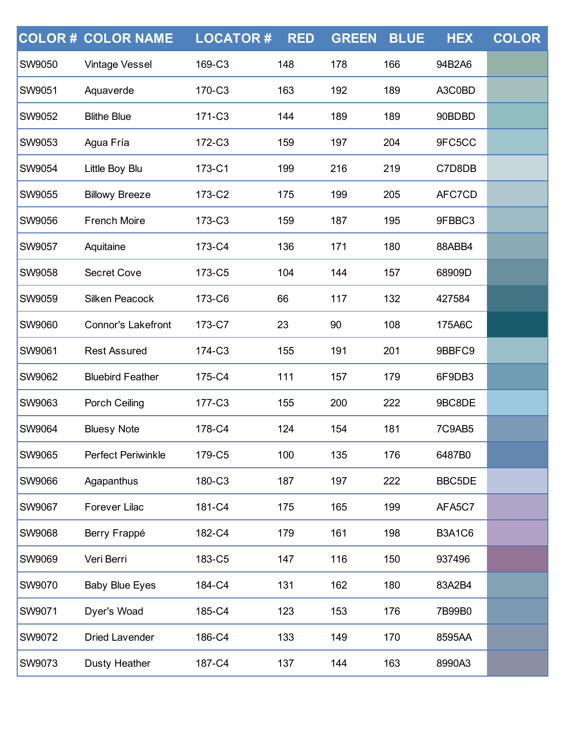|               | <b>COLOR # COLOR NAME</b> | <b>LOCATOR#</b> | <b>RED</b> | <b>GREEN</b> | <b>BLUE</b> | <b>HEX</b>    | <b>COLOR</b> |
|---------------|---------------------------|-----------------|------------|--------------|-------------|---------------|--------------|
| SW9050        | <b>Vintage Vessel</b>     | 169-C3          | 148        | 178          | 166         | 94B2A6        |              |
| <b>SW9051</b> | Aquaverde                 | 170-C3          | 163        | 192          | 189         | A3C0BD        |              |
| <b>SW9052</b> | <b>Blithe Blue</b>        | 171-C3          | 144        | 189          | 189         | 90BDBD        |              |
| SW9053        | Agua Fría                 | 172-C3          | 159        | 197          | 204         | 9FC5CC        |              |
| <b>SW9054</b> | Little Boy Blu            | 173-C1          | 199        | 216          | 219         | C7D8DB        |              |
| <b>SW9055</b> | <b>Billowy Breeze</b>     | 173-C2          | 175        | 199          | 205         | AFC7CD        |              |
| SW9056        | <b>French Moire</b>       | 173-C3          | 159        | 187          | 195         | 9FBBC3        |              |
| <b>SW9057</b> | Aquitaine                 | 173-C4          | 136        | 171          | 180         | 88ABB4        |              |
| <b>SW9058</b> | <b>Secret Cove</b>        | 173-C5          | 104        | 144          | 157         | 68909D        |              |
| SW9059        | <b>Silken Peacock</b>     | 173-C6          | 66         | 117          | 132         | 427584        |              |
| <b>SW9060</b> | <b>Connor's Lakefront</b> | 173-C7          | 23         | 90           | 108         | 175A6C        |              |
| SW9061        | <b>Rest Assured</b>       | 174-C3          | 155        | 191          | 201         | 9BBFC9        |              |
| SW9062        | <b>Bluebird Feather</b>   | 175-C4          | 111        | 157          | 179         | 6F9DB3        |              |
| <b>SW9063</b> | Porch Ceiling             | 177-C3          | 155        | 200          | 222         | 9BC8DE        |              |
| SW9064        | <b>Bluesy Note</b>        | 178-C4          | 124        | 154          | 181         | 7C9AB5        |              |
| SW9065        | <b>Perfect Periwinkle</b> | 179-C5          | 100        | 135          | 176         | 6487B0        |              |
| <b>SW9066</b> | Agapanthus                | 180-C3          | 187        | 197          | 222         | BBC5DE        |              |
| <b>SW9067</b> | <b>Forever Lilac</b>      | 181-C4          | 175        | 165          | 199         | AFA5C7        |              |
| <b>SW9068</b> | Berry Frappé              | 182-C4          | 179        | 161          | 198         | <b>B3A1C6</b> |              |
| <b>SW9069</b> | Veri Berri                | 183-C5          | 147        | 116          | 150         | 937496        |              |
| <b>SW9070</b> | <b>Baby Blue Eyes</b>     | 184-C4          | 131        | 162          | 180         | 83A2B4        |              |
| SW9071        | Dyer's Woad               | 185-C4          | 123        | 153          | 176         | 7B99B0        |              |
| <b>SW9072</b> | <b>Dried Lavender</b>     | 186-C4          | 133        | 149          | 170         | 8595AA        |              |
| SW9073        | <b>Dusty Heather</b>      | 187-C4          | 137        | 144          | 163         | 8990A3        |              |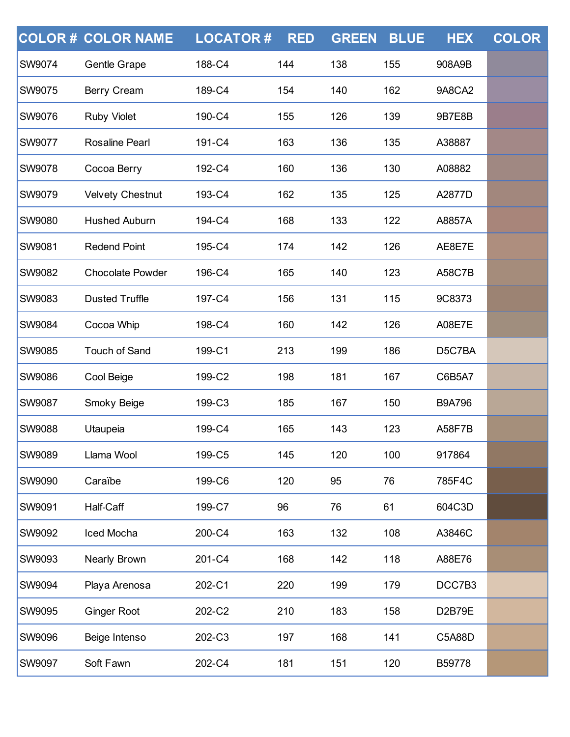|               | <b>COLOR # COLOR NAME</b> | <b>LOCATOR#</b> | <b>RED</b> | <b>GREEN</b> | <b>BLUE</b> | <b>HEX</b>    | <b>COLOR</b> |
|---------------|---------------------------|-----------------|------------|--------------|-------------|---------------|--------------|
| <b>SW9074</b> | Gentle Grape              | 188-C4          | 144        | 138          | 155         | 908A9B        |              |
| <b>SW9075</b> | Berry Cream               | 189-C4          | 154        | 140          | 162         | 9A8CA2        |              |
| <b>SW9076</b> | <b>Ruby Violet</b>        | 190-C4          | 155        | 126          | 139         | 9B7E8B        |              |
| <b>SW9077</b> | <b>Rosaline Pearl</b>     | 191-C4          | 163        | 136          | 135         | A38887        |              |
| <b>SW9078</b> | Cocoa Berry               | 192-C4          | 160        | 136          | 130         | A08882        |              |
| <b>SW9079</b> | <b>Velvety Chestnut</b>   | 193-C4          | 162        | 135          | 125         | A2877D        |              |
| <b>SW9080</b> | <b>Hushed Auburn</b>      | 194-C4          | 168        | 133          | 122         | A8857A        |              |
| <b>SW9081</b> | <b>Redend Point</b>       | 195-C4          | 174        | 142          | 126         | AE8E7E        |              |
| <b>SW9082</b> | <b>Chocolate Powder</b>   | 196-C4          | 165        | 140          | 123         | <b>A58C7B</b> |              |
| <b>SW9083</b> | <b>Dusted Truffle</b>     | 197-C4          | 156        | 131          | 115         | 9C8373        |              |
| <b>SW9084</b> | Cocoa Whip                | 198-C4          | 160        | 142          | 126         | <b>A08E7E</b> |              |
| <b>SW9085</b> | <b>Touch of Sand</b>      | 199-C1          | 213        | 199          | 186         | D5C7BA        |              |
| <b>SW9086</b> | Cool Beige                | 199-C2          | 198        | 181          | 167         | C6B5A7        |              |
| <b>SW9087</b> | Smoky Beige               | 199-C3          | 185        | 167          | 150         | <b>B9A796</b> |              |
| <b>SW9088</b> | Utaupeia                  | 199-C4          | 165        | 143          | 123         | <b>A58F7B</b> |              |
| <b>SW9089</b> | Llama Wool                | 199-C5          | 145        | 120          | 100         | 917864        |              |
| <b>SW9090</b> | Caraïbe                   | 199-C6          | 120        | 95           | 76          | 785F4C        |              |
| <b>SW9091</b> | Half-Caff                 | 199-C7          | 96         | 76           | 61          | 604C3D        |              |
| <b>SW9092</b> | Iced Mocha                | 200-C4          | 163        | 132          | 108         | A3846C        |              |
| <b>SW9093</b> | Nearly Brown              | 201-C4          | 168        | 142          | 118         | A88E76        |              |
| <b>SW9094</b> | Playa Arenosa             | 202-C1          | 220        | 199          | 179         | DCC7B3        |              |
| <b>SW9095</b> | <b>Ginger Root</b>        | 202-C2          | 210        | 183          | 158         | D2B79E        |              |
| <b>SW9096</b> | Beige Intenso             | 202-C3          | 197        | 168          | 141         | C5A88D        |              |
| SW9097        | Soft Fawn                 | 202-C4          | 181        | 151          | 120         | B59778        |              |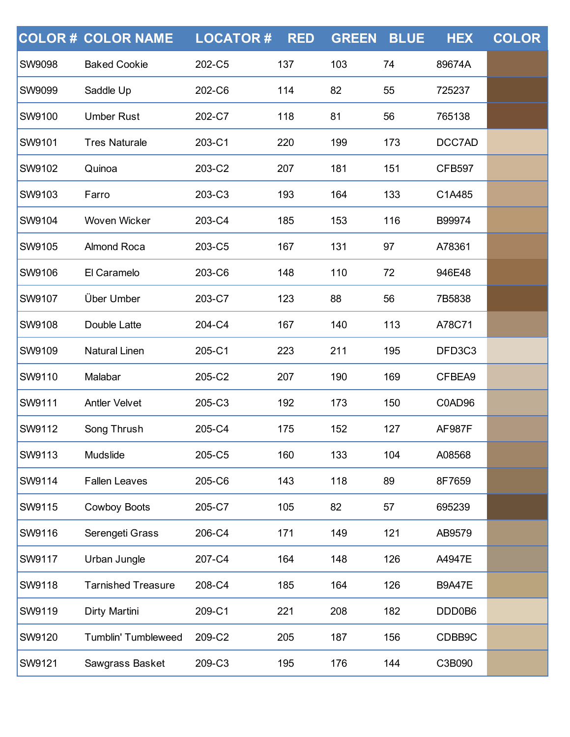|               | <b>COLOR # COLOR NAME</b>  | <b>LOCATOR#</b> | <b>RED</b> | <b>GREEN</b> | <b>BLUE</b> | <b>HEX</b>    | <b>COLOR</b> |
|---------------|----------------------------|-----------------|------------|--------------|-------------|---------------|--------------|
| <b>SW9098</b> | <b>Baked Cookie</b>        | 202-C5          | 137        | 103          | 74          | 89674A        |              |
| <b>SW9099</b> | Saddle Up                  | 202-C6          | 114        | 82           | 55          | 725237        |              |
| <b>SW9100</b> | <b>Umber Rust</b>          | 202-C7          | 118        | 81           | 56          | 765138        |              |
| <b>SW9101</b> | <b>Tres Naturale</b>       | 203-C1          | 220        | 199          | 173         | DCC7AD        |              |
| <b>SW9102</b> | Quinoa                     | 203-C2          | 207        | 181          | 151         | <b>CFB597</b> |              |
| <b>SW9103</b> | Farro                      | 203-C3          | 193        | 164          | 133         | C1A485        |              |
| <b>SW9104</b> | Woven Wicker               | 203-C4          | 185        | 153          | 116         | B99974        |              |
| <b>SW9105</b> | <b>Almond Roca</b>         | 203-C5          | 167        | 131          | 97          | A78361        |              |
| <b>SW9106</b> | El Caramelo                | 203-C6          | 148        | 110          | 72          | 946E48        |              |
| <b>SW9107</b> | Über Umber                 | 203-C7          | 123        | 88           | 56          | 7B5838        |              |
| <b>SW9108</b> | Double Latte               | 204-C4          | 167        | 140          | 113         | A78C71        |              |
| <b>SW9109</b> | <b>Natural Linen</b>       | 205-C1          | 223        | 211          | 195         | DFD3C3        |              |
| SW9110        | Malabar                    | 205-C2          | 207        | 190          | 169         | CFBEA9        |              |
| <b>SW9111</b> | <b>Antler Velvet</b>       | 205-C3          | 192        | 173          | 150         | C0AD96        |              |
| <b>SW9112</b> | Song Thrush                | 205-C4          | 175        | 152          | 127         | <b>AF987F</b> |              |
| <b>SW9113</b> | Mudslide                   | 205-C5          | 160        | 133          | 104         | A08568        |              |
| <b>SW9114</b> | <b>Fallen Leaves</b>       | 205-C6          | 143        | 118          | 89          | 8F7659        |              |
| <b>SW9115</b> | <b>Cowboy Boots</b>        | 205-C7          | 105        | 82           | 57          | 695239        |              |
| SW9116        | Serengeti Grass            | 206-C4          | 171        | 149          | 121         | AB9579        |              |
| <b>SW9117</b> | Urban Jungle               | 207-C4          | 164        | 148          | 126         | A4947E        |              |
| <b>SW9118</b> | <b>Tarnished Treasure</b>  | 208-C4          | 185        | 164          | 126         | <b>B9A47E</b> |              |
| SW9119        | Dirty Martini              | 209-C1          | 221        | 208          | 182         | DDD0B6        |              |
| <b>SW9120</b> | <b>Tumblin' Tumbleweed</b> | 209-C2          | 205        | 187          | 156         | CDBB9C        |              |
| SW9121        | Sawgrass Basket            | 209-C3          | 195        | 176          | 144         | C3B090        |              |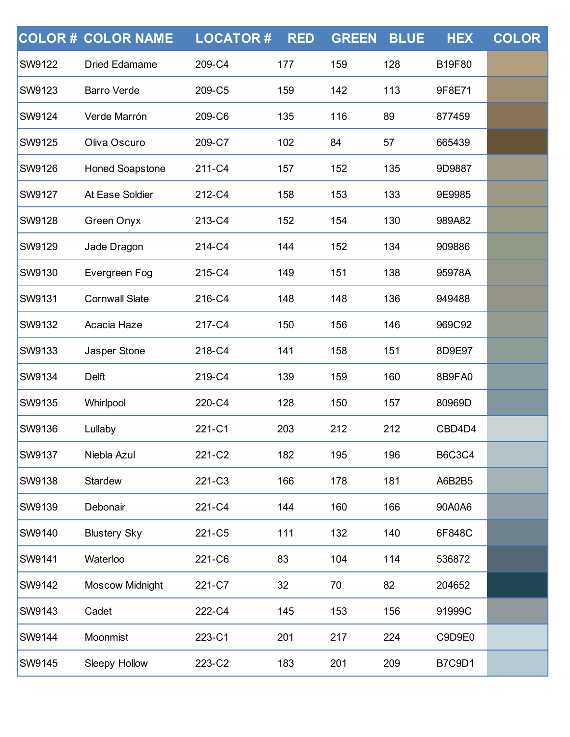|               | <b>COLOR # COLOR NAME</b> | <b>LOCATOR#</b> | <b>RED</b> | <b>GREEN</b> | <b>BLUE</b> | <b>HEX</b>    | <b>COLOR</b> |
|---------------|---------------------------|-----------------|------------|--------------|-------------|---------------|--------------|
| SW9122        | <b>Dried Edamame</b>      | 209-C4          | 177        | 159          | 128         | B19F80        |              |
| <b>SW9123</b> | <b>Barro Verde</b>        | 209-C5          | 159        | 142          | 113         | 9F8E71        |              |
| <b>SW9124</b> | Verde Marrón              | 209-C6          | 135        | 116          | 89          | 877459        |              |
| SW9125        | Oliva Oscuro              | 209-C7          | 102        | 84           | 57          | 665439        |              |
| <b>SW9126</b> | <b>Honed Soapstone</b>    | 211-C4          | 157        | 152          | 135         | 9D9887        |              |
| <b>SW9127</b> | At Ease Soldier           | 212-C4          | 158        | 153          | 133         | 9E9985        |              |
| SW9128        | Green Onyx                | 213-C4          | 152        | 154          | 130         | 989A82        |              |
| <b>SW9129</b> | Jade Dragon               | 214-C4          | 144        | 152          | 134         | 909886        |              |
| <b>SW9130</b> | Evergreen Fog             | 215-C4          | 149        | 151          | 138         | 95978A        |              |
| SW9131        | <b>Cornwall Slate</b>     | 216-C4          | 148        | 148          | 136         | 949488        |              |
| <b>SW9132</b> | Acacia Haze               | 217-C4          | 150        | 156          | 146         | 969C92        |              |
| <b>SW9133</b> | Jasper Stone              | 218-C4          | 141        | 158          | 151         | 8D9E97        |              |
| SW9134        | <b>Delft</b>              | 219-C4          | 139        | 159          | 160         | 8B9FA0        |              |
| <b>SW9135</b> | Whirlpool                 | 220-C4          | 128        | 150          | 157         | 80969D        |              |
| <b>SW9136</b> | Lullaby                   | 221-C1          | 203        | 212          | 212         | CBD4D4        |              |
| <b>SW9137</b> | Niebla Azul               | 221-C2          | 182        | 195          | 196         | <b>B6C3C4</b> |              |
| <b>SW9138</b> | Stardew                   | 221-C3          | 166        | 178          | 181         | A6B2B5        |              |
| <b>SW9139</b> | Debonair                  | 221-C4          | 144        | 160          | 166         | 90A0A6        |              |
| SW9140        | <b>Blustery Sky</b>       | 221-C5          | 111        | 132          | 140         | 6F848C        |              |
| <b>SW9141</b> | Waterloo                  | 221-C6          | 83         | 104          | 114         | 536872        |              |
| <b>SW9142</b> | <b>Moscow Midnight</b>    | 221-C7          | 32         | 70           | 82          | 204652        |              |
| SW9143        | Cadet                     | 222-C4          | 145        | 153          | 156         | 91999C        |              |
| <b>SW9144</b> | Moonmist                  | 223-C1          | 201        | 217          | 224         | C9D9E0        |              |
| SW9145        | Sleepy Hollow             | 223-C2          | 183        | 201          | 209         | <b>B7C9D1</b> |              |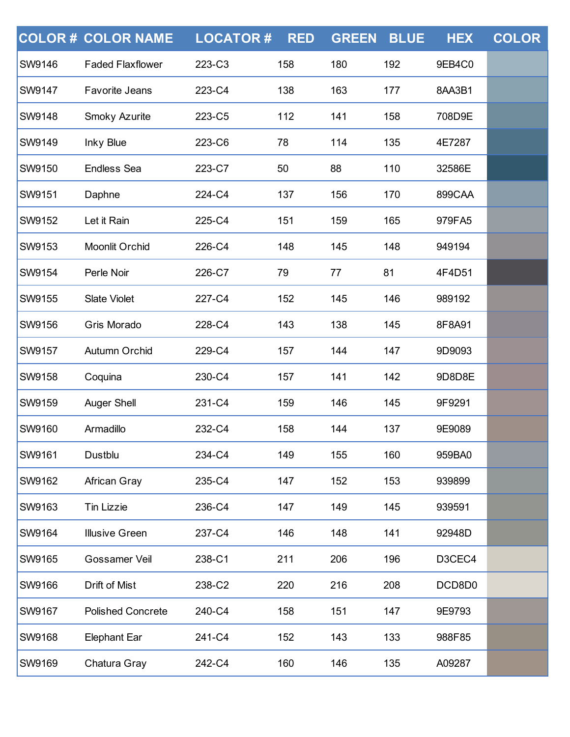|               | <b>COLOR # COLOR NAME</b> | <b>LOCATOR#</b> | <b>RED</b> | <b>GREEN</b> | <b>BLUE</b> | <b>HEX</b> | <b>COLOR</b> |
|---------------|---------------------------|-----------------|------------|--------------|-------------|------------|--------------|
| SW9146        | <b>Faded Flaxflower</b>   | 223-C3          | 158        | 180          | 192         | 9EB4C0     |              |
| <b>SW9147</b> | <b>Favorite Jeans</b>     | 223-C4          | 138        | 163          | 177         | 8AA3B1     |              |
| <b>SW9148</b> | Smoky Azurite             | 223-C5          | 112        | 141          | 158         | 708D9E     |              |
| SW9149        | Inky Blue                 | 223-C6          | 78         | 114          | 135         | 4E7287     |              |
| <b>SW9150</b> | <b>Endless Sea</b>        | 223-C7          | 50         | 88           | 110         | 32586E     |              |
| <b>SW9151</b> | Daphne                    | 224-C4          | 137        | 156          | 170         | 899CAA     |              |
| SW9152        | Let it Rain               | 225-C4          | 151        | 159          | 165         | 979FA5     |              |
| <b>SW9153</b> | Moonlit Orchid            | 226-C4          | 148        | 145          | 148         | 949194     |              |
| <b>SW9154</b> | Perle Noir                | 226-C7          | 79         | 77           | 81          | 4F4D51     |              |
| SW9155        | <b>Slate Violet</b>       | 227-C4          | 152        | 145          | 146         | 989192     |              |
| <b>SW9156</b> | Gris Morado               | 228-C4          | 143        | 138          | 145         | 8F8A91     |              |
| <b>SW9157</b> | Autumn Orchid             | 229-C4          | 157        | 144          | 147         | 9D9093     |              |
| SW9158        | Coquina                   | 230-C4          | 157        | 141          | 142         | 9D8D8E     |              |
| <b>SW9159</b> | <b>Auger Shell</b>        | 231-C4          | 159        | 146          | 145         | 9F9291     |              |
| <b>SW9160</b> | Armadillo                 | 232-C4          | 158        | 144          | 137         | 9E9089     |              |
| <b>SW9161</b> | Dustblu                   | 234-C4          | 149        | 155          | 160         | 959BA0     |              |
| <b>SW9162</b> | African Gray              | 235-C4          | 147        | 152          | 153         | 939899     |              |
| <b>SW9163</b> | <b>Tin Lizzie</b>         | 236-C4          | 147        | 149          | 145         | 939591     |              |
| <b>SW9164</b> | <b>Illusive Green</b>     | 237-C4          | 146        | 148          | 141         | 92948D     |              |
| <b>SW9165</b> | Gossamer Veil             | 238-C1          | 211        | 206          | 196         | D3CEC4     |              |
| <b>SW9166</b> | Drift of Mist             | 238-C2          | 220        | 216          | 208         | DCD8D0     |              |
| SW9167        | <b>Polished Concrete</b>  | 240-C4          | 158        | 151          | 147         | 9E9793     |              |
| <b>SW9168</b> | <b>Elephant Ear</b>       | 241-C4          | 152        | 143          | 133         | 988F85     |              |
| SW9169        | Chatura Gray              | 242-C4          | 160        | 146          | 135         | A09287     |              |